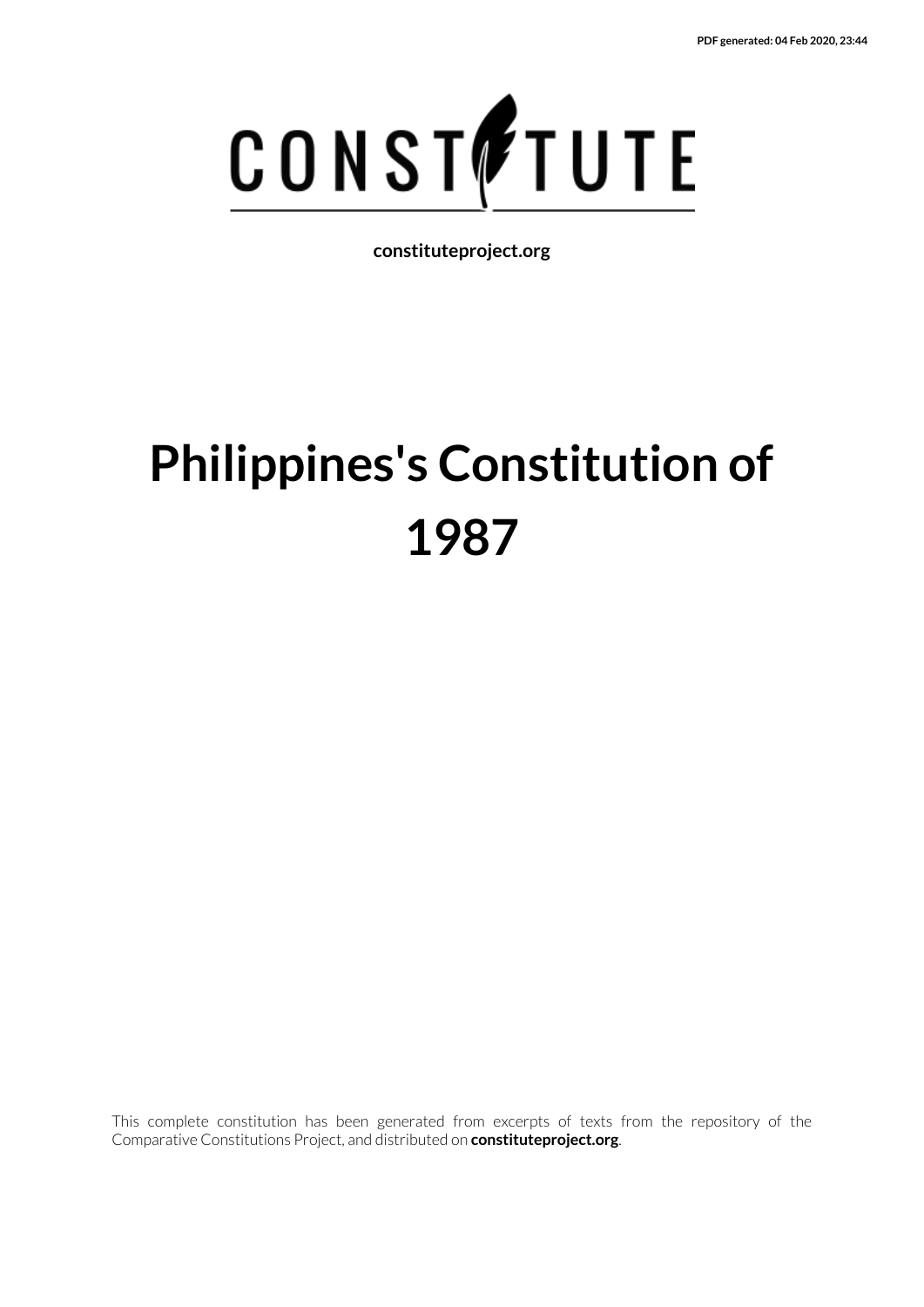

**constituteproject.org**

# **Philippines's Constitution of 1987**

This complete constitution has been generated from excerpts of texts from the repository of the Comparative Constitutions Project, and distributed on **constituteproject.org**.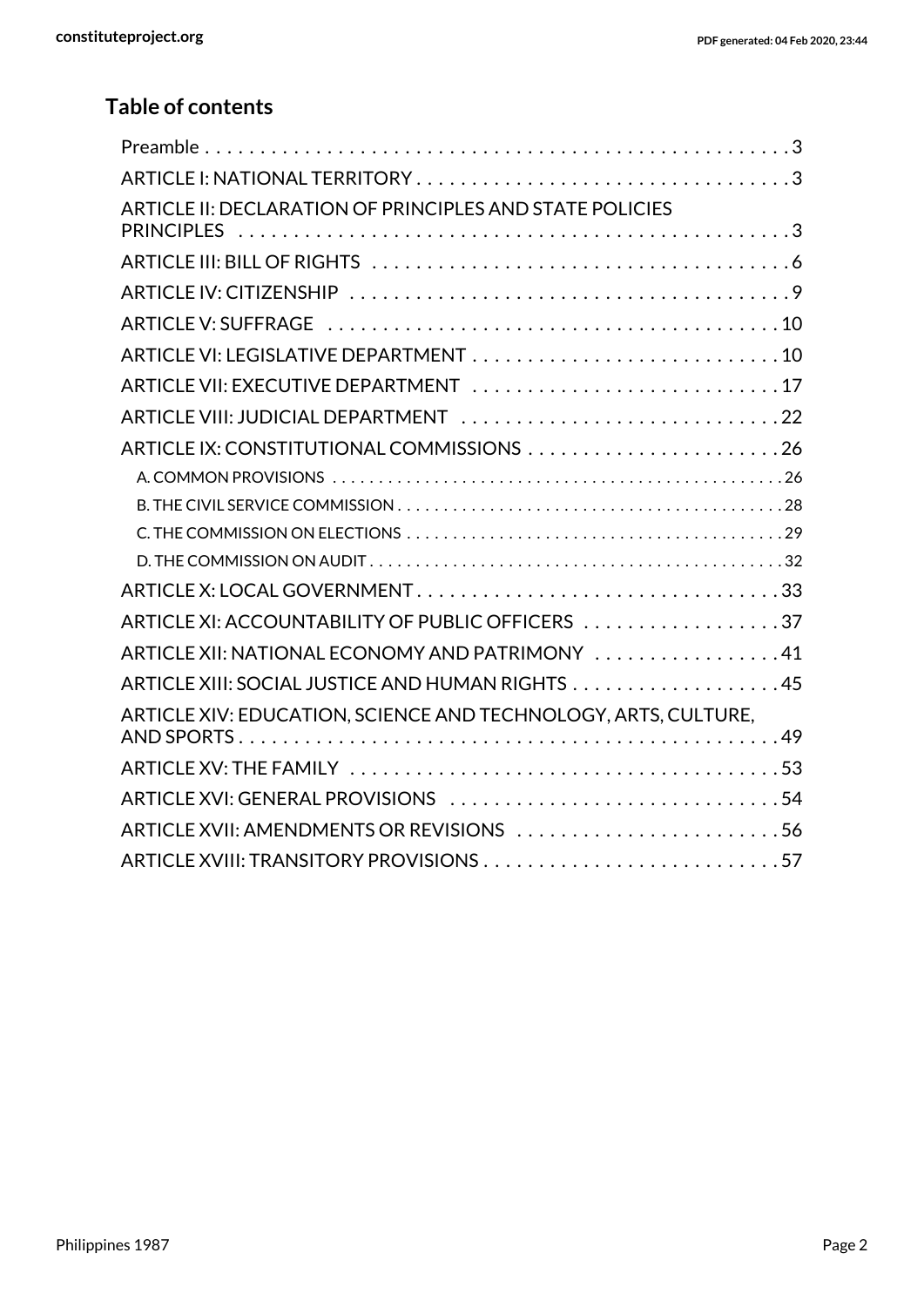### **Table of contents**

| ARTICLE II: DECLARATION OF PRINCIPLES AND STATE POLICIES       |
|----------------------------------------------------------------|
|                                                                |
|                                                                |
|                                                                |
|                                                                |
| ARTICLE VII: EXECUTIVE DEPARTMENT 17                           |
|                                                                |
|                                                                |
|                                                                |
|                                                                |
|                                                                |
|                                                                |
|                                                                |
| ARTICLE XI: ACCOUNTABILITY OF PUBLIC OFFICERS 37               |
| ARTICLE XII: NATIONAL ECONOMY AND PATRIMONY 41                 |
|                                                                |
| ARTICLE XIV: EDUCATION, SCIENCE AND TECHNOLOGY, ARTS, CULTURE, |
|                                                                |
| ARTICLE XVI: GENERAL PROVISIONS 54                             |
| ARTICLE XVII: AMENDMENTS OR REVISIONS 56                       |
|                                                                |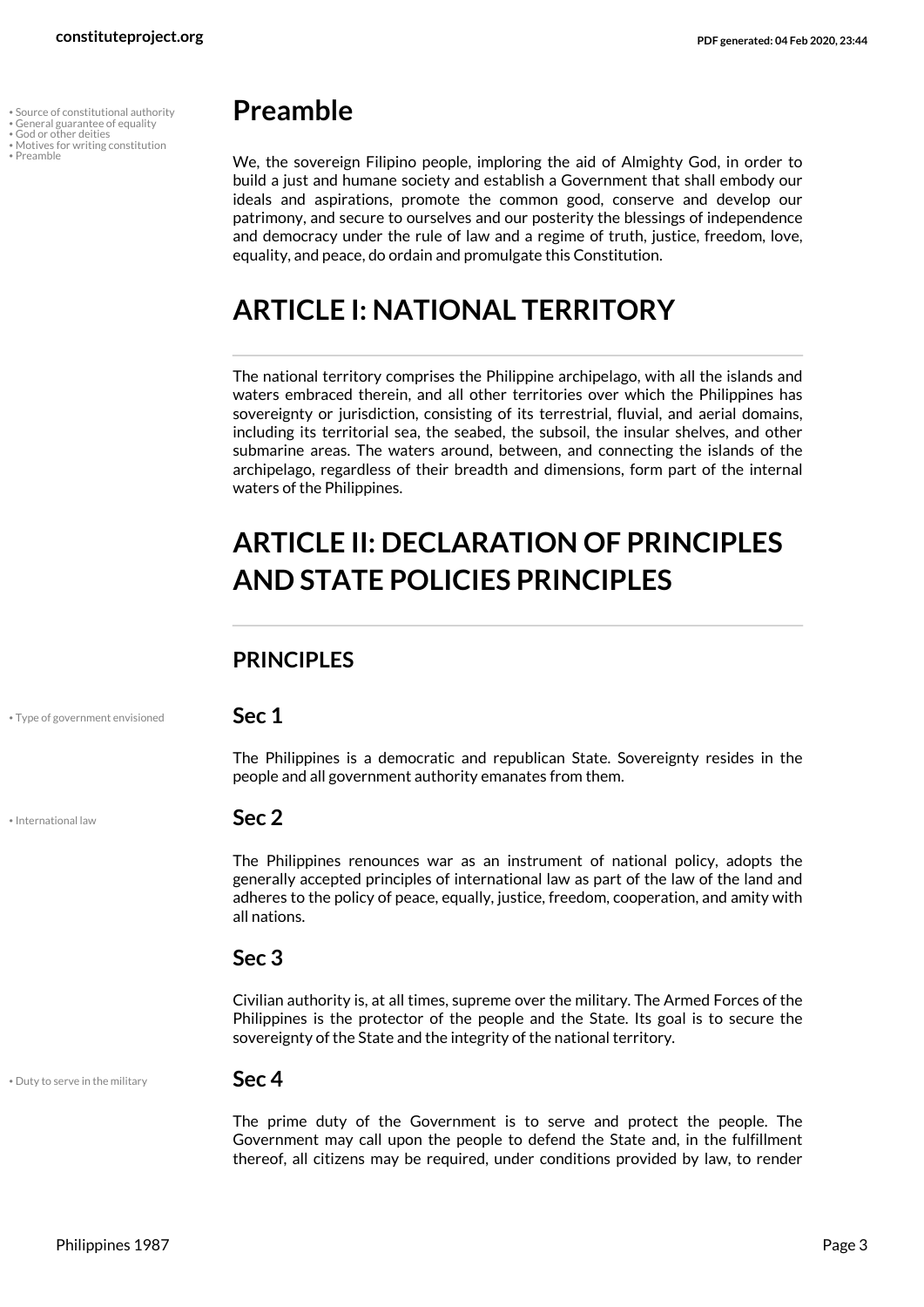- • Source of constitutional authority
- <span id="page-2-5"></span>
- God or other deities

<span id="page-2-8"></span>• Motives for writing constitution<br>• Preamble

## <span id="page-2-9"></span><span id="page-2-4"></span><span id="page-2-0"></span>**Preamble**

<span id="page-2-7"></span>We, the sovereign Filipino people, imploring the aid of Almighty God, in order to build a just and humane society and establish a Government that shall embody our ideals and aspirations, promote the common good, conserve and develop our patrimony, and secure to ourselves and our posterity the blessings of independence and democracy under the rule of law and a regime of truth, justice, freedom, love, equality, and peace, do ordain and promulgate this Constitution.

## <span id="page-2-1"></span>**ARTICLE I: NATIONAL TERRITORY**

The national territory comprises the Philippine archipelago, with all the islands and waters embraced therein, and all other territories over which the Philippines has sovereignty or jurisdiction, consisting of its terrestrial, fluvial, and aerial domains, including its territorial sea, the seabed, the subsoil, the insular shelves, and other submarine areas. The waters around, between, and connecting the islands of the archipelago, regardless of their breadth and dimensions, form part of the internal waters of the Philippines.

## <span id="page-2-2"></span>**ARTICLE II: DECLARATION OF PRINCIPLES AND STATE POLICIES PRINCIPLES**

### **PRINCIPLES**

• Type of government envisioned **Sec 1**

<span id="page-2-10"></span>The Philippines is a democratic and republican State. Sovereignty resides in the people and all government authority emanates from them.

#### <span id="page-2-6"></span>• International law **Sec 2**

The Philippines renounces war as an instrument of national policy, adopts the generally accepted principles of international law as part of the law of the land and adheres to the policy of peace, equally, justice, freedom, cooperation, and amity with all nations.

### **Sec 3**

Civilian authority is, at all times, supreme over the military. The Armed Forces of the Philippines is the protector of the people and the State. Its goal is to secure the sovereignty of the State and the integrity of the national territory.

• Duty to serve in the military **Sec 4**

<span id="page-2-3"></span>The prime duty of the Government is to serve and protect the people. The Government may call upon the people to defend the State and, in the fulfillment thereof, all citizens may be required, under conditions provided by law, to render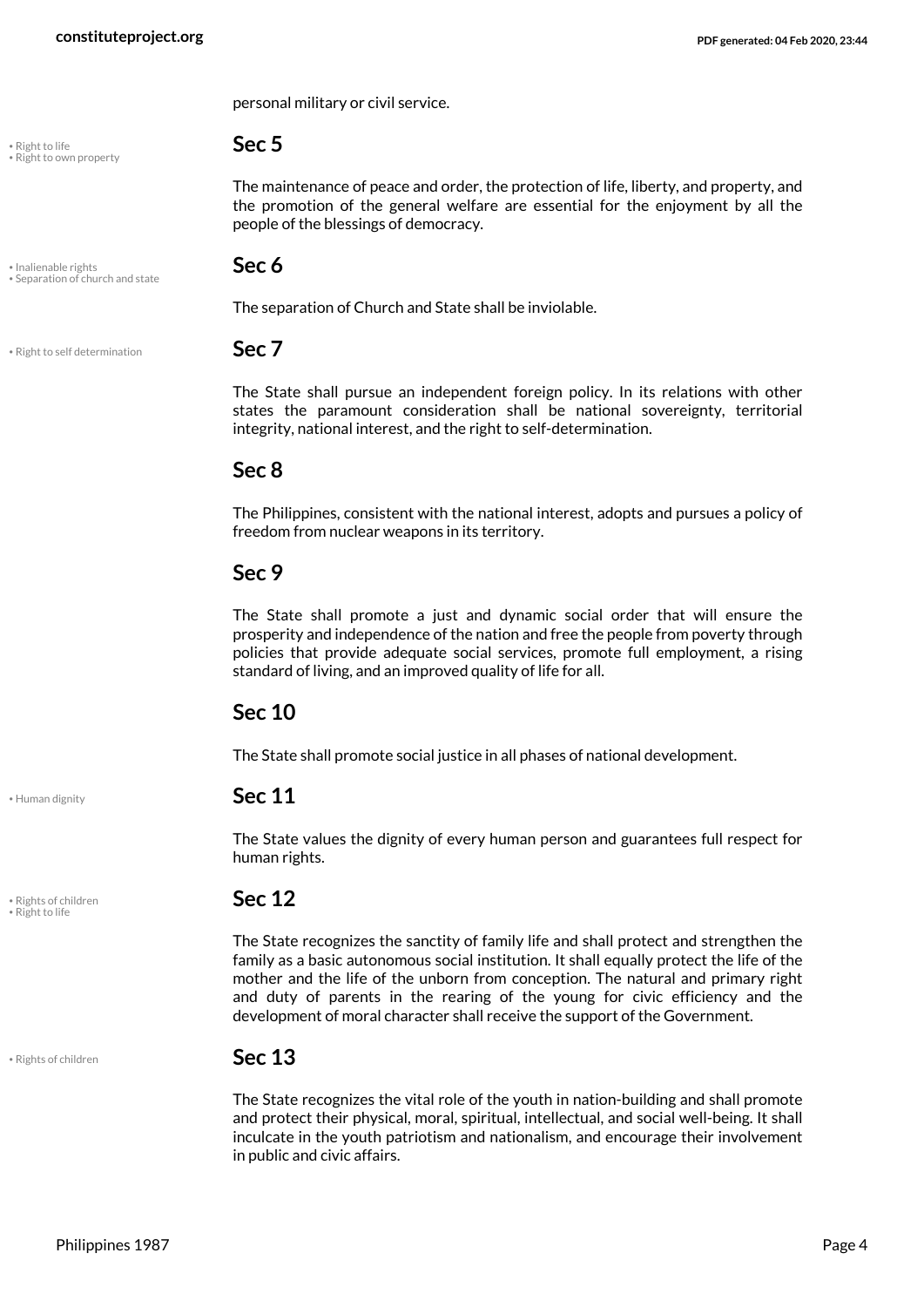personal military or civil service.

The maintenance of peace and order, the protection of life, liberty, and property, and the promotion of the general welfare are essential for the enjoyment by all the people of the blessings of democracy.

<span id="page-3-6"></span>The separation of Church and State shall be inviolable.

<span id="page-3-4"></span>The State shall pursue an independent foreign policy. In its relations with other states the paramount consideration shall be national sovereignty, territorial integrity, national interest, and the right to self-determination.

### **Sec 8**

The Philippines, consistent with the national interest, adopts and pursues a policy of freedom from nuclear weapons in its territory.

#### **Sec 9**

The State shall promote a just and dynamic social order that will ensure the prosperity and independence of the nation and free the people from poverty through policies that provide adequate social services, promote full employment, a rising standard of living, and an improved quality of life for all.

### **Sec 10**

The State shall promote social justice in all phases of national development.

The State values the dignity of every human person and guarantees full respect for human rights.

The State recognizes the sanctity of family life and shall protect and strengthen the family as a basic autonomous social institution. It shall equally protect the life of the mother and the life of the unborn from conception. The natural and primary right and duty of parents in the rearing of the young for civic efficiency and the development of moral character shall receive the support of the Government.

#### <span id="page-3-5"></span>• Rights of children **Sec 13**

The State recognizes the vital role of the youth in nation-building and shall promote and protect their physical, moral, spiritual, intellectual, and social well-being. It shall inculcate in the youth patriotism and nationalism, and encourage their involvement in public and civic affairs.

<span id="page-3-3"></span>• Right to life **Sec 5** • Right to own property

<span id="page-3-1"></span>• Inalienable rights **Sec 6** • Separation of church and state

• Right to self determination **Sec 7**

<span id="page-3-0"></span>• Human dignity **Sec 11**

<span id="page-3-2"></span>• Rights of children **Sec 12** • Right to life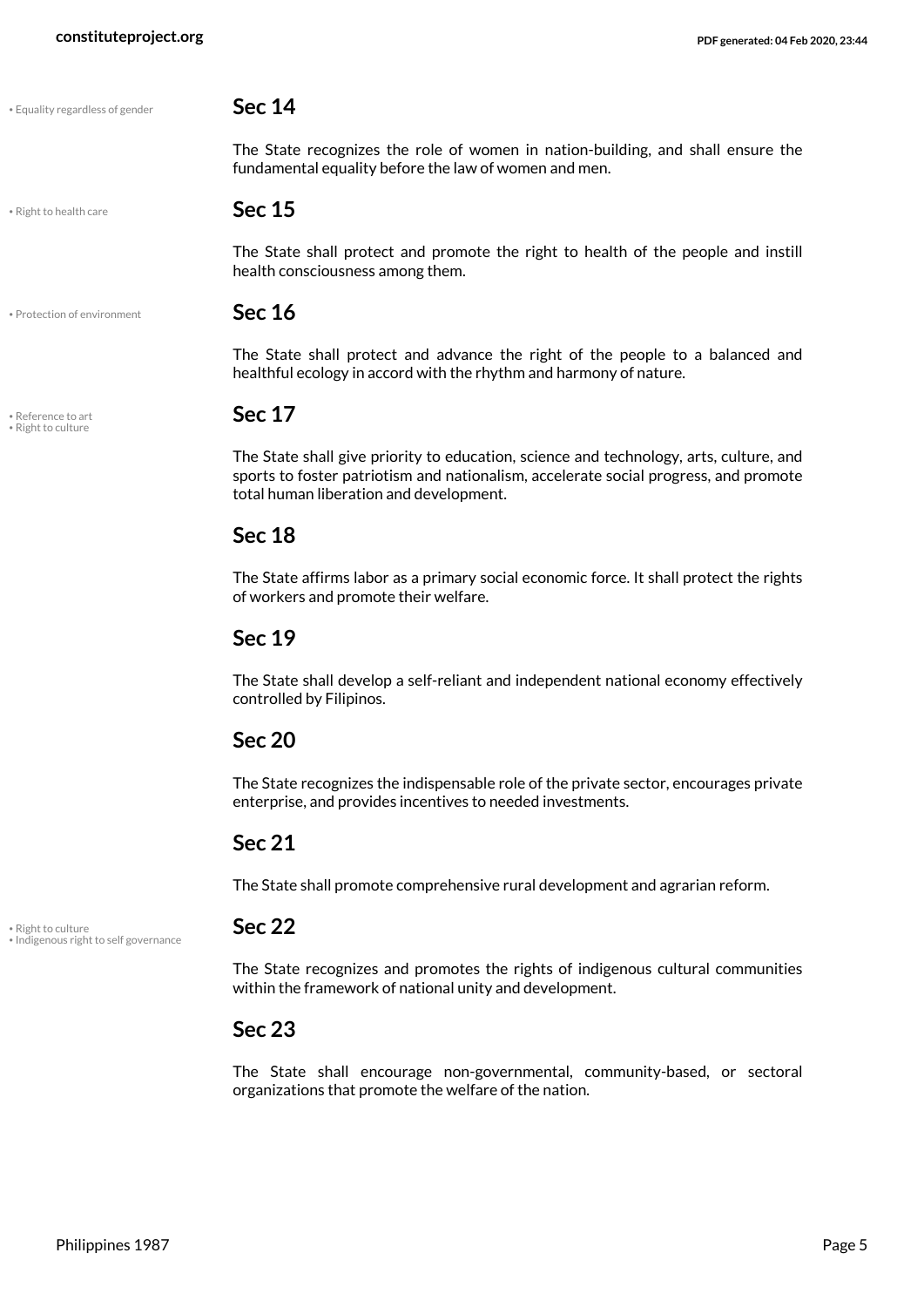#### • Equality regardless of gender **Sec 14**

<span id="page-4-0"></span>The State recognizes the role of women in nation-building, and shall ensure the fundamental equality before the law of women and men.

#### <span id="page-4-5"></span> $\bullet$  Right to health care **Sec 15**

The State shall protect and promote the right to health of the people and instill health consciousness among them.

#### • Protection of environment **Sec 16**

<span id="page-4-2"></span>The State shall protect and advance the right of the people to a balanced and healthful ecology in accord with the rhythm and harmony of nature.

### <span id="page-4-3"></span>• Reference to art **Sec 17**

The State shall give priority to education, science and technology, arts, culture, and sports to foster patriotism and nationalism, accelerate social progress, and promote total human liberation and development.

#### **Sec 18**

The State affirms labor as a primary social economic force. It shall protect the rights of workers and promote their welfare.

#### **Sec 19**

The State shall develop a self-reliant and independent national economy effectively controlled by Filipinos.

#### **Sec 20**

The State recognizes the indispensable role of the private sector, encourages private enterprise, and provides incentives to needed investments.

### **Sec 21**

The State shall promote comprehensive rural development and agrarian reform.

<span id="page-4-4"></span>• Right to culture **Sec 22** • Indigenous right to self governance

<span id="page-4-1"></span>The State recognizes and promotes the rights of indigenous cultural communities within the framework of national unity and development.

#### **Sec 23**

The State shall encourage non-governmental, community-based, or sectoral organizations that promote the welfare of the nation.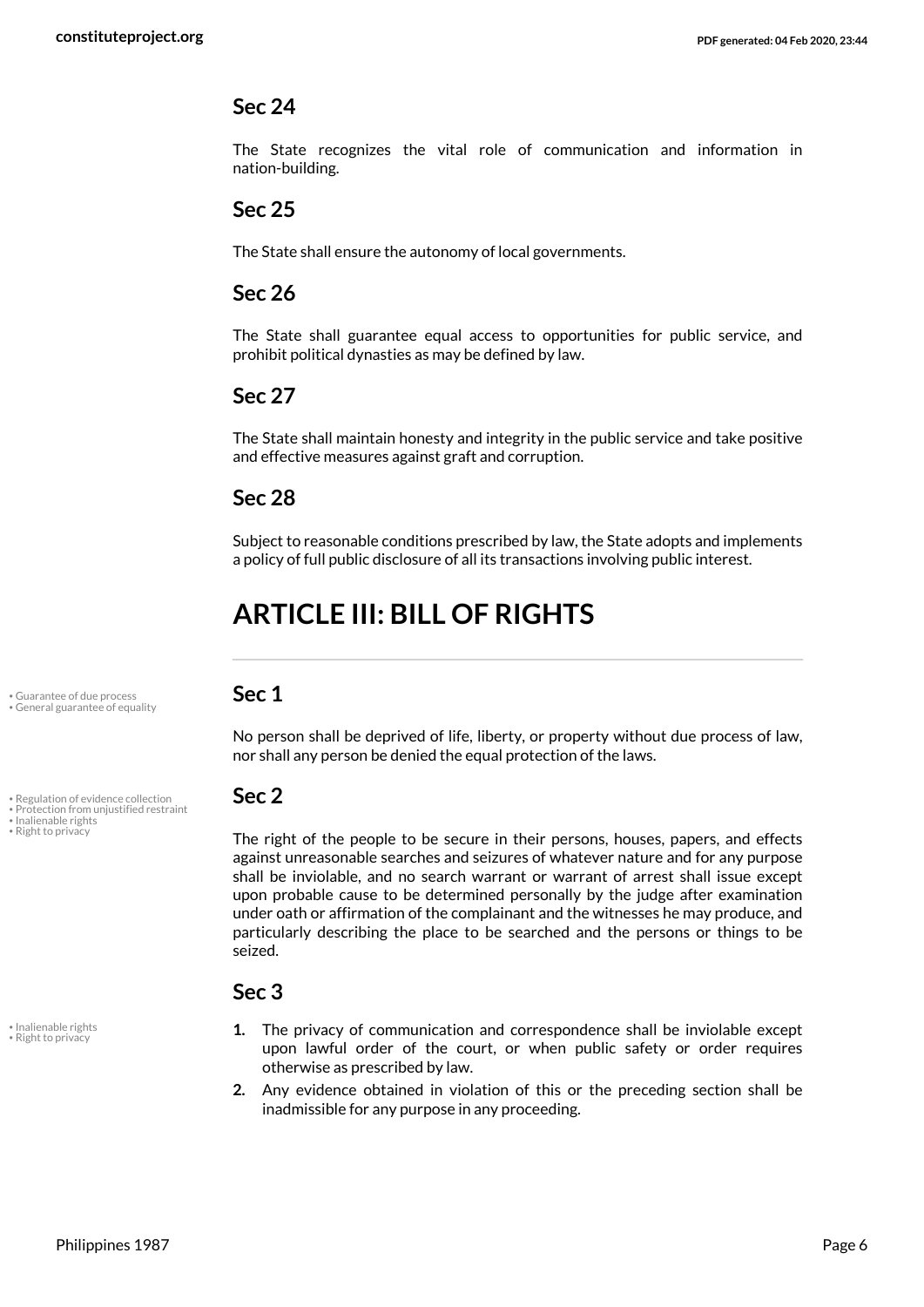The State recognizes the vital role of communication and information in nation-building.

#### **Sec 25**

The State shall ensure the autonomy of local governments.

#### **Sec 26**

The State shall guarantee equal access to opportunities for public service, and prohibit political dynasties as may be defined by law.

### **Sec 27**

The State shall maintain honesty and integrity in the public service and take positive and effective measures against graft and corruption.

### **Sec 28**

Subject to reasonable conditions prescribed by law, the State adopts and implements a policy of full public disclosure of all its transactions involving public interest.

## <span id="page-5-0"></span>**ARTICLE III: BILL OF RIGHTS**

• Guarantee of due process **Sec 1** • General guarantee of equality

• Regulation of evidence collection **Sec 2** • Protection from unjustified restraint

• Inalienable rights<br>• Right to privacy

<span id="page-5-6"></span><span id="page-5-3"></span>• Inalienable rights • Right to privacy

<span id="page-5-2"></span><span id="page-5-1"></span>No person shall be deprived of life, liberty, or property without due process of law, nor shall any person be denied the equal protection of the laws.

<span id="page-5-5"></span><span id="page-5-4"></span>The right of the people to be secure in their persons, houses, papers, and effects against unreasonable searches and seizures of whatever nature and for any purpose shall be inviolable, and no search warrant or warrant of arrest shall issue except upon probable cause to be determined personally by the judge after examination under oath or affirmation of the complainant and the witnesses he may produce, and particularly describing the place to be searched and the persons or things to be seized.

### **Sec 3**

- **1.** The privacy of communication and correspondence shall be inviolable except upon lawful order of the court, or when public safety or order requires otherwise as prescribed by law.
- **2.** Any evidence obtained in violation of this or the preceding section shall be inadmissible for any purpose in any proceeding.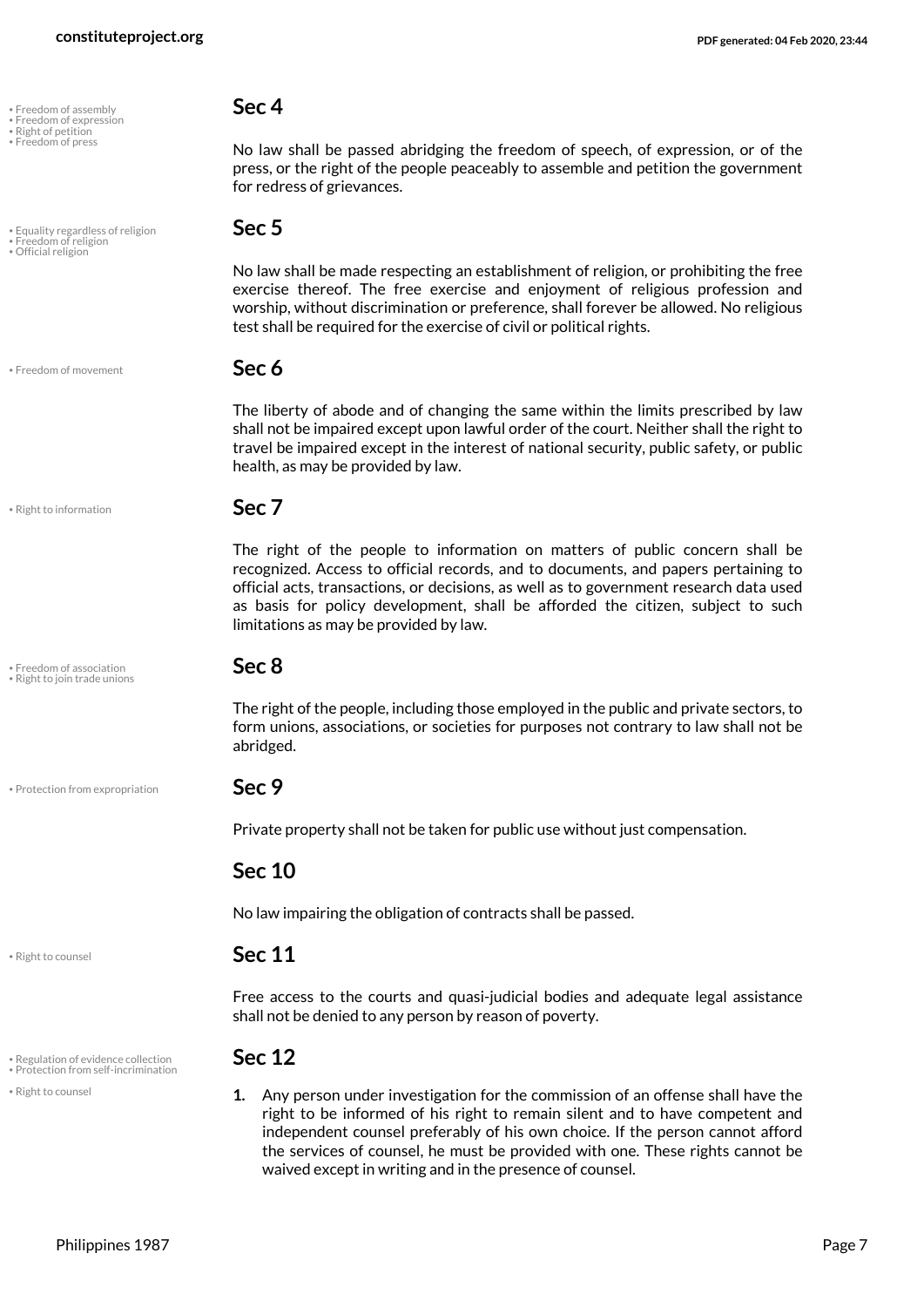<span id="page-6-7"></span><span id="page-6-6"></span>• Official religion

## <span id="page-6-3"></span><span id="page-6-1"></span>• Freedom of assembly<br>• Freedom of expression<br>• Right of petition

<span id="page-6-11"></span><span id="page-6-5"></span>• Freedom of press **No law shall be passed abridging the freedom of speech, of expression, or of the** press, or the right of the people peaceably to assemble and petition the government for redress of grievances.

## • Equality regardless of religion **Sec 5** • Freedom of religion

<span id="page-6-0"></span>No law shall be made respecting an establishment of religion, or prohibiting the free exercise thereof. The free exercise and enjoyment of religious profession and worship, without discrimination or preference, shall forever be allowed. No religious test shall be required for the exercise of civil or political rights.

#### <span id="page-6-4"></span>• Freedom of movement **Sec 6**

The liberty of abode and of changing the same within the limits prescribed by law shall not be impaired except upon lawful order of the court. Neither shall the right to travel be impaired except in the interest of national security, public safety, or public health, as may be provided by law.

#### <span id="page-6-13"></span>• Right to information **Sec 7**

The right of the people to information on matters of public concern shall be recognized. Access to official records, and to documents, and papers pertaining to official acts, transactions, or decisions, as well as to government research data used as basis for policy development, shall be afforded the citizen, subject to such limitations as may be provided by law.

## • Freedom of association **Sec 8** • Right to join trade unions

<span id="page-6-14"></span><span id="page-6-2"></span>The right of the people, including those employed in the public and private sectors, to form unions, associations, or societies for purposes not contrary to law shall not be abridged.

#### • Protection from expropriation **Sec 9**

<span id="page-6-8"></span>Private property shall not be taken for public use without just compensation.

### **Sec 10**

No law impairing the obligation of contracts shall be passed.

#### • Right to counsel **Sec 11**

Free access to the courts and quasi-judicial bodies and adequate legal assistance shall not be denied to any person by reason of poverty.

<span id="page-6-10"></span><span id="page-6-9"></span>**1.** Any person under investigation for the commission of an offense shall have the right to be informed of his right to remain silent and to have competent and independent counsel preferably of his own choice. If the person cannot afford the services of counsel, he must be provided with one. These rights cannot be waived except in writing and in the presence of counsel.

• Regulation of evidence collection **Sec 12** • Protection from self-incrimination

<span id="page-6-12"></span>• Right to counsel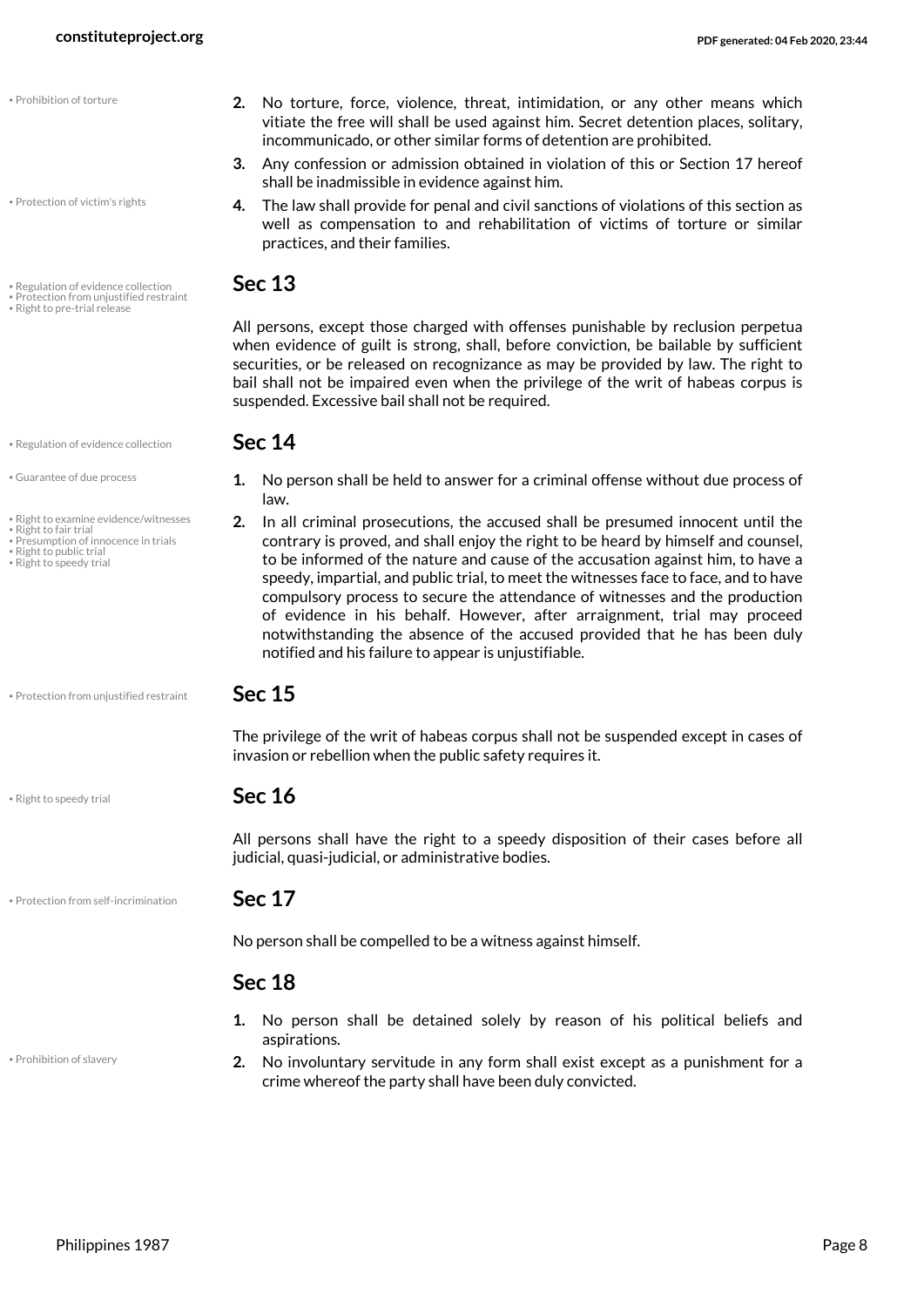<span id="page-7-3"></span>• Prohibition of torture

• Protection of victim's rights

- $\bullet$  Regulation of evidence collection **Sec 13**
- Protection from unjustified restraint<br>• Right to pre-trial release
- 
- Regulation of evidence collection **Sec 14**
- Guarantee of due process
- <span id="page-7-9"></span>• Right to examine evidence/witnesses
- Right to fair trial • Presumption of innocence in trials
- <span id="page-7-11"></span>• Right to public trial
- Right to speedy trial
- Protection from unjustified restraint **Sec 15**
- **2.** No torture, force, violence, threat, intimidation, or any other means which vitiate the free will shall be used against him. Secret detention places, solitary, incommunicado, or other similar forms of detention are prohibited.
- **3.** Any confession or admission obtained in violation of this or Section 17 hereof shall be inadmissible in evidence against him.
- <span id="page-7-6"></span>**4.** The law shall provide for penal and civil sanctions of violations of this section as well as compensation to and rehabilitation of victims of torture or similar practices, and their families.

<span id="page-7-10"></span>All persons, except those charged with offenses punishable by reclusion perpetua when evidence of guilt is strong, shall, before conviction, be bailable by sufficient securities, or be released on recognizance as may be provided by law. The right to bail shall not be impaired even when the privilege of the writ of habeas corpus is suspended. Excessive bail shall not be required.

- <span id="page-7-7"></span><span id="page-7-0"></span>**1.** No person shall be held to answer for a criminal offense without due process of law.
- <span id="page-7-8"></span><span id="page-7-1"></span>**2.** In all criminal prosecutions, the accused shall be presumed innocent until the contrary is proved, and shall enjoy the right to be heard by himself and counsel, to be informed of the nature and cause of the accusation against him, to have a speedy, impartial, and public trial, to meet the witnesses face to face, and to have compulsory process to secure the attendance of witnesses and the production of evidence in his behalf. However, after arraignment, trial may proceed notwithstanding the absence of the accused provided that he has been duly notified and his failure to appear is unjustifiable.

<span id="page-7-5"></span>The privilege of the writ of habeas corpus shall not be suspended except in cases of invasion or rebellion when the public safety requires it.

#### <span id="page-7-12"></span>• Right to speedy trial **Sec 16**

All persons shall have the right to a speedy disposition of their cases before all judicial, quasi-judicial, or administrative bodies.

#### • Protection from self-incrimination **Sec 17**

<span id="page-7-4"></span>No person shall be compelled to be a witness against himself.

#### **Sec 18**

- **1.** No person shall be detained solely by reason of his political beliefs and aspirations.
- <span id="page-7-2"></span>**2.** No involuntary servitude in any form shall exist except as a punishment for a crime whereof the party shall have been duly convicted.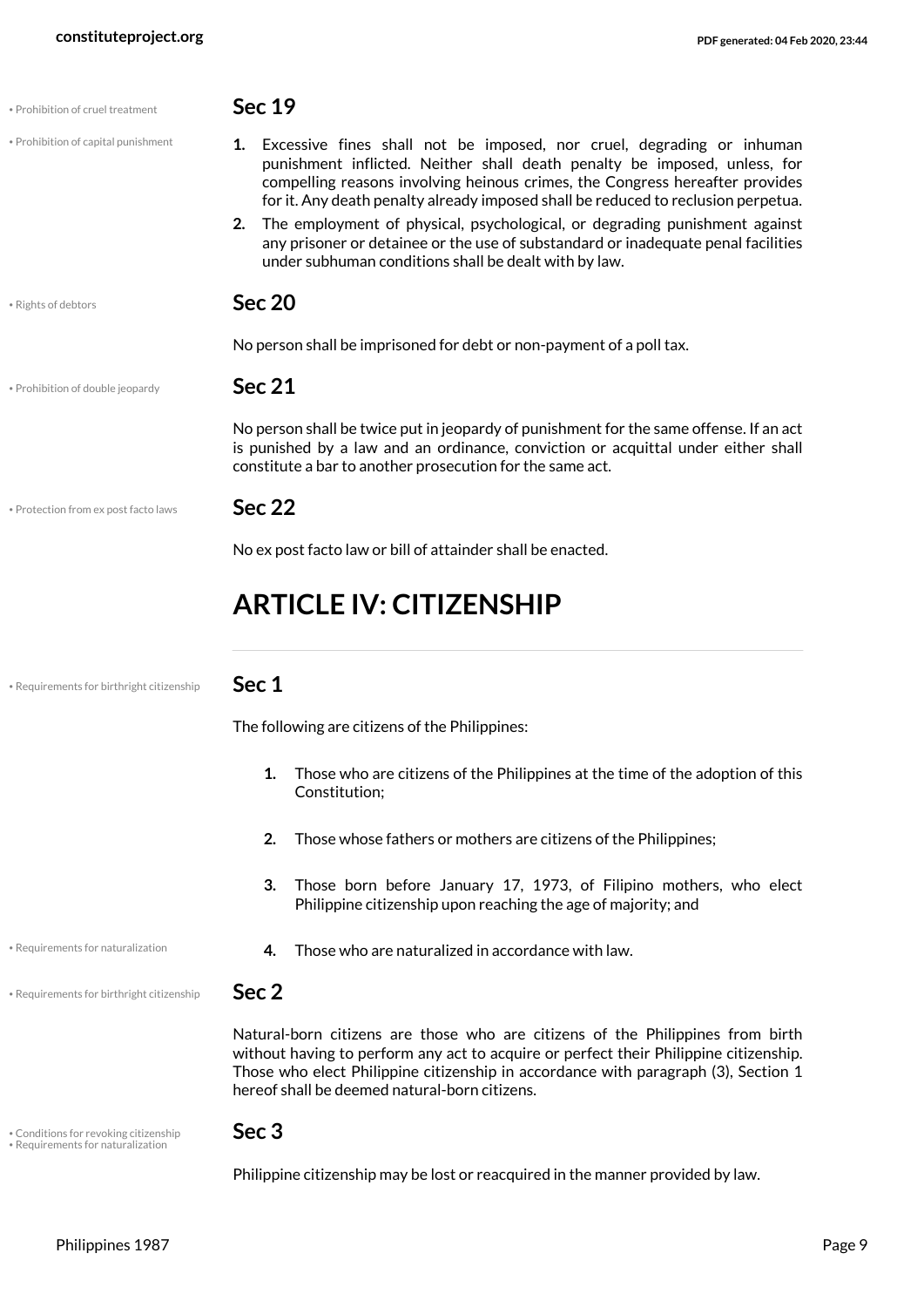<span id="page-8-8"></span><span id="page-8-5"></span><span id="page-8-4"></span><span id="page-8-3"></span><span id="page-8-2"></span>

| • Prohibition of cruel treatment          | <b>Sec 19</b>                                                                                                                                                                                                                                                                                                                                                                                                                                                                                                                                                   |
|-------------------------------------------|-----------------------------------------------------------------------------------------------------------------------------------------------------------------------------------------------------------------------------------------------------------------------------------------------------------------------------------------------------------------------------------------------------------------------------------------------------------------------------------------------------------------------------------------------------------------|
| . Prohibition of capital punishment       | Excessive fines shall not be imposed, nor cruel, degrading or inhuman<br>1.<br>punishment inflicted. Neither shall death penalty be imposed, unless, for<br>compelling reasons involving heinous crimes, the Congress hereafter provides<br>for it. Any death penalty already imposed shall be reduced to reclusion perpetua.<br>The employment of physical, psychological, or degrading punishment against<br>2.<br>any prisoner or detainee or the use of substandard or inadequate penal facilities<br>under subhuman conditions shall be dealt with by law. |
| • Rights of debtors                       | <b>Sec 20</b>                                                                                                                                                                                                                                                                                                                                                                                                                                                                                                                                                   |
|                                           | No person shall be imprisoned for debt or non-payment of a poll tax.                                                                                                                                                                                                                                                                                                                                                                                                                                                                                            |
| • Prohibition of double jeopardy          | <b>Sec 21</b>                                                                                                                                                                                                                                                                                                                                                                                                                                                                                                                                                   |
|                                           | No person shall be twice put in jeopardy of punishment for the same offense. If an act<br>is punished by a law and an ordinance, conviction or acquittal under either shall<br>constitute a bar to another prosecution for the same act.                                                                                                                                                                                                                                                                                                                        |
| . Protection from ex post facto laws      | <b>Sec 22</b>                                                                                                                                                                                                                                                                                                                                                                                                                                                                                                                                                   |
|                                           | No ex post facto law or bill of attainder shall be enacted.                                                                                                                                                                                                                                                                                                                                                                                                                                                                                                     |
|                                           | <b>ARTICLE IV: CITIZENSHIP</b>                                                                                                                                                                                                                                                                                                                                                                                                                                                                                                                                  |
| • Requirements for birthright citizenship | Sec 1                                                                                                                                                                                                                                                                                                                                                                                                                                                                                                                                                           |
|                                           | The following are citizens of the Philippines:                                                                                                                                                                                                                                                                                                                                                                                                                                                                                                                  |
|                                           | Those who are citizens of the Philippines at the time of the adoption of this<br>1.<br>Constitution;                                                                                                                                                                                                                                                                                                                                                                                                                                                            |
|                                           | 2.<br>Those whose fathers or mothers are citizens of the Philippines;                                                                                                                                                                                                                                                                                                                                                                                                                                                                                           |
|                                           | 3.<br>Those born before January 17, 1973, of Filipino mothers, who elect<br>Philippine citizenship upon reaching the age of majority; and                                                                                                                                                                                                                                                                                                                                                                                                                       |
| • Requirements for naturalization         | Those who are naturalized in accordance with law.<br>4.                                                                                                                                                                                                                                                                                                                                                                                                                                                                                                         |
| • Requirements for birthright citizenship | Sec 2                                                                                                                                                                                                                                                                                                                                                                                                                                                                                                                                                           |
|                                           | Natural-born citizens are those who are citizens of the Philippines from birth<br>without having to perform any act to acquire or perfect their Philippine citizenship.<br>Those who elect Philippine citizenship in accordance with paragraph (3), Section 1<br>hereof shall be deemed natural-born citizens.                                                                                                                                                                                                                                                  |

• Conditions for revoking citizenship **Sec 3** • Requirements for naturalization

<span id="page-8-7"></span><span id="page-8-6"></span><span id="page-8-1"></span><span id="page-8-0"></span>Philippine citizenship may be lost or reacquired in the manner provided by law.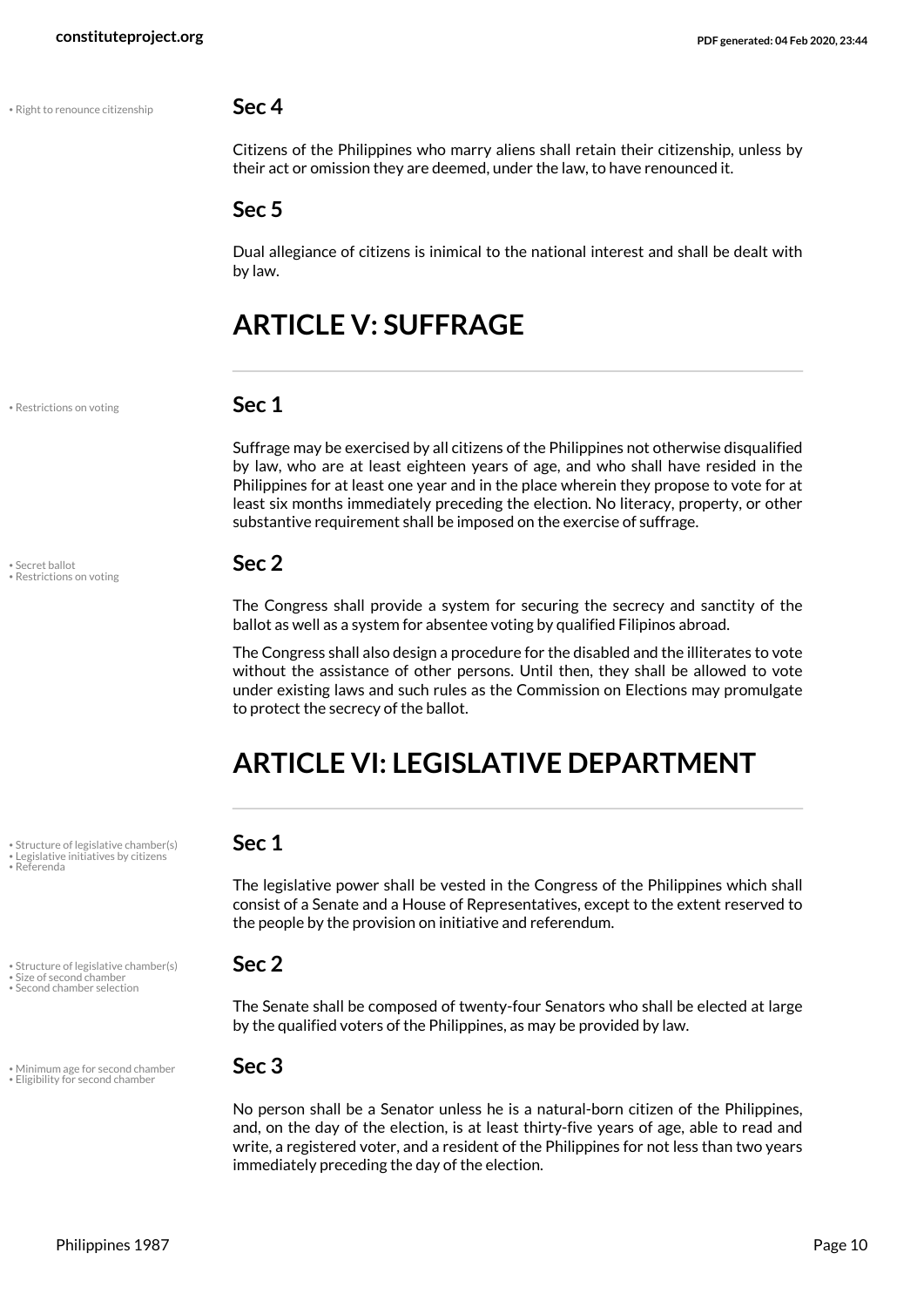• Right to renounce citizenship **Sec 4**

<span id="page-9-7"></span>Citizens of the Philippines who marry aliens shall retain their citizenship, unless by their act or omission they are deemed, under the law, to have renounced it.

#### **Sec 5**

Dual allegiance of citizens is inimical to the national interest and shall be dealt with by law.

## <span id="page-9-0"></span>**ARTICLE V: SUFFRAGE**

• Restrictions on voting **Sec 1**

<span id="page-9-9"></span><span id="page-9-6"></span>• Secret ballot **Sec 2** • Restrictions on voting

Suffrage may be exercised by all citizens of the Philippines not otherwise disqualified by law, who are at least eighteen years of age, and who shall have resided in the Philippines for at least one year and in the place wherein they propose to vote for at least six months immediately preceding the election. No literacy, property, or other substantive requirement shall be imposed on the exercise of suffrage.

The Congress shall provide a system for securing the secrecy and sanctity of the ballot as well as a system for absentee voting by qualified Filipinos abroad.

The Congress shall also design a procedure for the disabled and the illiterates to vote without the assistance of other persons. Until then, they shall be allowed to vote under existing laws and such rules as the Commission on Elections may promulgate to protect the secrecy of the ballot.

## <span id="page-9-1"></span>**ARTICLE VI: LEGISLATIVE DEPARTMENT**

## • Structure of legislative chamber(s) **Sec 1** • Legislative initiatives by citizens • Referenda

<span id="page-9-3"></span>The legislative power shall be vested in the Congress of the Philippines which shall consist of a Senate and a House of Representatives, except to the extent reserved to the people by the provision on initiative and referendum.

<span id="page-9-11"></span><span id="page-9-10"></span><span id="page-9-8"></span>The Senate shall be composed of twenty-four Senators who shall be elected at large by the qualified voters of the Philippines, as may be provided by law.

<span id="page-9-4"></span><span id="page-9-2"></span>No person shall be a Senator unless he is a natural-born citizen of the Philippines, and, on the day of the election, is at least thirty-five years of age, able to read and write, a registered voter, and a resident of the Philippines for not less than two years immediately preceding the day of the election.

<span id="page-9-5"></span>

• Structure of legislative chamber(s) **Sec 2** • Size of second chamber • Second chamber selection

• Minimum age for second chamber **Sec 3** • Eligibility for second chamber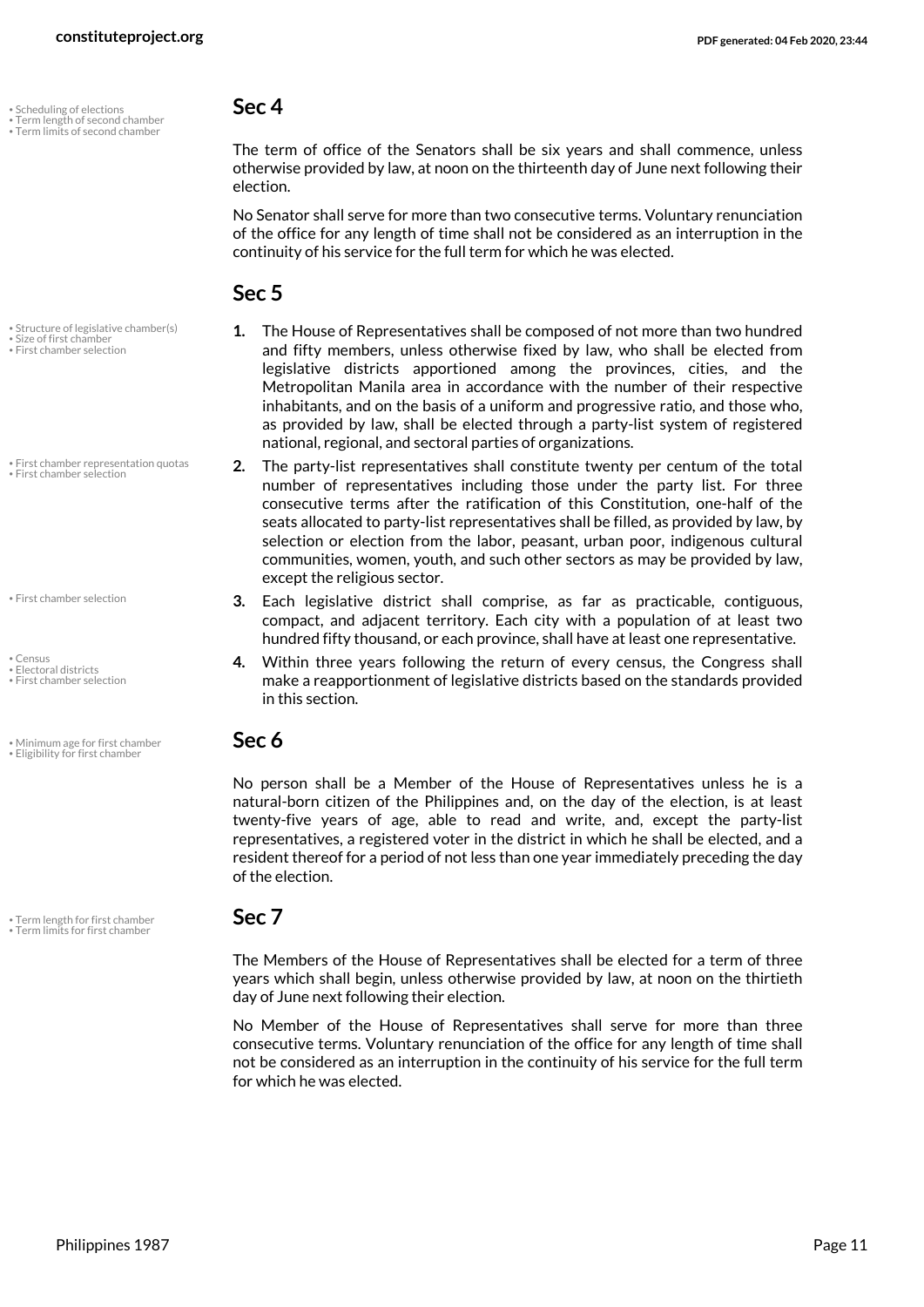## • Scheduling of elections<br>• Term length of second chamber<br>• Term limits of second chamber

- Structure of legislative chamber(s)
- <span id="page-10-7"></span>• Size of first chamber • First chamber selection
- First chamber representation quotas • First chamber selection
- First chamber selection
- <span id="page-10-0"></span>• Census • Electoral districts
- <span id="page-10-1"></span>• First chamber selection
- Minimum age for first chamber **Sec 6** Eligibility for first chamber

• Term length for first chamber **Sec 7** • Term limits for first chamber

<span id="page-10-12"></span><span id="page-10-10"></span><span id="page-10-6"></span>The term of office of the Senators shall be six years and shall commence, unless otherwise provided by law, at noon on the thirteenth day of June next following their election.

No Senator shall serve for more than two consecutive terms. Voluntary renunciation of the office for any length of time shall not be considered as an interruption in the continuity of his service for the full term for which he was elected.

#### **Sec 5**

- <span id="page-10-8"></span>**1.** The House of Representatives shall be composed of not more than two hundred and fifty members, unless otherwise fixed by law, who shall be elected from legislative districts apportioned among the provinces, cities, and the Metropolitan Manila area in accordance with the number of their respective inhabitants, and on the basis of a uniform and progressive ratio, and those who, as provided by law, shall be elected through a party-list system of registered national, regional, and sectoral parties of organizations.
- <span id="page-10-3"></span>**2.** The party-list representatives shall constitute twenty per centum of the total number of representatives including those under the party list. For three consecutive terms after the ratification of this Constitution, one-half of the seats allocated to party-list representatives shall be filled, as provided by law, by selection or election from the labor, peasant, urban poor, indigenous cultural communities, women, youth, and such other sectors as may be provided by law, except the religious sector.
- **3.** Each legislative district shall comprise, as far as practicable, contiguous, compact, and adjacent territory. Each city with a population of at least two hundred fifty thousand, or each province, shall have at least one representative.
- <span id="page-10-4"></span>**4.** Within three years following the return of every census, the Congress shall make a reapportionment of legislative districts based on the standards provided in this section.

<span id="page-10-5"></span><span id="page-10-2"></span>No person shall be a Member of the House of Representatives unless he is a natural-born citizen of the Philippines and, on the day of the election, is at least twenty-five years of age, able to read and write, and, except the party-list representatives, a registered voter in the district in which he shall be elected, and a resident thereof for a period of not less than one year immediately preceding the day of the election.

<span id="page-10-11"></span><span id="page-10-9"></span>The Members of the House of Representatives shall be elected for a term of three years which shall begin, unless otherwise provided by law, at noon on the thirtieth day of June next following their election.

No Member of the House of Representatives shall serve for more than three consecutive terms. Voluntary renunciation of the office for any length of time shall not be considered as an interruption in the continuity of his service for the full term for which he was elected.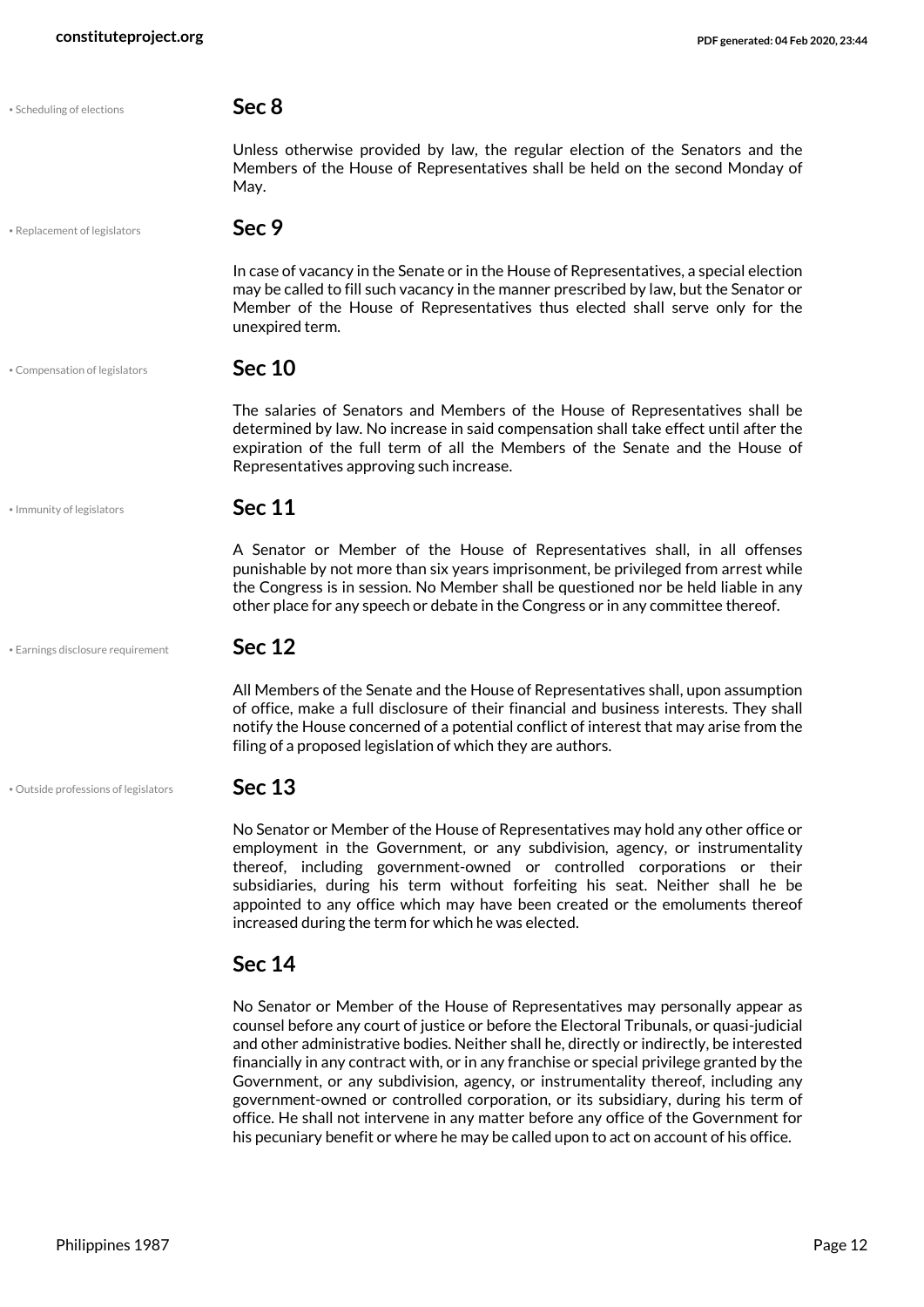<span id="page-11-5"></span><span id="page-11-4"></span><span id="page-11-2"></span><span id="page-11-0"></span>

| • Scheduling of elections            | Sec <sub>8</sub>                                                                                                                                                                                                                                                                                                                                                                                                                                                       |
|--------------------------------------|------------------------------------------------------------------------------------------------------------------------------------------------------------------------------------------------------------------------------------------------------------------------------------------------------------------------------------------------------------------------------------------------------------------------------------------------------------------------|
|                                      | Unless otherwise provided by law, the regular election of the Senators and the<br>Members of the House of Representatives shall be held on the second Monday of<br>May.                                                                                                                                                                                                                                                                                                |
| • Replacement of legislators         | Sec <sub>9</sub>                                                                                                                                                                                                                                                                                                                                                                                                                                                       |
|                                      | In case of vacancy in the Senate or in the House of Representatives, a special election<br>may be called to fill such vacancy in the manner prescribed by law, but the Senator or<br>Member of the House of Representatives thus elected shall serve only for the<br>unexpired term.                                                                                                                                                                                   |
| • Compensation of legislators        | <b>Sec 10</b>                                                                                                                                                                                                                                                                                                                                                                                                                                                          |
|                                      | The salaries of Senators and Members of the House of Representatives shall be<br>determined by law. No increase in said compensation shall take effect until after the<br>expiration of the full term of all the Members of the Senate and the House of<br>Representatives approving such increase.                                                                                                                                                                    |
| · Immunity of legislators            | <b>Sec 11</b>                                                                                                                                                                                                                                                                                                                                                                                                                                                          |
|                                      | A Senator or Member of the House of Representatives shall, in all offenses<br>punishable by not more than six years imprisonment, be privileged from arrest while<br>the Congress is in session. No Member shall be questioned nor be held liable in any<br>other place for any speech or debate in the Congress or in any committee thereof.                                                                                                                          |
| · Earnings disclosure requirement    | <b>Sec 12</b>                                                                                                                                                                                                                                                                                                                                                                                                                                                          |
|                                      | All Members of the Senate and the House of Representatives shall, upon assumption<br>of office, make a full disclosure of their financial and business interests. They shall<br>notify the House concerned of a potential conflict of interest that may arise from the<br>filing of a proposed legislation of which they are authors.                                                                                                                                  |
| · Outside professions of legislators | Sec 13                                                                                                                                                                                                                                                                                                                                                                                                                                                                 |
|                                      | No Senator or Member of the House of Representatives may hold any other office or<br>employment in the Government, or any subdivision, agency, or instrumentality<br>thereof, including government-owned or controlled corporations or their<br>subsidiaries, during his term without forfeiting his seat. Neither shall he be<br>appointed to any office which may have been created or the emoluments thereof<br>increased during the term for which he was elected. |

<span id="page-11-3"></span><span id="page-11-1"></span>No Senator or Member of the House of Representatives may personally appear as counsel before any court of justice or before the Electoral Tribunals, or quasi-judicial and other administrative bodies. Neither shall he, directly or indirectly, be interested financially in any contract with, or in any franchise or special privilege granted by the Government, or any subdivision, agency, or instrumentality thereof, including any government-owned or controlled corporation, or its subsidiary, during his term of office. He shall not intervene in any matter before any office of the Government for his pecuniary benefit or where he may be called upon to act on account of his office.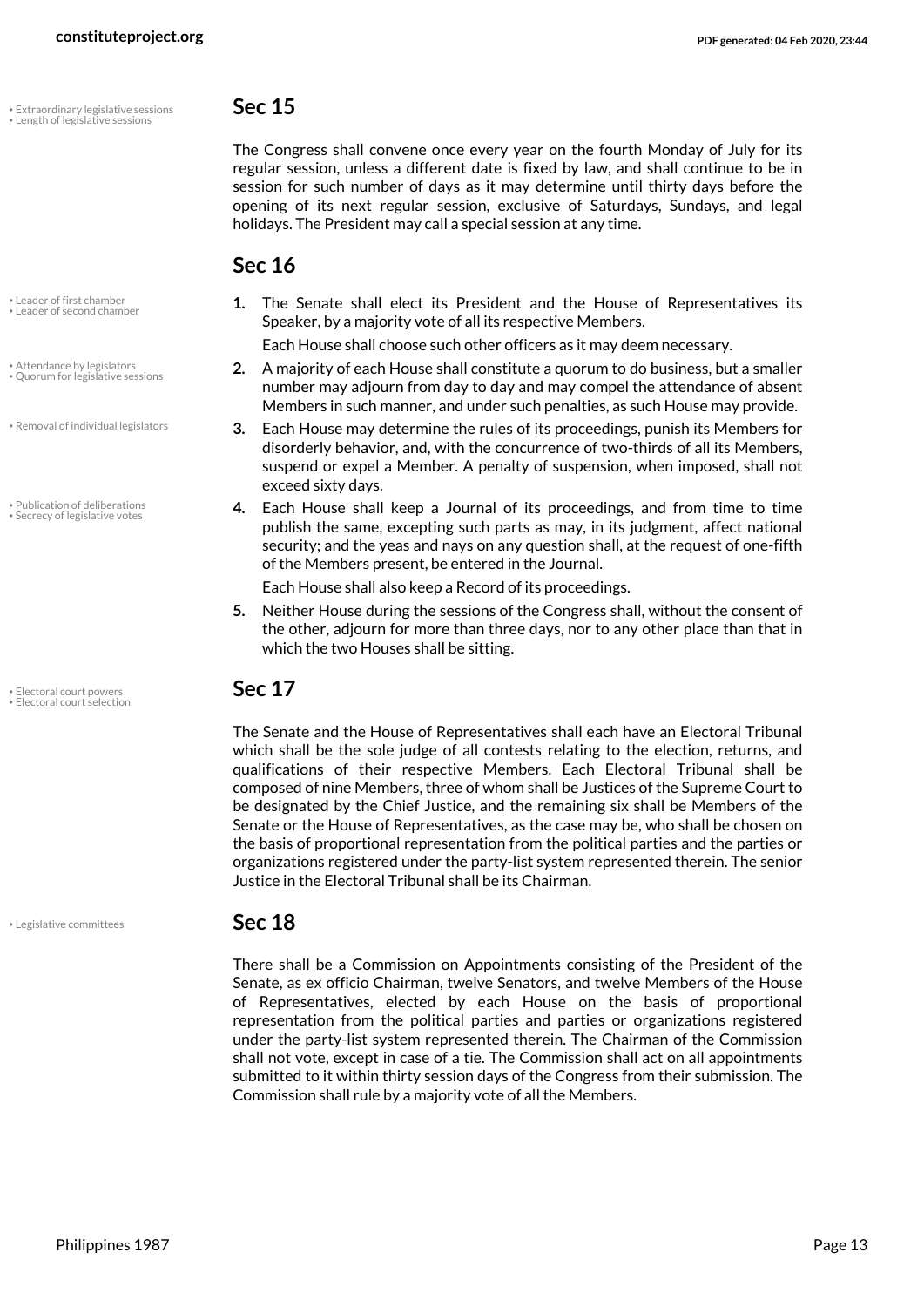• Extraordinary legislative sessions **Sec 15** • Length of legislative sessions

• Leader of first chamber • Leader of second chamber

• Attendance by legislators • Quorum for legislative sessions

• Removal of individual legislators

• Publication of deliberations • Secrecy of legislative votes

<span id="page-12-7"></span><span id="page-12-3"></span>The Congress shall convene once every year on the fourth Monday of July for its regular session, unless a different date is fixed by law, and shall continue to be in session for such number of days as it may determine until thirty days before the opening of its next regular session, exclusive of Saturdays, Sundays, and legal holidays. The President may call a special session at any time.

#### **Sec 16**

<span id="page-12-5"></span><span id="page-12-4"></span>**1.** The Senate shall elect its President and the House of Representatives its Speaker, by a majority vote of all its respective Members.

Each House shall choose such other officers as it may deem necessary.

- <span id="page-12-9"></span><span id="page-12-0"></span>**2.** A majority of each House shall constitute a quorum to do business, but a smaller number may adjourn from day to day and may compel the attendance of absent Members in such manner, and under such penalties, as such House may provide.
- <span id="page-12-10"></span>**3.** Each House may determine the rules of its proceedings, punish its Members for disorderly behavior, and, with the concurrence of two-thirds of all its Members, suspend or expel a Member. A penalty of suspension, when imposed, shall not exceed sixty days.
- <span id="page-12-11"></span><span id="page-12-8"></span>**4.** Each House shall keep a Journal of its proceedings, and from time to time publish the same, excepting such parts as may, in its judgment, affect national security; and the yeas and nays on any question shall, at the request of one-fifth of the Members present, be entered in the Journal.

Each House shall also keep a Record of its proceedings.

**5.** Neither House during the sessions of the Congress shall, without the consent of the other, adjourn for more than three days, nor to any other place than that in which the two Houses shall be sitting.

## <span id="page-12-1"></span>• Electoral court powers **Sec 17** • Electoral court selection

<span id="page-12-2"></span>The Senate and the House of Representatives shall each have an Electoral Tribunal which shall be the sole judge of all contests relating to the election, returns, and qualifications of their respective Members. Each Electoral Tribunal shall be composed of nine Members, three of whom shall be Justices of the Supreme Court to be designated by the Chief Justice, and the remaining six shall be Members of the Senate or the House of Representatives, as the case may be, who shall be chosen on the basis of proportional representation from the political parties and the parties or organizations registered under the party-list system represented therein. The senior Justice in the Electoral Tribunal shall be its Chairman.

<span id="page-12-6"></span>• Legislative committees **Sec 18**

There shall be a Commission on Appointments consisting of the President of the Senate, as ex officio Chairman, twelve Senators, and twelve Members of the House of Representatives, elected by each House on the basis of proportional representation from the political parties and parties or organizations registered under the party-list system represented therein. The Chairman of the Commission shall not vote, except in case of a tie. The Commission shall act on all appointments submitted to it within thirty session days of the Congress from their submission. The Commission shall rule by a majority vote of all the Members.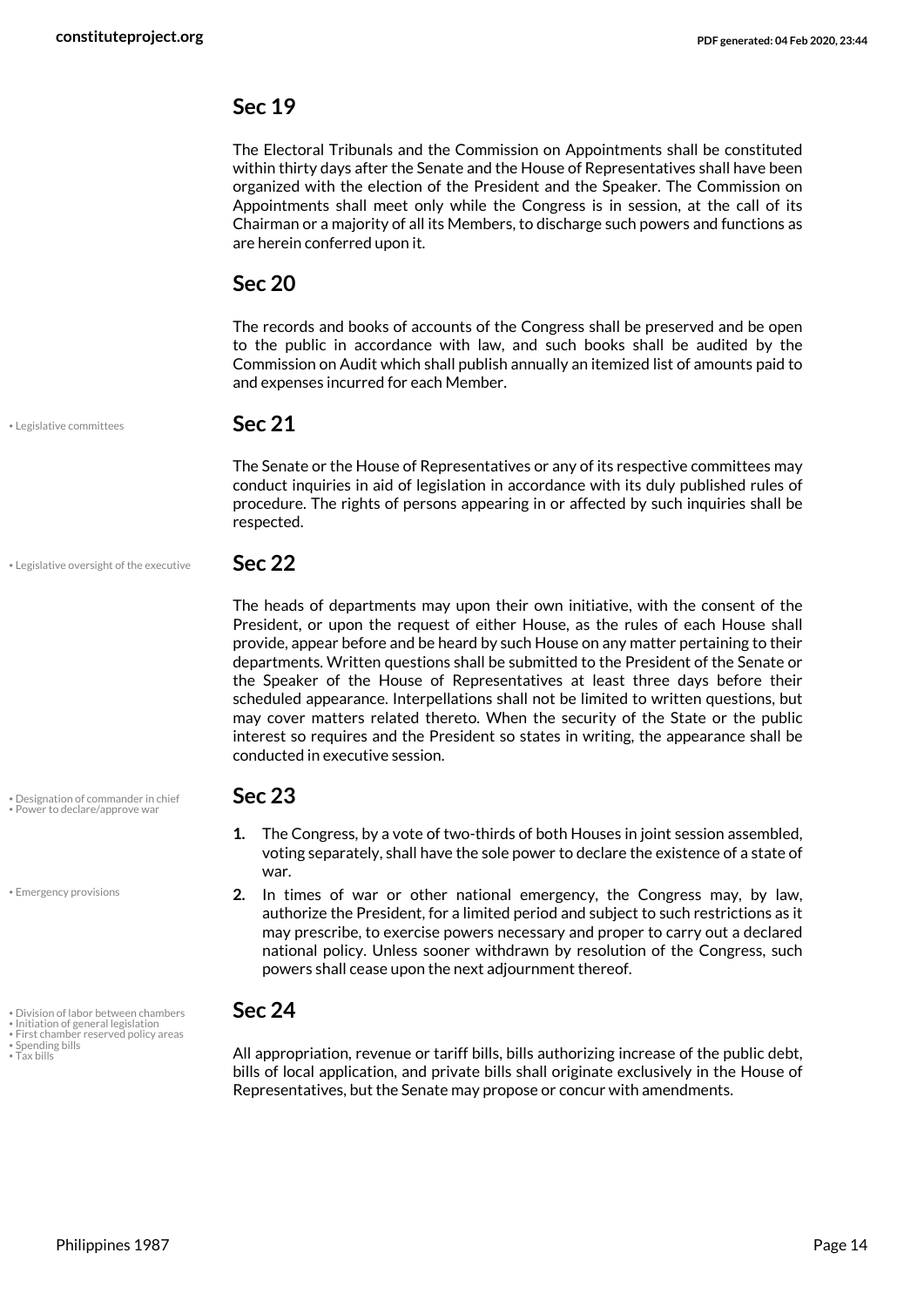The Electoral Tribunals and the Commission on Appointments shall be constituted within thirty days after the Senate and the House of Representatives shall have been organized with the election of the President and the Speaker. The Commission on Appointments shall meet only while the Congress is in session, at the call of its Chairman or a majority of all its Members, to discharge such powers and functions as are herein conferred upon it.

### **Sec 20**

The records and books of accounts of the Congress shall be preserved and be open to the public in accordance with law, and such books shall be audited by the Commission on Audit which shall publish annually an itemized list of amounts paid to and expenses incurred for each Member.

<span id="page-13-5"></span>• Legislative committees **Sec 21**

The Senate or the House of Representatives or any of its respective committees may conduct inquiries in aid of legislation in accordance with its duly published rules of procedure. The rights of persons appearing in or affected by such inquiries shall be respected.

<span id="page-13-6"></span>The heads of departments may upon their own initiative, with the consent of the President, or upon the request of either House, as the rules of each House shall provide, appear before and be heard by such House on any matter pertaining to their departments. Written questions shall be submitted to the President of the Senate or the Speaker of the House of Representatives at least three days before their scheduled appearance. Interpellations shall not be limited to written questions, but may cover matters related thereto. When the security of the State or the public interest so requires and the President so states in writing, the appearance shall be

 $\bullet$  Legislative oversight of the executive **Sec 22** 

• Designation of commander in chief **Sec 23** • Power to declare/approve war

<span id="page-13-2"></span>• Emergency provisions

- Division of labor between chambers **Sec 24** Initiation of general legislation
- 
- First chamber reserved policy areas

<span id="page-13-9"></span><span id="page-13-8"></span>• Spending bills<br>• Tax bills

conducted in executive session.

- <span id="page-13-7"></span><span id="page-13-0"></span>**1.** The Congress, by a vote of two-thirds of both Houses in joint session assembled, voting separately, shall have the sole power to declare the existence of a state of war.
- **2.** In times of war or other national emergency, the Congress may, by law, authorize the President, for a limited period and subject to such restrictions as it may prescribe, to exercise powers necessary and proper to carry out a declared national policy. Unless sooner withdrawn by resolution of the Congress, such powers shall cease upon the next adjournment thereof.

<span id="page-13-4"></span><span id="page-13-3"></span><span id="page-13-1"></span>All appropriation, revenue or tariff bills, bills authorizing increase of the public debt, bills of local application, and private bills shall originate exclusively in the House of Representatives, but the Senate may propose or concur with amendments.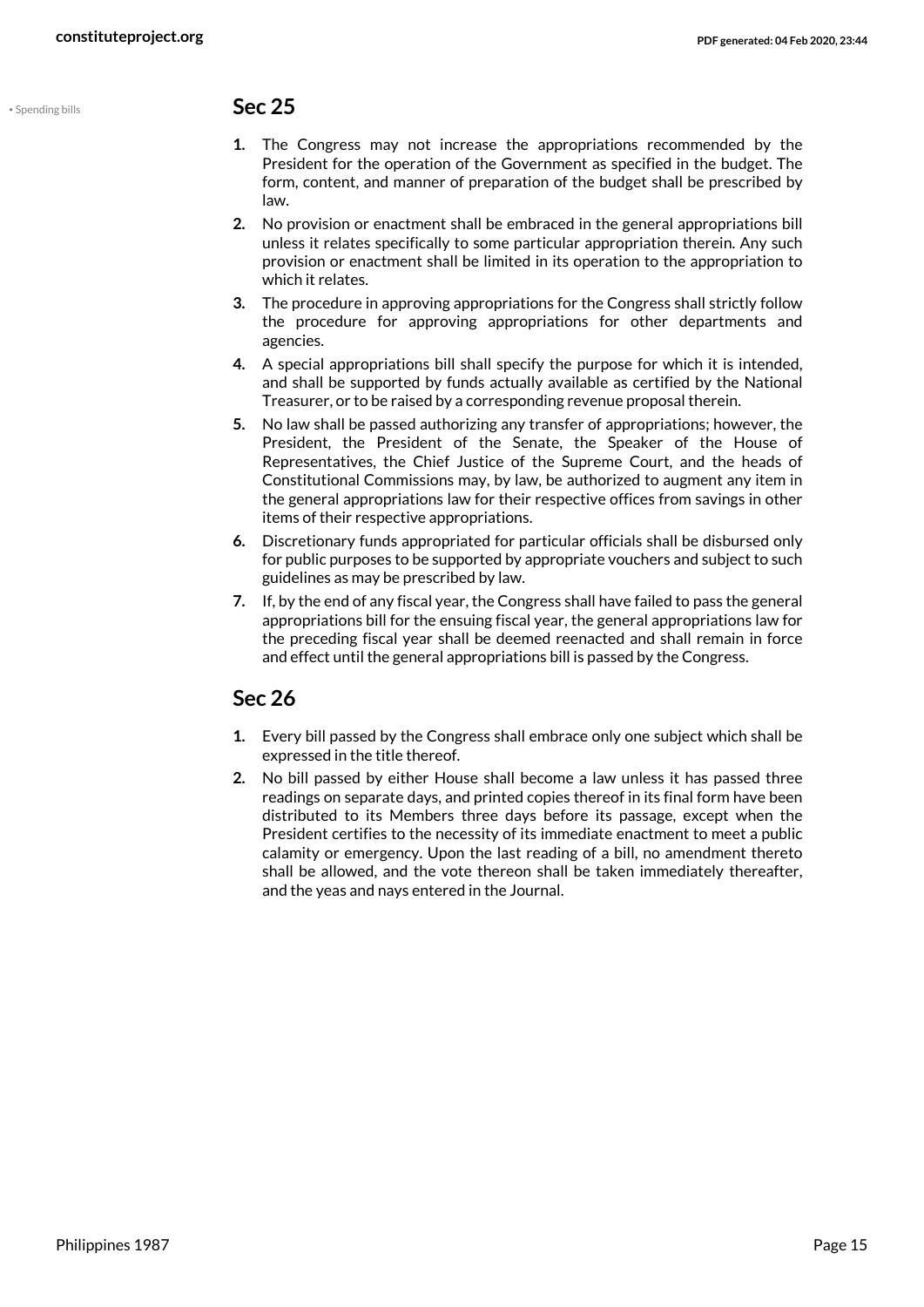<span id="page-14-0"></span>

#### • Spending bills **Sec 25**

- **1.** The Congress may not increase the appropriations recommended by the President for the operation of the Government as specified in the budget. The form, content, and manner of preparation of the budget shall be prescribed by law.
- **2.** No provision or enactment shall be embraced in the general appropriations bill unless it relates specifically to some particular appropriation therein. Any such provision or enactment shall be limited in its operation to the appropriation to which it relates.
- **3.** The procedure in approving appropriations for the Congress shall strictly follow the procedure for approving appropriations for other departments and agencies.
- **4.** A special appropriations bill shall specify the purpose for which it is intended, and shall be supported by funds actually available as certified by the National Treasurer, or to be raised by a corresponding revenue proposal therein.
- **5.** No law shall be passed authorizing any transfer of appropriations; however, the President, the President of the Senate, the Speaker of the House of Representatives, the Chief Justice of the Supreme Court, and the heads of Constitutional Commissions may, by law, be authorized to augment any item in the general appropriations law for their respective offices from savings in other items of their respective appropriations.
- **6.** Discretionary funds appropriated for particular officials shall be disbursed only for public purposes to be supported by appropriate vouchers and subject to such guidelines as may be prescribed by law.
- **7.** If, by the end of any fiscal year, the Congress shall have failed to pass the general appropriations bill for the ensuing fiscal year, the general appropriations law for the preceding fiscal year shall be deemed reenacted and shall remain in force and effect until the general appropriations bill is passed by the Congress.

#### **Sec 26**

- **1.** Every bill passed by the Congress shall embrace only one subject which shall be expressed in the title thereof.
- **2.** No bill passed by either House shall become a law unless it has passed three readings on separate days, and printed copies thereof in its final form have been distributed to its Members three days before its passage, except when the President certifies to the necessity of its immediate enactment to meet a public calamity or emergency. Upon the last reading of a bill, no amendment thereto shall be allowed, and the vote thereon shall be taken immediately thereafter, and the yeas and nays entered in the Journal.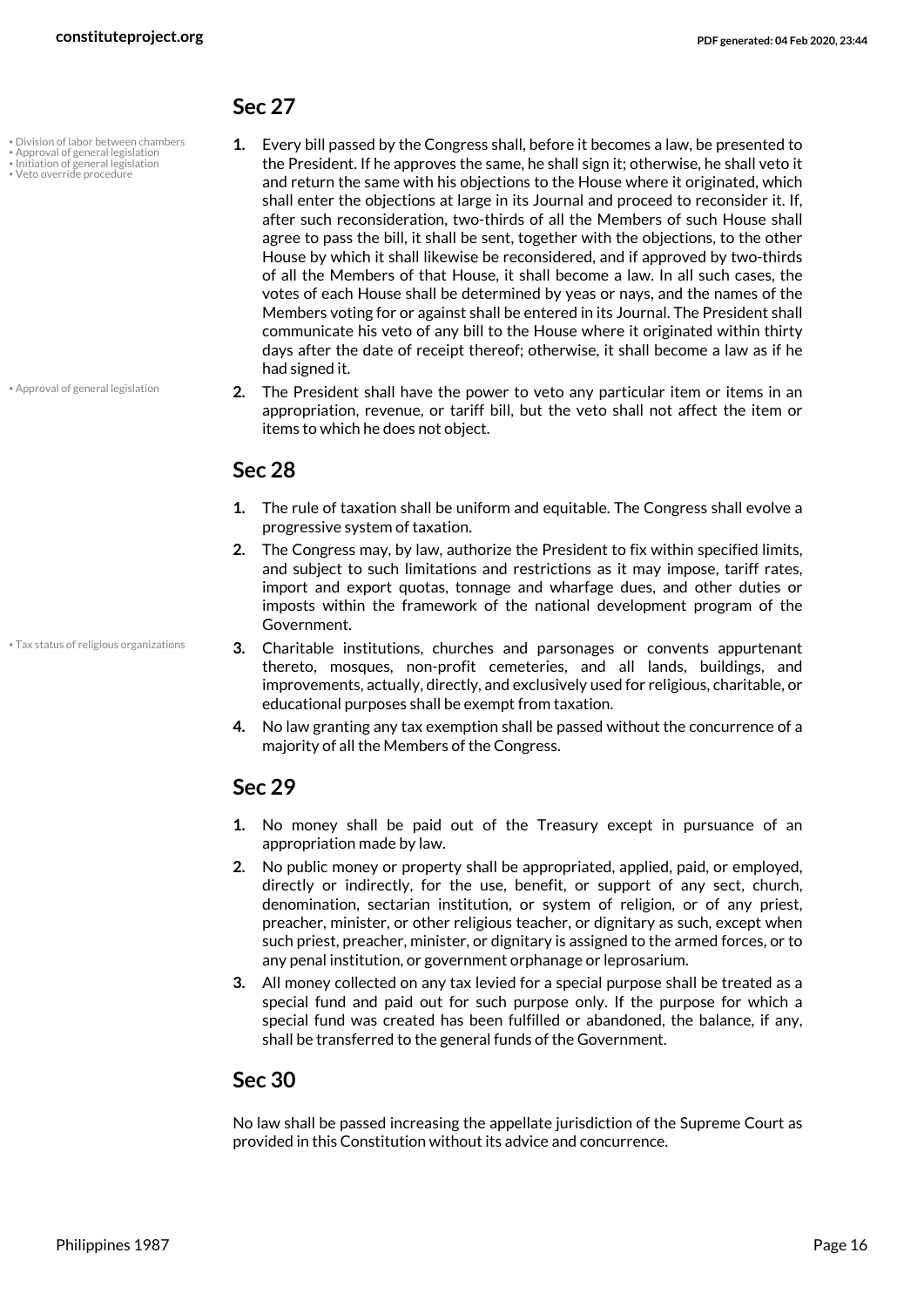• Division of labor between chambers • Approval of general legislation • Initiation of general legislation • Veto override procedure

#### **Sec 27**

- <span id="page-15-4"></span><span id="page-15-2"></span><span id="page-15-1"></span>**1.** Every bill passed by the Congress shall, before it becomes a law, be presented to the President. If he approves the same, he shall sign it; otherwise, he shall veto it and return the same with his objections to the House where it originated, which shall enter the objections at large in its Journal and proceed to reconsider it. If, after such reconsideration, two-thirds of all the Members of such House shall agree to pass the bill, it shall be sent, together with the objections, to the other House by which it shall likewise be reconsidered, and if approved by two-thirds of all the Members of that House, it shall become a law. In all such cases, the votes of each House shall be determined by yeas or nays, and the names of the Members voting for or against shall be entered in its Journal. The President shall communicate his veto of any bill to the House where it originated within thirty days after the date of receipt thereof; otherwise, it shall become a law as if he had signed it.
- <span id="page-15-0"></span>**2.** The President shall have the power to veto any particular item or items in an appropriation, revenue, or tariff bill, but the veto shall not affect the item or items to which he does not object.

#### **Sec 28**

- **1.** The rule of taxation shall be uniform and equitable. The Congress shall evolve a progressive system of taxation.
- **2.** The Congress may, by law, authorize the President to fix within specified limits, and subject to such limitations and restrictions as it may impose, tariff rates, import and export quotas, tonnage and wharfage dues, and other duties or imposts within the framework of the national development program of the Government.
- <span id="page-15-3"></span>**3.** Charitable institutions, churches and parsonages or convents appurtenant thereto, mosques, non-profit cemeteries, and all lands, buildings, and improvements, actually, directly, and exclusively used for religious, charitable, or educational purposes shall be exempt from taxation.
- **4.** No law granting any tax exemption shall be passed without the concurrence of a majority of all the Members of the Congress.

### **Sec 29**

- **1.** No money shall be paid out of the Treasury except in pursuance of an appropriation made by law.
- **2.** No public money or property shall be appropriated, applied, paid, or employed, directly or indirectly, for the use, benefit, or support of any sect, church, denomination, sectarian institution, or system of religion, or of any priest, preacher, minister, or other religious teacher, or dignitary as such, except when such priest, preacher, minister, or dignitary is assigned to the armed forces, or to any penal institution, or government orphanage or leprosarium.
- **3.** All money collected on any tax levied for a special purpose shall be treated as a special fund and paid out for such purpose only. If the purpose for which a special fund was created has been fulfilled or abandoned, the balance, if any, shall be transferred to the general funds of the Government.

#### **Sec 30**

No law shall be passed increasing the appellate jurisdiction of the Supreme Court as provided in this Constitution without its advice and concurrence.

• Approval of general legislation

• Tax status of religious organizations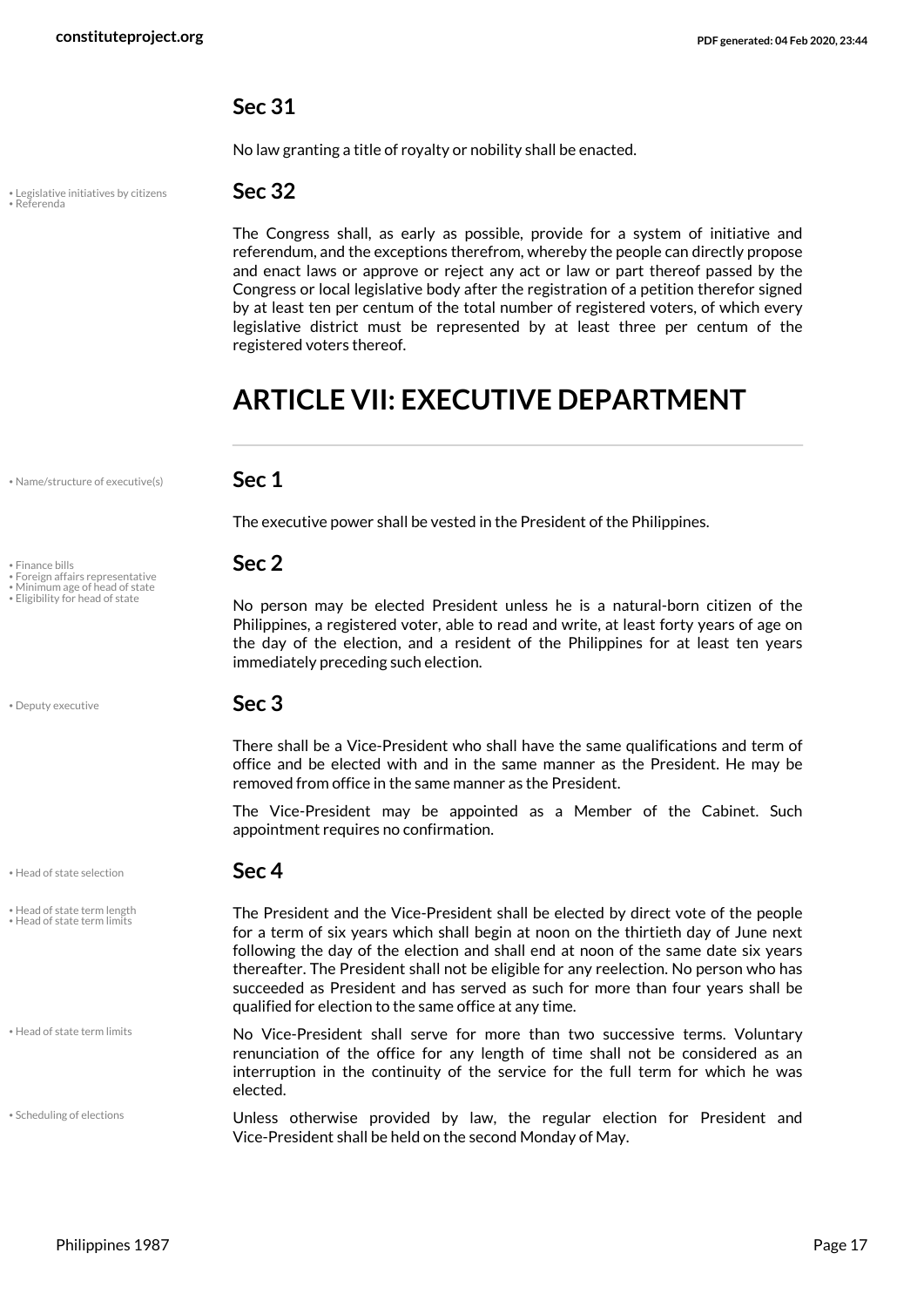No law granting a title of royalty or nobility shall be enacted.

<span id="page-16-11"></span>• Legislative initiatives by citizens **Sec 32** • Referenda

<span id="page-16-8"></span>The Congress shall, as early as possible, provide for a system of initiative and referendum, and the exceptions therefrom, whereby the people can directly propose and enact laws or approve or reject any act or law or part thereof passed by the Congress or local legislative body after the registration of a petition therefor signed by at least ten per centum of the total number of registered voters, of which every legislative district must be represented by at least three per centum of the registered voters thereof.

## <span id="page-16-0"></span>**ARTICLE VII: EXECUTIVE DEPARTMENT**

#### • Name/structure of executive(s) **Sec 1**

<span id="page-16-10"></span><span id="page-16-9"></span><span id="page-16-4"></span><span id="page-16-2"></span>The executive power shall be vested in the President of the Philippines.

• Eligibility for head of state No person may be elected President unless he is a natural-born citizen of the Philippines, a registered voter, able to read and write, at least forty years of age on the day of the election, and a resident of the Philippines for at least ten years immediately preceding such election.

There shall be a Vice-President who shall have the same qualifications and term of office and be elected with and in the same manner as the President. He may be removed from office in the same manner as the President.

The Vice-President may be appointed as a Member of the Cabinet. Such appointment requires no confirmation.

- <span id="page-16-6"></span><span id="page-16-5"></span>The President and the Vice-President shall be elected by direct vote of the people for a term of six years which shall begin at noon on the thirtieth day of June next following the day of the election and shall end at noon of the same date six years thereafter. The President shall not be eligible for any reelection. No person who has succeeded as President and has served as such for more than four years shall be qualified for election to the same office at any time.
	- No Vice-President shall serve for more than two successive terms. Voluntary renunciation of the office for any length of time shall not be considered as an interruption in the continuity of the service for the full term for which he was elected.
- <span id="page-16-12"></span><span id="page-16-7"></span>Unless otherwise provided by law, the regular election for President and Vice-President shall be held on the second Monday of May.

<span id="page-16-3"></span>

- Finance bills **Sec 2** Foreign affairs representative Minimum age of head of state
- 

<span id="page-16-1"></span>• Deputy executive **Sec 3**

• Head of state selection **Sec 4**

• Head of state term length  $\bullet$  Head of state term limit

• Head of state term limits

• Scheduling of elections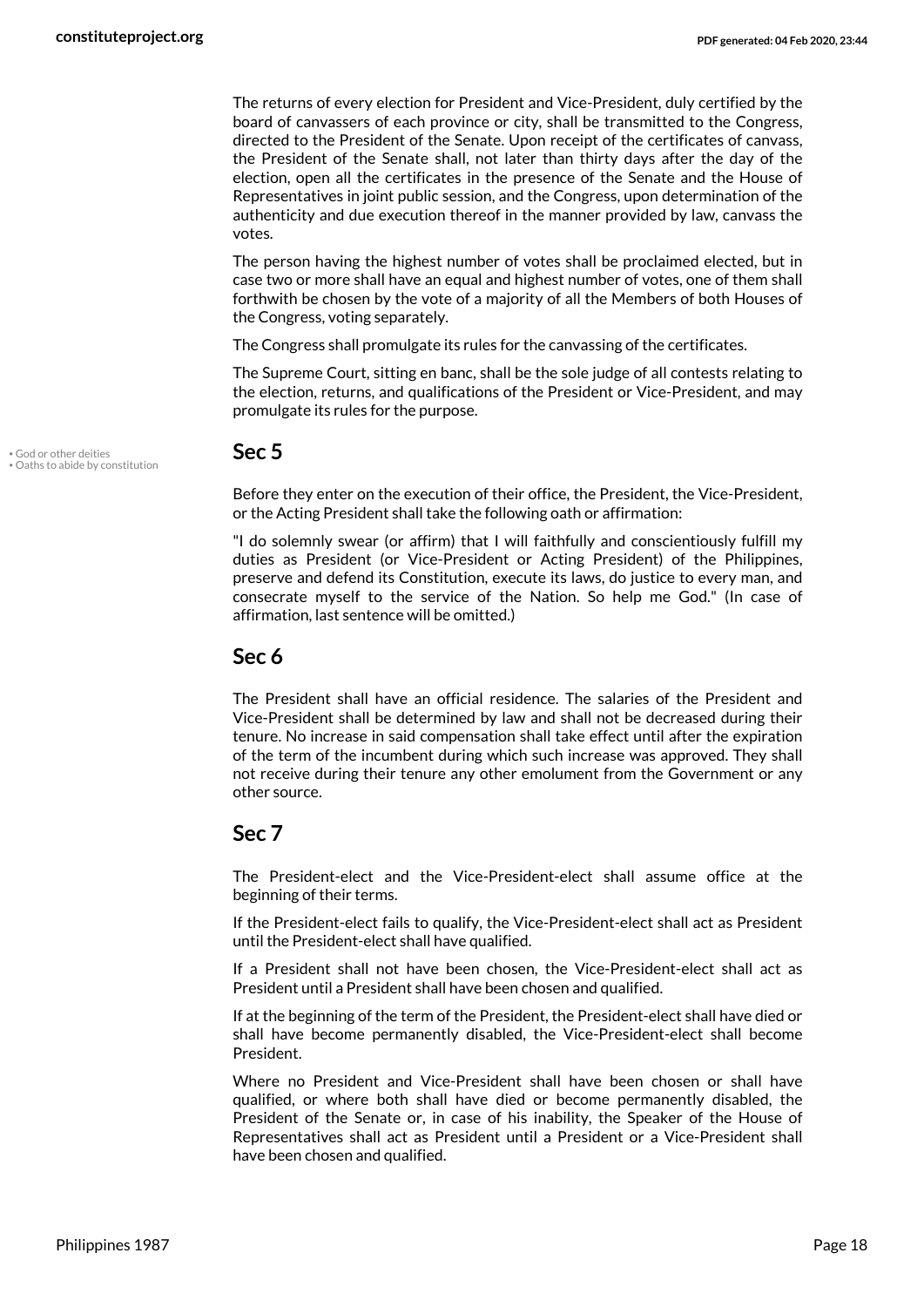The returns of every election for President and Vice-President, duly certified by the board of canvassers of each province or city, shall be transmitted to the Congress, directed to the President of the Senate. Upon receipt of the certificates of canvass, the President of the Senate shall, not later than thirty days after the day of the election, open all the certificates in the presence of the Senate and the House of Representatives in joint public session, and the Congress, upon determination of the authenticity and due execution thereof in the manner provided by law, canvass the votes.

The person having the highest number of votes shall be proclaimed elected, but in case two or more shall have an equal and highest number of votes, one of them shall forthwith be chosen by the vote of a majority of all the Members of both Houses of the Congress, voting separately.

The Congress shall promulgate its rules for the canvassing of the certificates.

The Supreme Court, sitting en banc, shall be the sole judge of all contests relating to the election, returns, and qualifications of the President or Vice-President, and may promulgate its rules for the purpose.

<span id="page-17-0"></span>• God or other deities **Sec 5** • Oaths to abide by constitution

<span id="page-17-1"></span>Before they enter on the execution of their office, the President, the Vice-President, or the Acting President shall take the following oath or affirmation:

"I do solemnly swear (or affirm) that I will faithfully and conscientiously fulfill my duties as President (or Vice-President or Acting President) of the Philippines, preserve and defend its Constitution, execute its laws, do justice to every man, and consecrate myself to the service of the Nation. So help me God." (In case of affirmation, last sentence will be omitted.)

#### **Sec 6**

The President shall have an official residence. The salaries of the President and Vice-President shall be determined by law and shall not be decreased during their tenure. No increase in said compensation shall take effect until after the expiration of the term of the incumbent during which such increase was approved. They shall not receive during their tenure any other emolument from the Government or any other source.

#### **Sec 7**

The President-elect and the Vice-President-elect shall assume office at the beginning of their terms.

If the President-elect fails to qualify, the Vice-President-elect shall act as President until the President-elect shall have qualified.

If a President shall not have been chosen, the Vice-President-elect shall act as President until a President shall have been chosen and qualified.

If at the beginning of the term of the President, the President-elect shall have died or shall have become permanently disabled, the Vice-President-elect shall become President.

Where no President and Vice-President shall have been chosen or shall have qualified, or where both shall have died or become permanently disabled, the President of the Senate or, in case of his inability, the Speaker of the House of Representatives shall act as President until a President or a Vice-President shall have been chosen and qualified.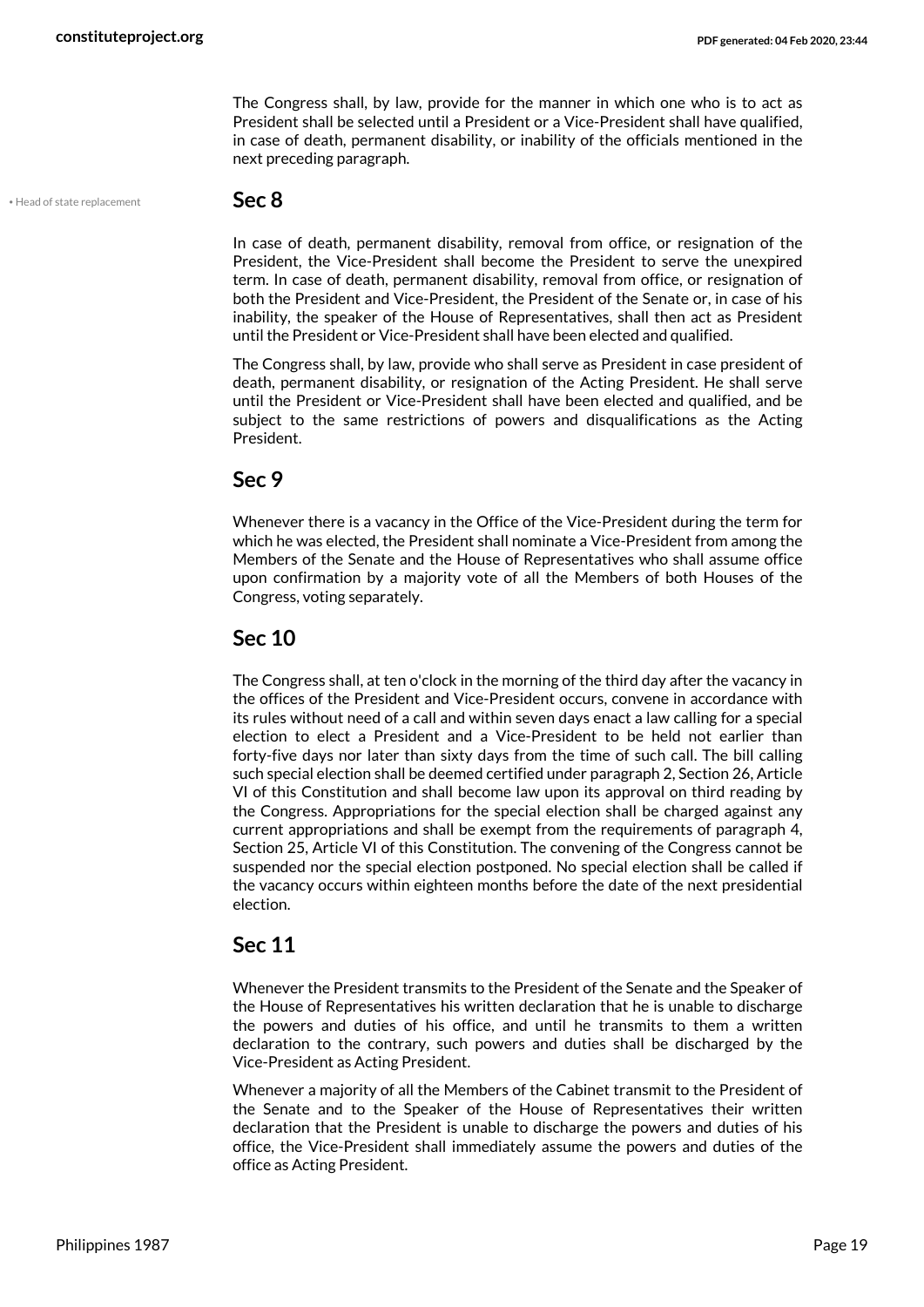The Congress shall, by law, provide for the manner in which one who is to act as President shall be selected until a President or a Vice-President shall have qualified, in case of death, permanent disability, or inability of the officials mentioned in the next preceding paragraph.

• Head of state replacement **Sec 8**

<span id="page-18-0"></span>In case of death, permanent disability, removal from office, or resignation of the President, the Vice-President shall become the President to serve the unexpired term. In case of death, permanent disability, removal from office, or resignation of both the President and Vice-President, the President of the Senate or, in case of his inability, the speaker of the House of Representatives, shall then act as President until the President or Vice-President shall have been elected and qualified.

The Congress shall, by law, provide who shall serve as President in case president of death, permanent disability, or resignation of the Acting President. He shall serve until the President or Vice-President shall have been elected and qualified, and be subject to the same restrictions of powers and disqualifications as the Acting President.

#### **Sec 9**

Whenever there is a vacancy in the Office of the Vice-President during the term for which he was elected, the President shall nominate a Vice-President from among the Members of the Senate and the House of Representatives who shall assume office upon confirmation by a majority vote of all the Members of both Houses of the Congress, voting separately.

#### **Sec 10**

The Congress shall, at ten o'clock in the morning of the third day after the vacancy in the offices of the President and Vice-President occurs, convene in accordance with its rules without need of a call and within seven days enact a law calling for a special election to elect a President and a Vice-President to be held not earlier than forty-five days nor later than sixty days from the time of such call. The bill calling such special election shall be deemed certified under paragraph 2, Section 26, Article VI of this Constitution and shall become law upon its approval on third reading by the Congress. Appropriations for the special election shall be charged against any current appropriations and shall be exempt from the requirements of paragraph 4, Section 25, Article VI of this Constitution. The convening of the Congress cannot be suspended nor the special election postponed. No special election shall be called if the vacancy occurs within eighteen months before the date of the next presidential election.

#### **Sec 11**

Whenever the President transmits to the President of the Senate and the Speaker of the House of Representatives his written declaration that he is unable to discharge the powers and duties of his office, and until he transmits to them a written declaration to the contrary, such powers and duties shall be discharged by the Vice-President as Acting President.

Whenever a majority of all the Members of the Cabinet transmit to the President of the Senate and to the Speaker of the House of Representatives their written declaration that the President is unable to discharge the powers and duties of his office, the Vice-President shall immediately assume the powers and duties of the office as Acting President.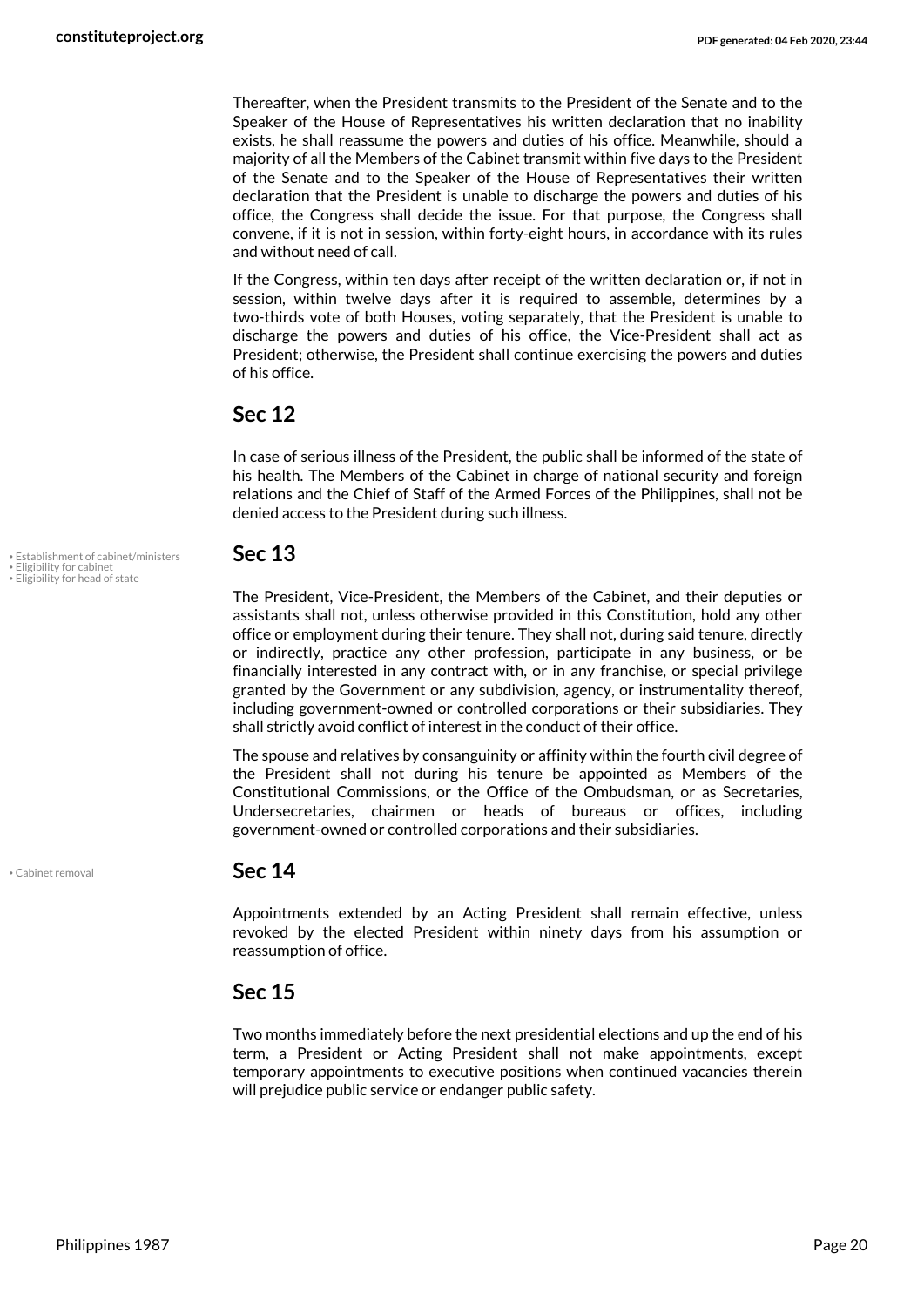Thereafter, when the President transmits to the President of the Senate and to the Speaker of the House of Representatives his written declaration that no inability exists, he shall reassume the powers and duties of his office. Meanwhile, should a majority of all the Members of the Cabinet transmit within five days to the President of the Senate and to the Speaker of the House of Representatives their written declaration that the President is unable to discharge the powers and duties of his office, the Congress shall decide the issue. For that purpose, the Congress shall convene, if it is not in session, within forty-eight hours, in accordance with its rules and without need of call.

If the Congress, within ten days after receipt of the written declaration or, if not in session, within twelve days after it is required to assemble, determines by a two-thirds vote of both Houses, voting separately, that the President is unable to discharge the powers and duties of his office, the Vice-President shall act as President; otherwise, the President shall continue exercising the powers and duties of his office.

#### **Sec 12**

In case of serious illness of the President, the public shall be informed of the state of his health. The Members of the Cabinet in charge of national security and foreign relations and the Chief of Staff of the Armed Forces of the Philippines, shall not be denied access to the President during such illness.

#### <span id="page-19-1"></span> $\epsilon$  Establishment of cabinet/ministers **Sec 13**

<span id="page-19-3"></span><span id="page-19-2"></span>The President, Vice-President, the Members of the Cabinet, and their deputies or assistants shall not, unless otherwise provided in this Constitution, hold any other office or employment during their tenure. They shall not, during said tenure, directly or indirectly, practice any other profession, participate in any business, or be financially interested in any contract with, or in any franchise, or special privilege granted by the Government or any subdivision, agency, or instrumentality thereof, including government-owned or controlled corporations or their subsidiaries. They shall strictly avoid conflict of interest in the conduct of their office.

The spouse and relatives by consanguinity or affinity within the fourth civil degree of the President shall not during his tenure be appointed as Members of the Constitutional Commissions, or the Office of the Ombudsman, or as Secretaries, Undersecretaries, chairmen or heads of bureaus or offices, including government-owned or controlled corporations and their subsidiaries.

<span id="page-19-0"></span>

• Eligibility for cabinet<br>• Eligibility for head of state

#### • Cabinet removal **Sec 14**

Appointments extended by an Acting President shall remain effective, unless revoked by the elected President within ninety days from his assumption or reassumption of office.

#### **Sec 15**

Two months immediately before the next presidential elections and up the end of his term, a President or Acting President shall not make appointments, except temporary appointments to executive positions when continued vacancies therein will prejudice public service or endanger public safety.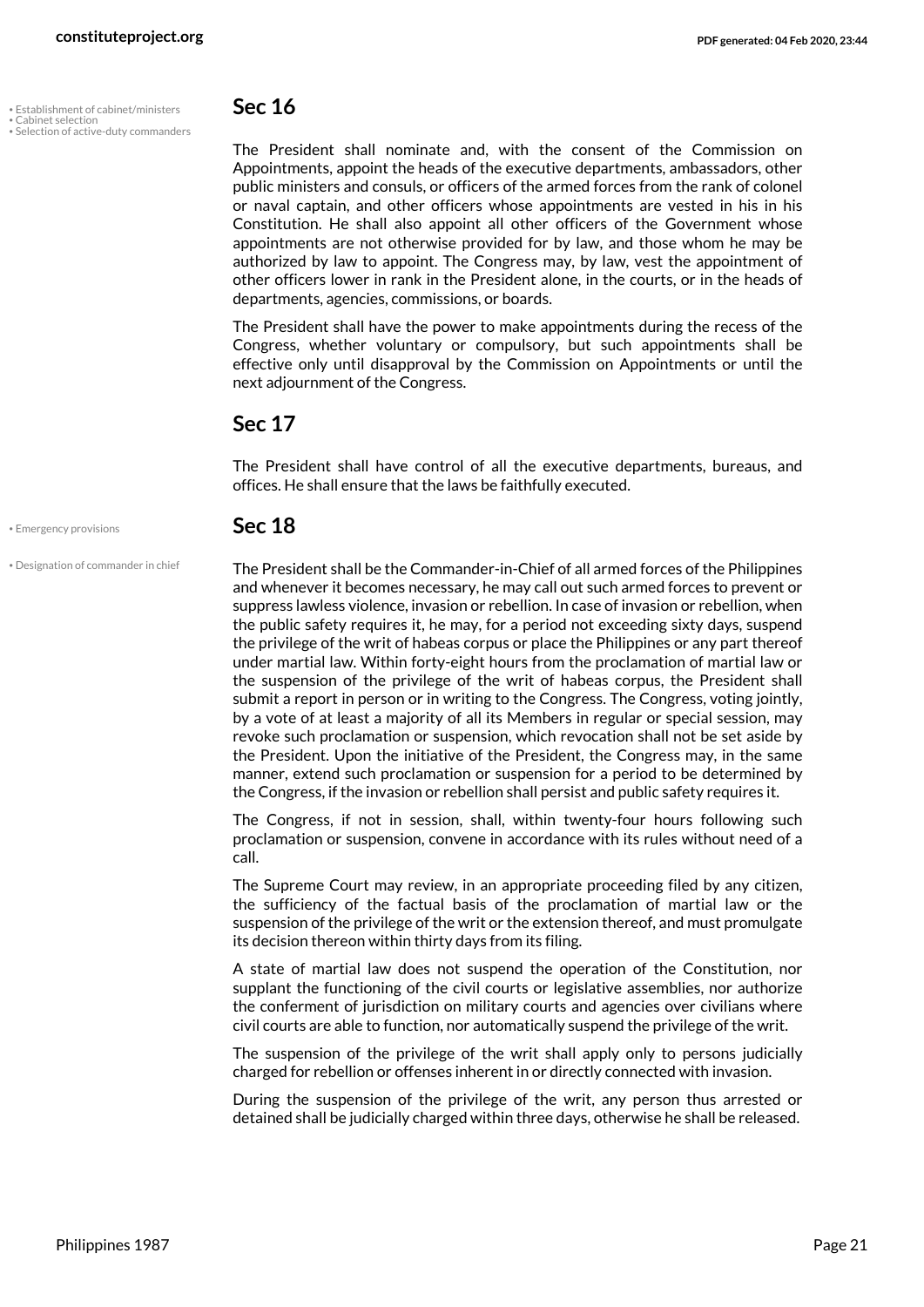## • Establishment of cabinet/ministers **Sec 16** • Cabinet selection • Selection of active-duty commanders

<span id="page-20-0"></span>

<span id="page-20-4"></span><span id="page-20-3"></span>The President shall nominate and, with the consent of the Commission on Appointments, appoint the heads of the executive departments, ambassadors, other public ministers and consuls, or officers of the armed forces from the rank of colonel or naval captain, and other officers whose appointments are vested in his in his Constitution. He shall also appoint all other officers of the Government whose appointments are not otherwise provided for by law, and those whom he may be authorized by law to appoint. The Congress may, by law, vest the appointment of other officers lower in rank in the President alone, in the courts, or in the heads of departments, agencies, commissions, or boards.

The President shall have the power to make appointments during the recess of the Congress, whether voluntary or compulsory, but such appointments shall be effective only until disapproval by the Commission on Appointments or until the next adjournment of the Congress.

#### **Sec 17**

The President shall have control of all the executive departments, bureaus, and offices. He shall ensure that the laws be faithfully executed.

#### <span id="page-20-2"></span>• Emergency provisions **Sec 18**

• Designation of commander in chief

<span id="page-20-1"></span>The President shall be the Commander-in-Chief of all armed forces of the Philippines and whenever it becomes necessary, he may call out such armed forces to prevent or suppress lawless violence, invasion or rebellion. In case of invasion or rebellion, when the public safety requires it, he may, for a period not exceeding sixty days, suspend the privilege of the writ of habeas corpus or place the Philippines or any part thereof under martial law. Within forty-eight hours from the proclamation of martial law or the suspension of the privilege of the writ of habeas corpus, the President shall submit a report in person or in writing to the Congress. The Congress, voting jointly, by a vote of at least a majority of all its Members in regular or special session, may revoke such proclamation or suspension, which revocation shall not be set aside by the President. Upon the initiative of the President, the Congress may, in the same manner, extend such proclamation or suspension for a period to be determined by the Congress, if the invasion or rebellion shall persist and public safety requires it.

The Congress, if not in session, shall, within twenty-four hours following such proclamation or suspension, convene in accordance with its rules without need of a call.

The Supreme Court may review, in an appropriate proceeding filed by any citizen, the sufficiency of the factual basis of the proclamation of martial law or the suspension of the privilege of the writ or the extension thereof, and must promulgate its decision thereon within thirty days from its filing.

A state of martial law does not suspend the operation of the Constitution, nor supplant the functioning of the civil courts or legislative assemblies, nor authorize the conferment of jurisdiction on military courts and agencies over civilians where civil courts are able to function, nor automatically suspend the privilege of the writ.

The suspension of the privilege of the writ shall apply only to persons judicially charged for rebellion or offenses inherent in or directly connected with invasion.

During the suspension of the privilege of the writ, any person thus arrested or detained shall be judicially charged within three days, otherwise he shall be released.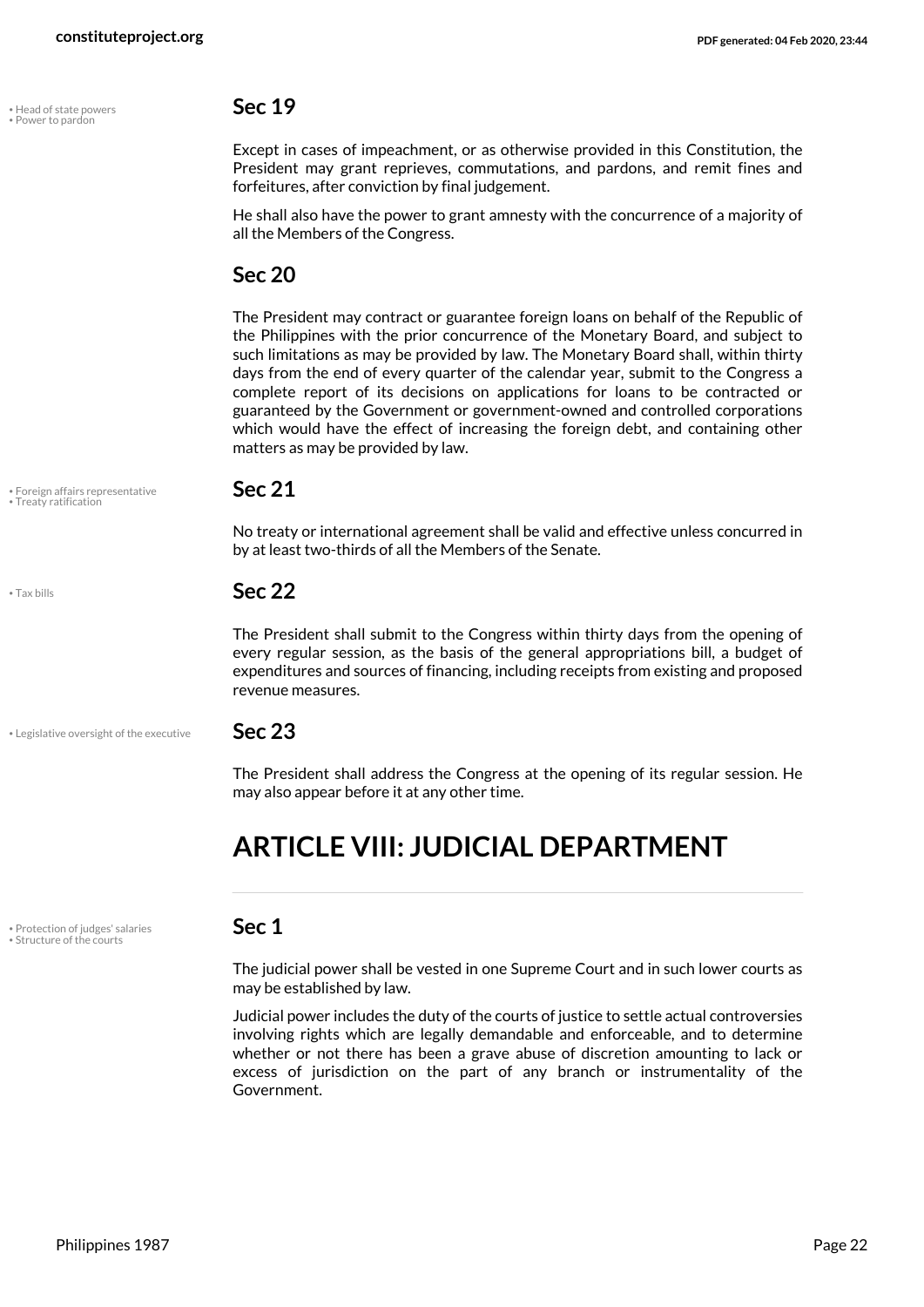<span id="page-21-4"></span><span id="page-21-2"></span>• Head of state powers **Sec 19** • Power to pardon

Except in cases of impeachment, or as otherwise provided in this Constitution, the President may grant reprieves, commutations, and pardons, and remit fines and forfeitures, after conviction by final judgement.

He shall also have the power to grant amnesty with the concurrence of a majority of all the Members of the Congress.

#### **Sec 20**

The President may contract or guarantee foreign loans on behalf of the Republic of the Philippines with the prior concurrence of the Monetary Board, and subject to such limitations as may be provided by law. The Monetary Board shall, within thirty days from the end of every quarter of the calendar year, submit to the Congress a complete report of its decisions on applications for loans to be contracted or guaranteed by the Government or government-owned and controlled corporations which would have the effect of increasing the foreign debt, and containing other matters as may be provided by law.

<span id="page-21-8"></span>• Foreign affairs representative **Sec 21** • Treaty ratification

<span id="page-21-1"></span>No treaty or international agreement shall be valid and effective unless concurred in by at least two-thirds of all the Members of the Senate.

#### <span id="page-21-7"></span>• Tax bills **Sec 22**

The President shall submit to the Congress within thirty days from the opening of every regular session, as the basis of the general appropriations bill, a budget of expenditures and sources of financing, including receipts from existing and proposed revenue measures.

#### • Legislative oversight of the executive **Sec 23**

<span id="page-21-3"></span>The President shall address the Congress at the opening of its regular session. He may also appear before it at any other time.

## <span id="page-21-0"></span>**ARTICLE VIII: JUDICIAL DEPARTMENT**

• Protection of judges' salaries **Sec 1** • Structure of the courts

<span id="page-21-6"></span><span id="page-21-5"></span>The judicial power shall be vested in one Supreme Court and in such lower courts as may be established by law.

Judicial power includes the duty of the courts of justice to settle actual controversies involving rights which are legally demandable and enforceable, and to determine whether or not there has been a grave abuse of discretion amounting to lack or excess of jurisdiction on the part of any branch or instrumentality of the Government.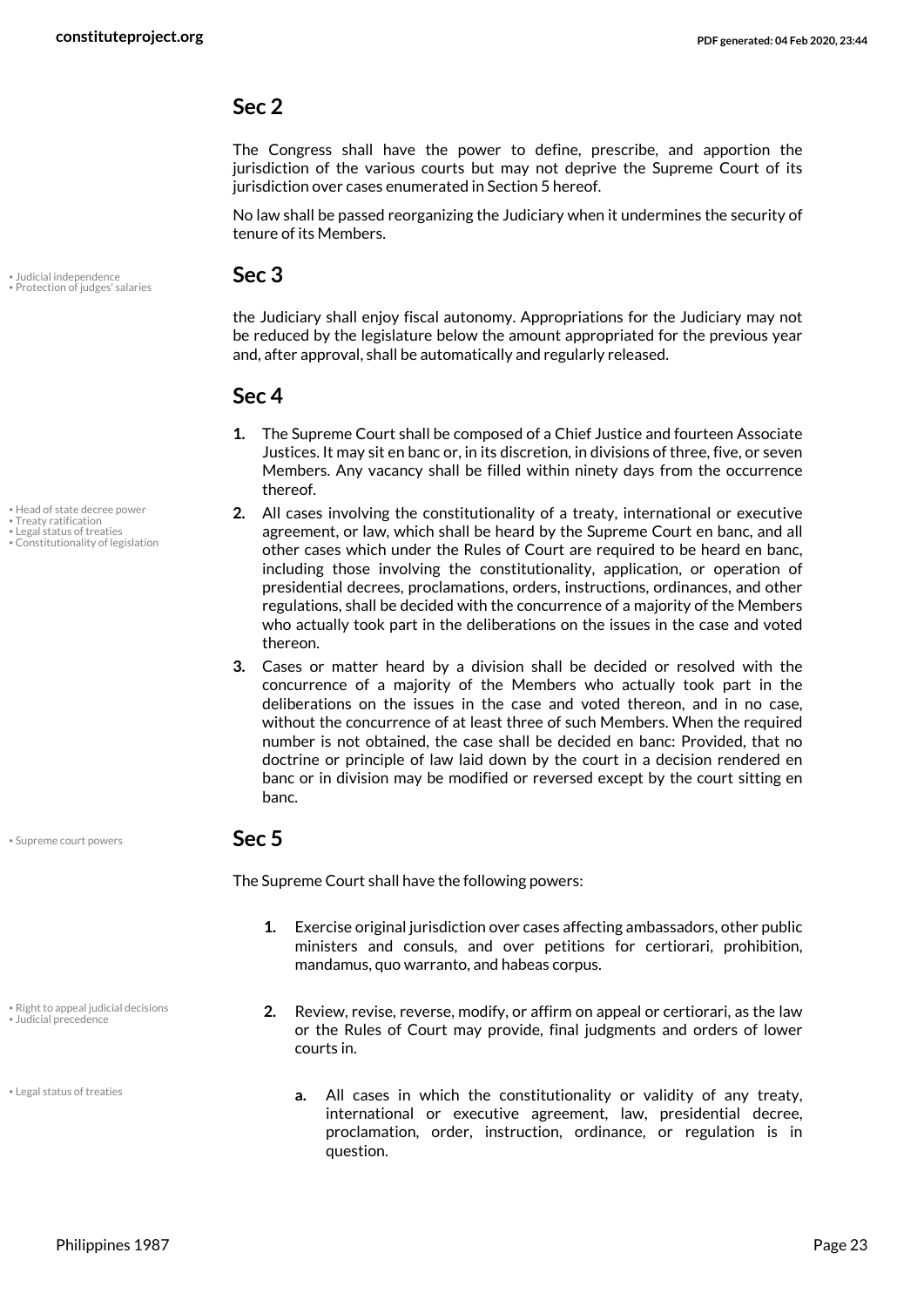The Congress shall have the power to define, prescribe, and apportion the jurisdiction of the various courts but may not deprive the Supreme Court of its jurisdiction over cases enumerated in Section 5 hereof.

No law shall be passed reorganizing the Judiciary when it undermines the security of tenure of its Members.

## <span id="page-22-2"></span>• Judicial independence **Sec 3** • Protection of judges' salaries

<span id="page-22-5"></span>the Judiciary shall enjoy fiscal autonomy. Appropriations for the Judiciary may not be reduced by the legislature below the amount appropriated for the previous year and, after approval, shall be automatically and regularly released.

#### **Sec 4**

- **1.** The Supreme Court shall be composed of a Chief Justice and fourteen Associate Justices. It may sit en banc or, in its discretion, in divisions of three, five, or seven Members. Any vacancy shall be filled within ninety days from the occurrence thereof.
- <span id="page-22-1"></span><span id="page-22-0"></span>**2.** All cases involving the constitutionality of a treaty, international or executive agreement, or law, which shall be heard by the Supreme Court en banc, and all other cases which under the Rules of Court are required to be heard en banc, including those involving the constitutionality, application, or operation of presidential decrees, proclamations, orders, instructions, ordinances, and other regulations, shall be decided with the concurrence of a majority of the Members who actually took part in the deliberations on the issues in the case and voted thereon.
- **3.** Cases or matter heard by a division shall be decided or resolved with the concurrence of a majority of the Members who actually took part in the deliberations on the issues in the case and voted thereon, and in no case, without the concurrence of at least three of such Members. When the required number is not obtained, the case shall be decided en banc: Provided, that no doctrine or principle of law laid down by the court in a decision rendered en banc or in division may be modified or reversed except by the court sitting en banc.

The Supreme Court shall have the following powers:

- **1.** Exercise original jurisdiction over cases affecting ambassadors, other public ministers and consuls, and over petitions for certiorari, prohibition, mandamus, quo warranto, and habeas corpus.
- <span id="page-22-6"></span>**2.** Review, revise, reverse, modify, or affirm on appeal or certiorari, as the law or the Rules of Court may provide, final judgments and orders of lower courts in.
	- **a.** All cases in which the constitutionality or validity of any treaty, international or executive agreement, law, presidential decree, proclamation, order, instruction, ordinance, or regulation is in question.

• Head of state decree power

- <span id="page-22-8"></span>
- Treaty ratification Legal status of treaties
- Constitutionality of legislation

<span id="page-22-7"></span>• Supreme court powers **Sec 5**

<span id="page-22-4"></span>• Legal status of treaties

<span id="page-22-3"></span>• Judicial precedence

• Right to appeal judicial decisions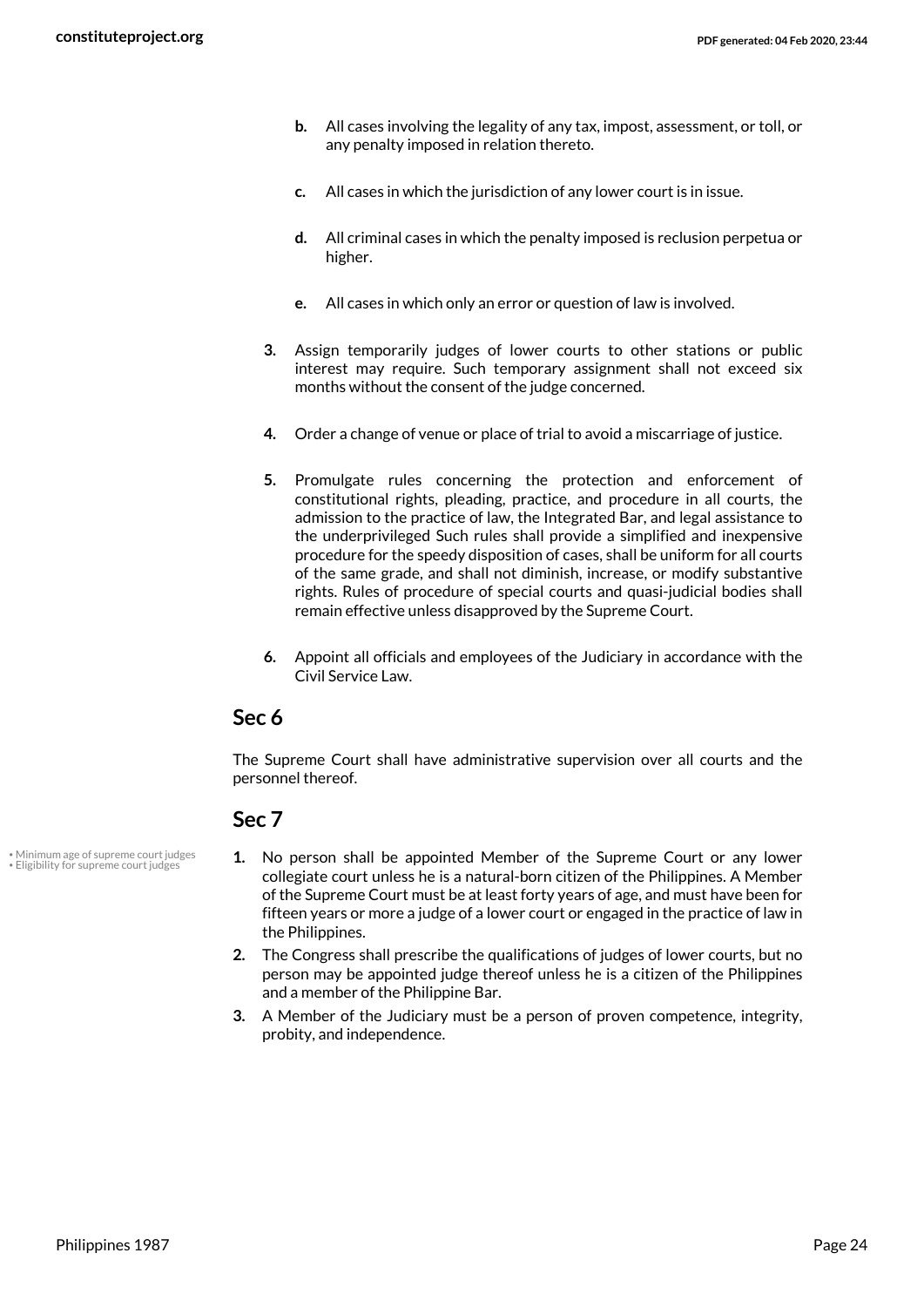- **b.** All cases involving the legality of any tax, impost, assessment, or toll, or any penalty imposed in relation thereto.
- **c.** All cases in which the jurisdiction of any lower court is in issue.
- **d.** All criminal cases in which the penalty imposed is reclusion perpetua or higher.
- **e.** All cases in which only an error or question of law is involved.
- **3.** Assign temporarily judges of lower courts to other stations or public interest may require. Such temporary assignment shall not exceed six months without the consent of the judge concerned.
- **4.** Order a change of venue or place of trial to avoid a miscarriage of justice.
- **5.** Promulgate rules concerning the protection and enforcement of constitutional rights, pleading, practice, and procedure in all courts, the admission to the practice of law, the Integrated Bar, and legal assistance to the underprivileged Such rules shall provide a simplified and inexpensive procedure for the speedy disposition of cases, shall be uniform for all courts of the same grade, and shall not diminish, increase, or modify substantive rights. Rules of procedure of special courts and quasi-judicial bodies shall remain effective unless disapproved by the Supreme Court.
- **6.** Appoint all officials and employees of the Judiciary in accordance with the Civil Service Law.

The Supreme Court shall have administrative supervision over all courts and the personnel thereof.

### **Sec 7**

- Minimum age of supreme court judges • Eligibility for supreme court judges
- <span id="page-23-1"></span><span id="page-23-0"></span>**1.** No person shall be appointed Member of the Supreme Court or any lower collegiate court unless he is a natural-born citizen of the Philippines. A Member of the Supreme Court must be at least forty years of age, and must have been for fifteen years or more a judge of a lower court or engaged in the practice of law in the Philippines.
- **2.** The Congress shall prescribe the qualifications of judges of lower courts, but no person may be appointed judge thereof unless he is a citizen of the Philippines and a member of the Philippine Bar.
- **3.** A Member of the Judiciary must be a person of proven competence, integrity, probity, and independence.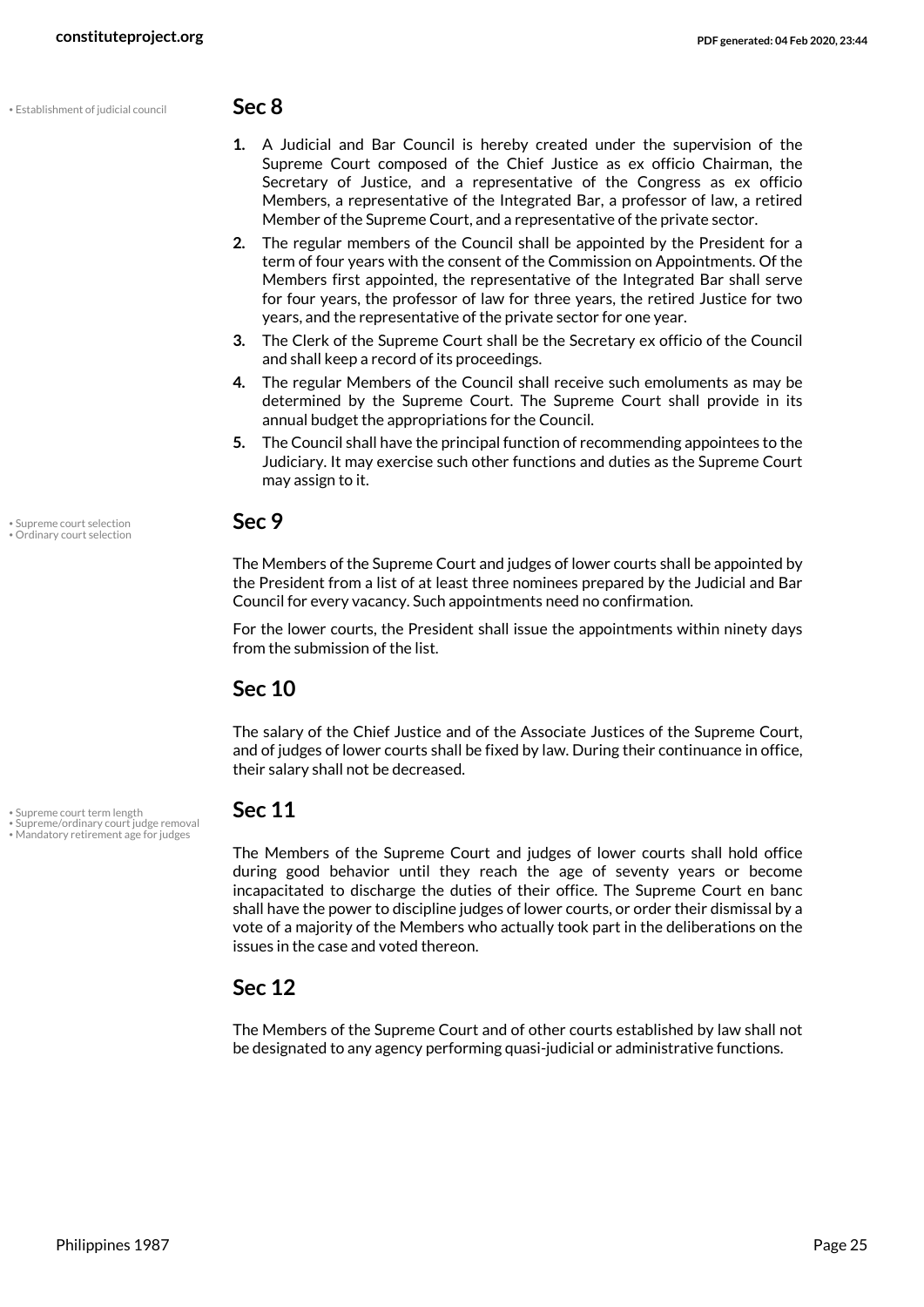• Establishment of judicial council **Sec 8**

- <span id="page-24-0"></span>**1.** A Judicial and Bar Council is hereby created under the supervision of the Supreme Court composed of the Chief Justice as ex officio Chairman, the Secretary of Justice, and a representative of the Congress as ex officio Members, a representative of the Integrated Bar, a professor of law, a retired Member of the Supreme Court, and a representative of the private sector.
- **2.** The regular members of the Council shall be appointed by the President for a term of four years with the consent of the Commission on Appointments. Of the Members first appointed, the representative of the Integrated Bar shall serve for four years, the professor of law for three years, the retired Justice for two years, and the representative of the private sector for one year.
- **3.** The Clerk of the Supreme Court shall be the Secretary ex officio of the Council and shall keep a record of its proceedings.
- **4.** The regular Members of the Council shall receive such emoluments as may be determined by the Supreme Court. The Supreme Court shall provide in its annual budget the appropriations for the Council.
- **5.** The Council shall have the principal function of recommending appointees to the Judiciary. It may exercise such other functions and duties as the Supreme Court may assign to it.

## • Supreme court selection **Sec 9** • Ordinary court selection

<span id="page-24-3"></span><span id="page-24-2"></span>The Members of the Supreme Court and judges of lower courts shall be appointed by the President from a list of at least three nominees prepared by the Judicial and Bar Council for every vacancy. Such appointments need no confirmation.

For the lower courts, the President shall issue the appointments within ninety days from the submission of the list.

#### **Sec 10**

The salary of the Chief Justice and of the Associate Justices of the Supreme Court, and of judges of lower courts shall be fixed by law. During their continuance in office, their salary shall not be decreased.

• Supreme court term length **Sec 11** • Supreme/ordinary court judge removal

• Mandatory retirement age for judges

#### <span id="page-24-5"></span><span id="page-24-4"></span><span id="page-24-1"></span>The Members of the Supreme Court and judges of lower courts shall hold office during good behavior until they reach the age of seventy years or become incapacitated to discharge the duties of their office. The Supreme Court en banc shall have the power to discipline judges of lower courts, or order their dismissal by a vote of a majority of the Members who actually took part in the deliberations on the

#### **Sec 12**

issues in the case and voted thereon.

The Members of the Supreme Court and of other courts established by law shall not be designated to any agency performing quasi-judicial or administrative functions.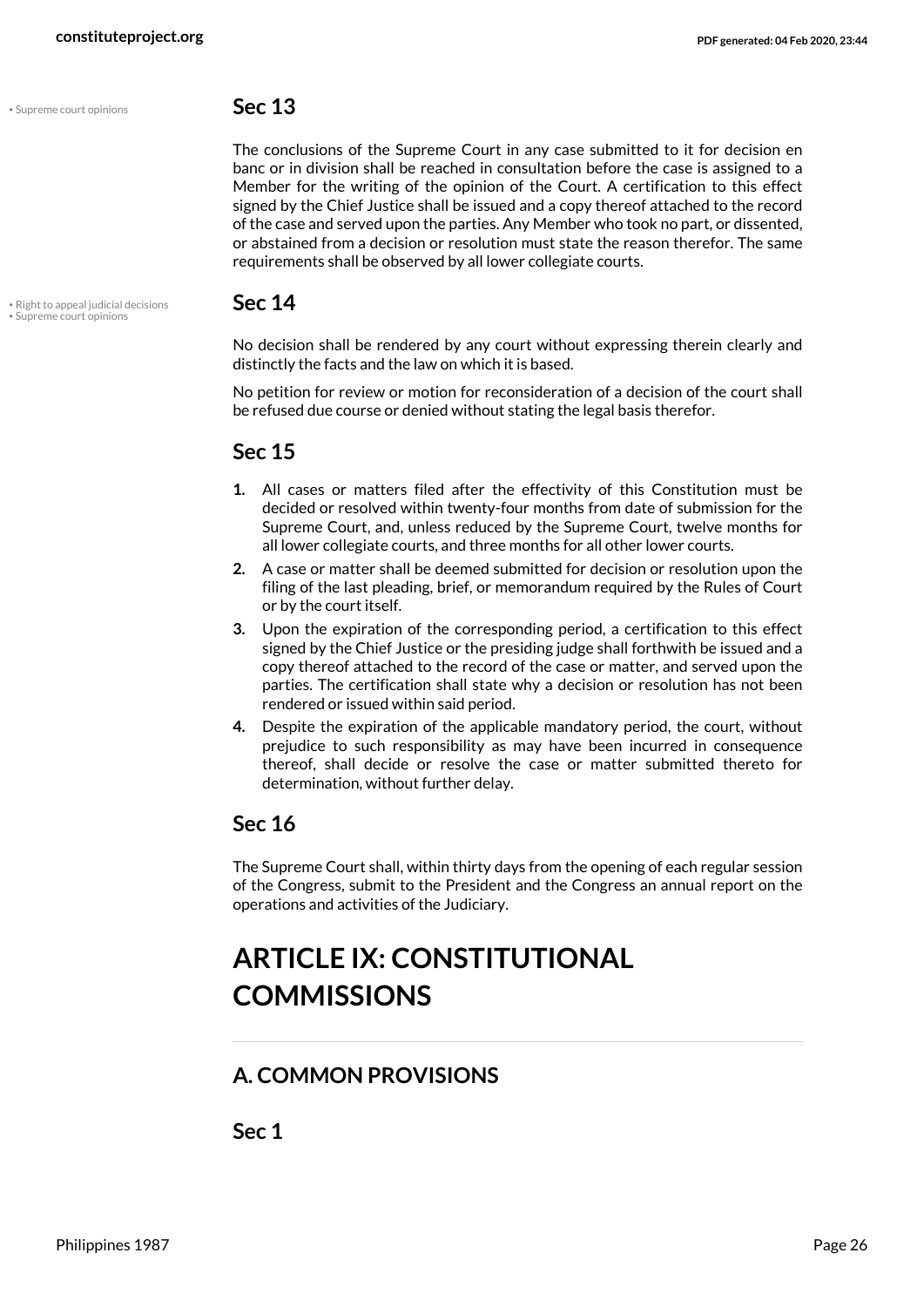• Supreme court opinions **Sec 13**

The conclusions of the Supreme Court in any case submitted to it for decision en banc or in division shall be reached in consultation before the case is assigned to a Member for the writing of the opinion of the Court. A certification to this effect signed by the Chief Justice shall be issued and a copy thereof attached to the record of the case and served upon the parties. Any Member who took no part, or dissented, or abstained from a decision or resolution must state the reason therefor. The same requirements shall be observed by all lower collegiate courts.

## • Right to appeal judicial decisions **Sec 14** • Supreme court opinions

<span id="page-25-3"></span><span id="page-25-2"></span>No decision shall be rendered by any court without expressing therein clearly and distinctly the facts and the law on which it is based.

No petition for review or motion for reconsideration of a decision of the court shall be refused due course or denied without stating the legal basis therefor.

#### **Sec 15**

- **1.** All cases or matters filed after the effectivity of this Constitution must be decided or resolved within twenty-four months from date of submission for the Supreme Court, and, unless reduced by the Supreme Court, twelve months for all lower collegiate courts, and three months for all other lower courts.
- **2.** A case or matter shall be deemed submitted for decision or resolution upon the filing of the last pleading, brief, or memorandum required by the Rules of Court or by the court itself.
- **3.** Upon the expiration of the corresponding period, a certification to this effect signed by the Chief Justice or the presiding judge shall forthwith be issued and a copy thereof attached to the record of the case or matter, and served upon the parties. The certification shall state why a decision or resolution has not been rendered or issued within said period.
- **4.** Despite the expiration of the applicable mandatory period, the court, without prejudice to such responsibility as may have been incurred in consequence thereof, shall decide or resolve the case or matter submitted thereto for determination, without further delay.

### **Sec 16**

The Supreme Court shall, within thirty days from the opening of each regular session of the Congress, submit to the President and the Congress an annual report on the operations and activities of the Judiciary.

## <span id="page-25-0"></span>**ARTICLE IX: CONSTITUTIONAL COMMISSIONS**

### <span id="page-25-1"></span>**A. COMMON PROVISIONS**

**Sec 1**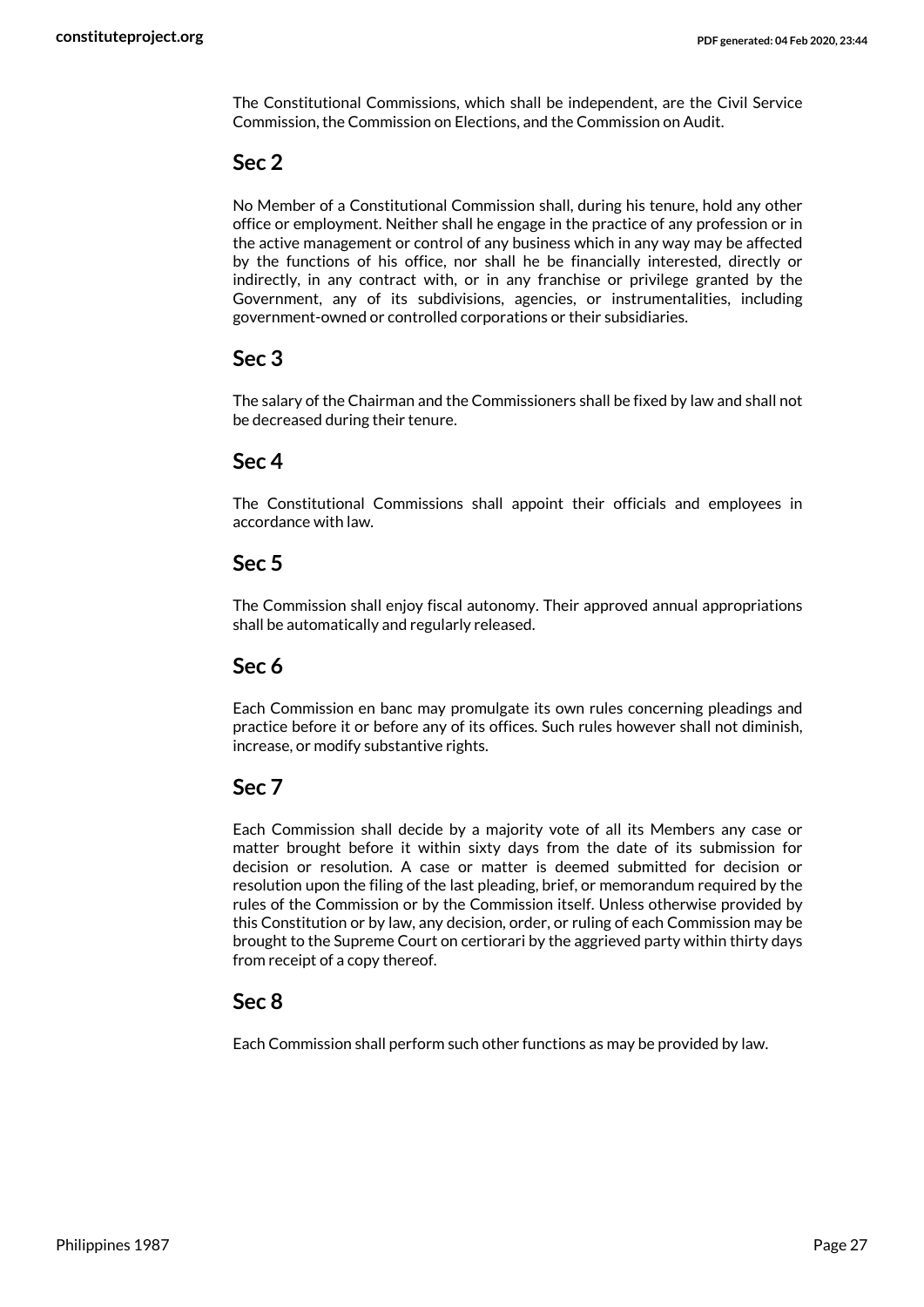The Constitutional Commissions, which shall be independent, are the Civil Service Commission, the Commission on Elections, and the Commission on Audit.

#### **Sec 2**

No Member of a Constitutional Commission shall, during his tenure, hold any other office or employment. Neither shall he engage in the practice of any profession or in the active management or control of any business which in any way may be affected by the functions of his office, nor shall he be financially interested, directly or indirectly, in any contract with, or in any franchise or privilege granted by the Government, any of its subdivisions, agencies, or instrumentalities, including government-owned or controlled corporations or their subsidiaries.

### **Sec 3**

The salary of the Chairman and the Commissioners shall be fixed by law and shall not be decreased during their tenure.

### **Sec 4**

The Constitutional Commissions shall appoint their officials and employees in accordance with law.

#### **Sec 5**

The Commission shall enjoy fiscal autonomy. Their approved annual appropriations shall be automatically and regularly released.

### **Sec 6**

Each Commission en banc may promulgate its own rules concerning pleadings and practice before it or before any of its offices. Such rules however shall not diminish, increase, or modify substantive rights.

### **Sec 7**

Each Commission shall decide by a majority vote of all its Members any case or matter brought before it within sixty days from the date of its submission for decision or resolution. A case or matter is deemed submitted for decision or resolution upon the filing of the last pleading, brief, or memorandum required by the rules of the Commission or by the Commission itself. Unless otherwise provided by this Constitution or by law, any decision, order, or ruling of each Commission may be brought to the Supreme Court on certiorari by the aggrieved party within thirty days from receipt of a copy thereof.

### **Sec 8**

Each Commission shall perform such other functions as may be provided by law.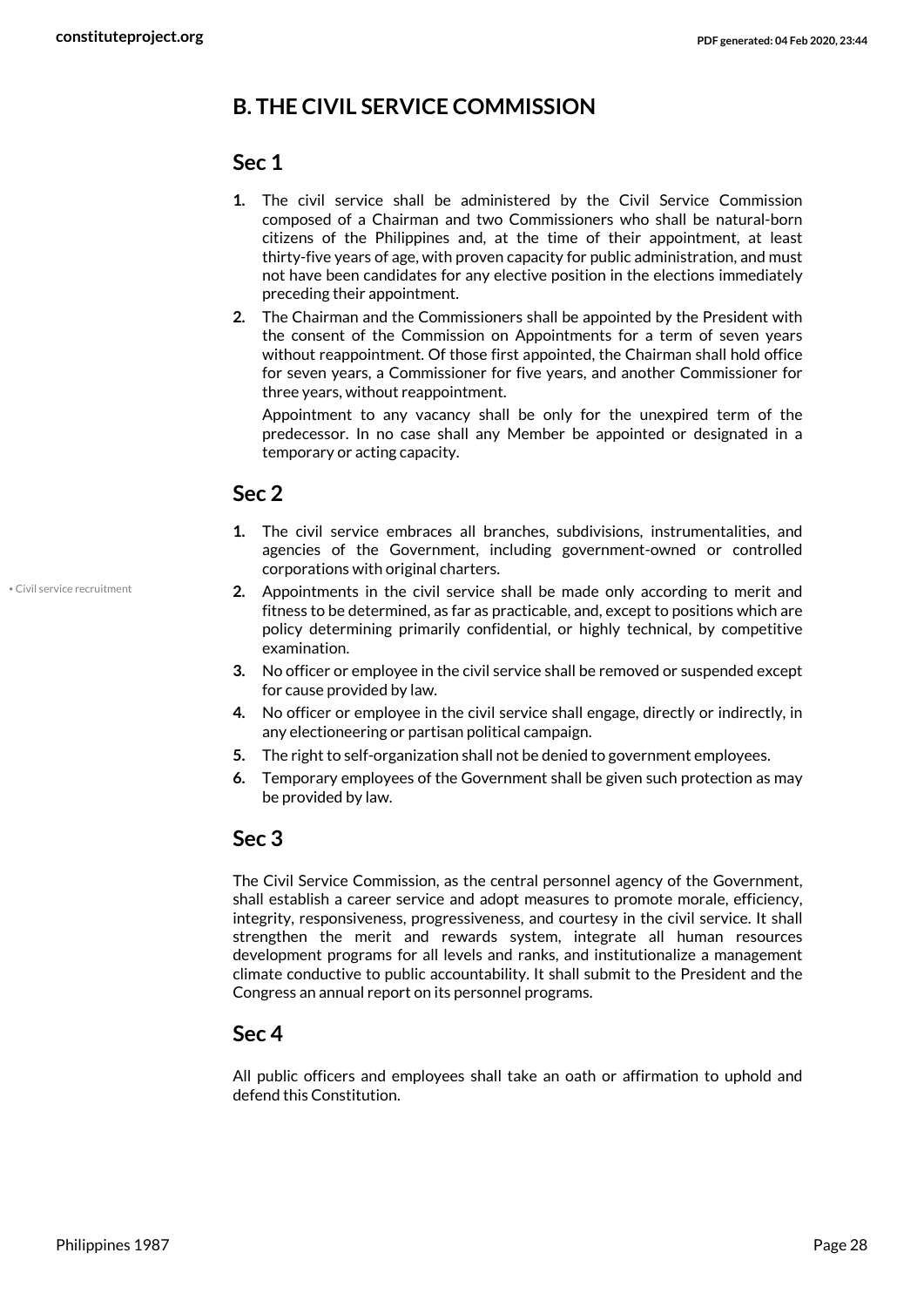### <span id="page-27-0"></span>**B. THE CIVIL SERVICE COMMISSION**

#### **Sec 1**

- **1.** The civil service shall be administered by the Civil Service Commission composed of a Chairman and two Commissioners who shall be natural-born citizens of the Philippines and, at the time of their appointment, at least thirty-five years of age, with proven capacity for public administration, and must not have been candidates for any elective position in the elections immediately preceding their appointment.
- **2.** The Chairman and the Commissioners shall be appointed by the President with the consent of the Commission on Appointments for a term of seven years without reappointment. Of those first appointed, the Chairman shall hold office for seven years, a Commissioner for five years, and another Commissioner for three years, without reappointment.

Appointment to any vacancy shall be only for the unexpired term of the predecessor. In no case shall any Member be appointed or designated in a temporary or acting capacity.

### **Sec 2**

- **1.** The civil service embraces all branches, subdivisions, instrumentalities, and agencies of the Government, including government-owned or controlled corporations with original charters.
- <span id="page-27-1"></span>**2.** Appointments in the civil service shall be made only according to merit and fitness to be determined, as far as practicable, and, except to positions which are policy determining primarily confidential, or highly technical, by competitive examination.
- **3.** No officer or employee in the civil service shall be removed or suspended except for cause provided by law.
- **4.** No officer or employee in the civil service shall engage, directly or indirectly, in any electioneering or partisan political campaign.
- **5.** The right to self-organization shall not be denied to government employees.
- **6.** Temporary employees of the Government shall be given such protection as may be provided by law.

#### **Sec 3**

The Civil Service Commission, as the central personnel agency of the Government, shall establish a career service and adopt measures to promote morale, efficiency, integrity, responsiveness, progressiveness, and courtesy in the civil service. It shall strengthen the merit and rewards system, integrate all human resources development programs for all levels and ranks, and institutionalize a management climate conductive to public accountability. It shall submit to the President and the Congress an annual report on its personnel programs.

### **Sec 4**

All public officers and employees shall take an oath or affirmation to uphold and defend this Constitution.

• Civil service recruitment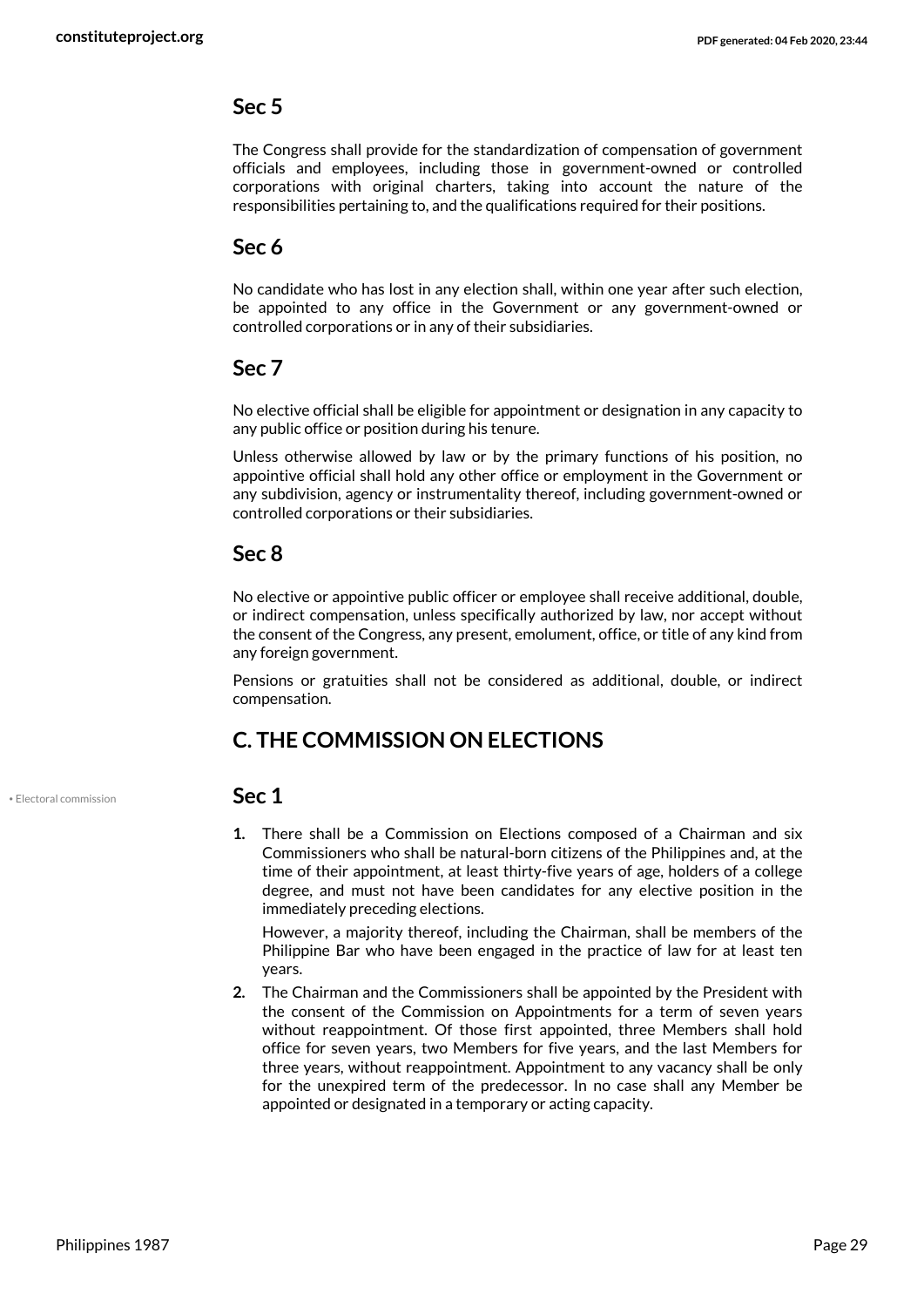The Congress shall provide for the standardization of compensation of government officials and employees, including those in government-owned or controlled corporations with original charters, taking into account the nature of the responsibilities pertaining to, and the qualifications required for their positions.

#### **Sec 6**

No candidate who has lost in any election shall, within one year after such election, be appointed to any office in the Government or any government-owned or controlled corporations or in any of their subsidiaries.

#### **Sec 7**

No elective official shall be eligible for appointment or designation in any capacity to any public office or position during his tenure.

Unless otherwise allowed by law or by the primary functions of his position, no appointive official shall hold any other office or employment in the Government or any subdivision, agency or instrumentality thereof, including government-owned or controlled corporations or their subsidiaries.

#### **Sec 8**

No elective or appointive public officer or employee shall receive additional, double, or indirect compensation, unless specifically authorized by law, nor accept without the consent of the Congress, any present, emolument, office, or title of any kind from any foreign government.

Pensions or gratuities shall not be considered as additional, double, or indirect compensation.

### <span id="page-28-0"></span>**C. THE COMMISSION ON ELECTIONS**

#### <span id="page-28-1"></span>• Electoral commission **Sec 1**

**1.** There shall be a Commission on Elections composed of a Chairman and six Commissioners who shall be natural-born citizens of the Philippines and, at the time of their appointment, at least thirty-five years of age, holders of a college degree, and must not have been candidates for any elective position in the immediately preceding elections.

However, a majority thereof, including the Chairman, shall be members of the Philippine Bar who have been engaged in the practice of law for at least ten years.

**2.** The Chairman and the Commissioners shall be appointed by the President with the consent of the Commission on Appointments for a term of seven years without reappointment. Of those first appointed, three Members shall hold office for seven years, two Members for five years, and the last Members for three years, without reappointment. Appointment to any vacancy shall be only for the unexpired term of the predecessor. In no case shall any Member be appointed or designated in a temporary or acting capacity.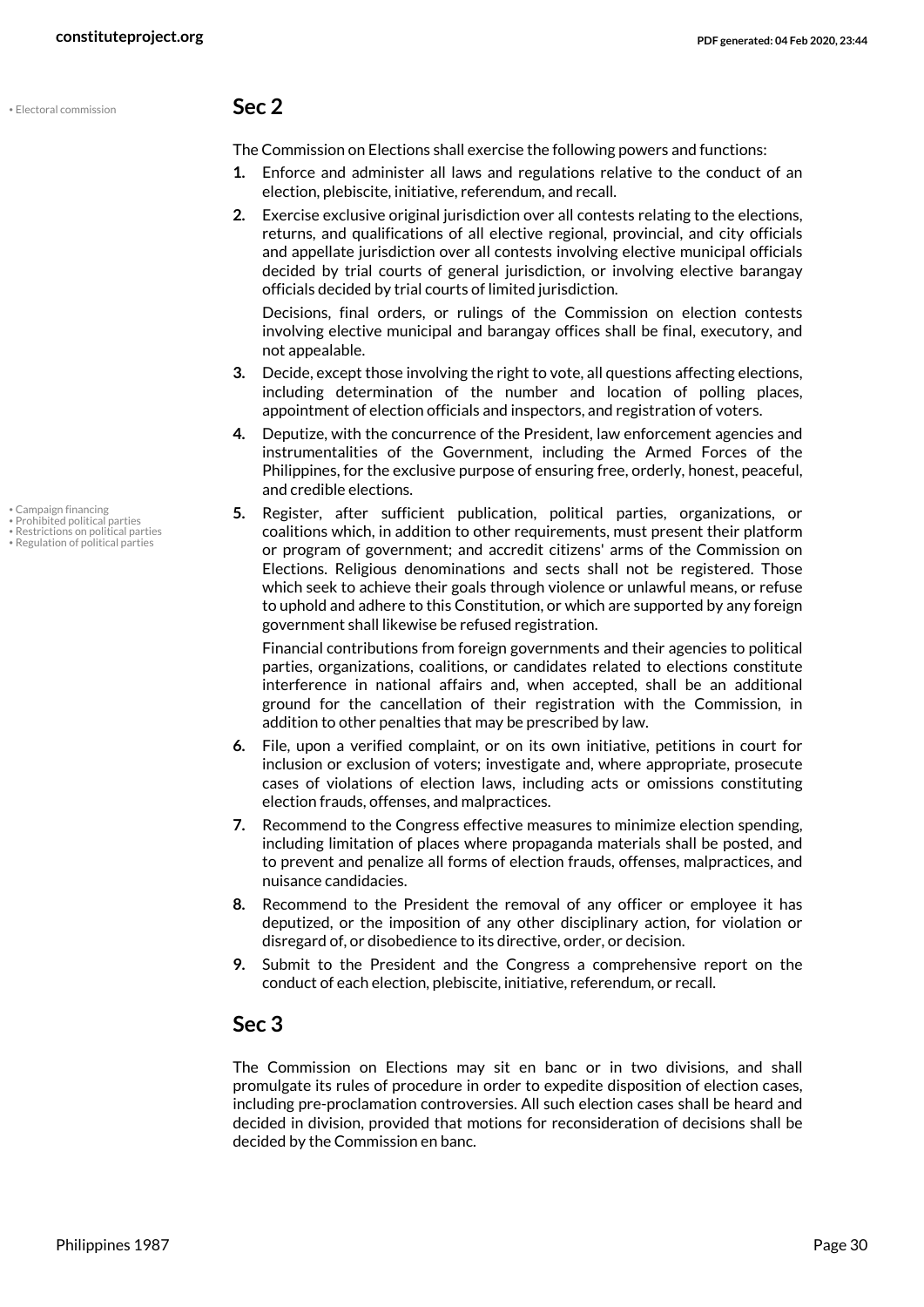#### <span id="page-29-1"></span>• Electoral commission **Sec 2**

The Commission on Elections shall exercise the following powers and functions:

- **1.** Enforce and administer all laws and regulations relative to the conduct of an election, plebiscite, initiative, referendum, and recall.
- **2.** Exercise exclusive original jurisdiction over all contests relating to the elections, returns, and qualifications of all elective regional, provincial, and city officials and appellate jurisdiction over all contests involving elective municipal officials decided by trial courts of general jurisdiction, or involving elective barangay officials decided by trial courts of limited jurisdiction.

Decisions, final orders, or rulings of the Commission on election contests involving elective municipal and barangay offices shall be final, executory, and not appealable.

- **3.** Decide, except those involving the right to vote, all questions affecting elections, including determination of the number and location of polling places, appointment of election officials and inspectors, and registration of voters.
- **4.** Deputize, with the concurrence of the President, law enforcement agencies and instrumentalities of the Government, including the Armed Forces of the Philippines, for the exclusive purpose of ensuring free, orderly, honest, peaceful, and credible elections.
- <span id="page-29-4"></span><span id="page-29-3"></span><span id="page-29-2"></span>**5.** Register, after sufficient publication, political parties, organizations, or coalitions which, in addition to other requirements, must present their platform or program of government; and accredit citizens' arms of the Commission on Elections. Religious denominations and sects shall not be registered. Those which seek to achieve their goals through violence or unlawful means, or refuse to uphold and adhere to this Constitution, or which are supported by any foreign government shall likewise be refused registration.

Financial contributions from foreign governments and their agencies to political parties, organizations, coalitions, or candidates related to elections constitute interference in national affairs and, when accepted, shall be an additional ground for the cancellation of their registration with the Commission, in addition to other penalties that may be prescribed by law.

- **6.** File, upon a verified complaint, or on its own initiative, petitions in court for inclusion or exclusion of voters; investigate and, where appropriate, prosecute cases of violations of election laws, including acts or omissions constituting election frauds, offenses, and malpractices.
- **7.** Recommend to the Congress effective measures to minimize election spending, including limitation of places where propaganda materials shall be posted, and to prevent and penalize all forms of election frauds, offenses, malpractices, and nuisance candidacies.
- **8.** Recommend to the President the removal of any officer or employee it has deputized, or the imposition of any other disciplinary action, for violation or disregard of, or disobedience to its directive, order, or decision.
- **9.** Submit to the President and the Congress a comprehensive report on the conduct of each election, plebiscite, initiative, referendum, or recall.

#### **Sec 3**

The Commission on Elections may sit en banc or in two divisions, and shall promulgate its rules of procedure in order to expedite disposition of election cases, including pre-proclamation controversies. All such election cases shall be heard and decided in division, provided that motions for reconsideration of decisions shall be decided by the Commission en banc.

- <span id="page-29-0"></span>• Campaign financing
- Prohibited political parties Restrictions on political parties
- Regulation of political parties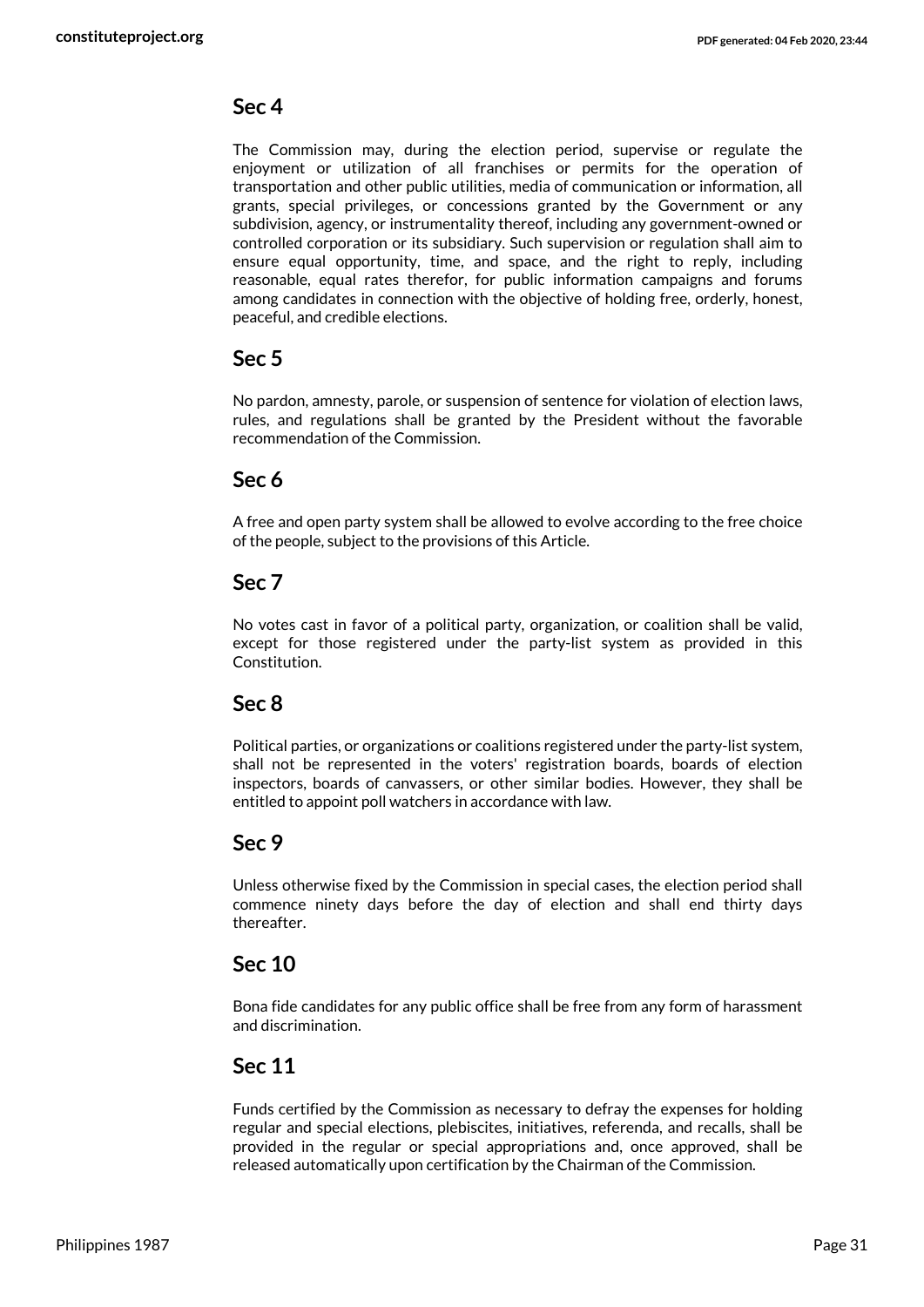The Commission may, during the election period, supervise or regulate the enjoyment or utilization of all franchises or permits for the operation of transportation and other public utilities, media of communication or information, all grants, special privileges, or concessions granted by the Government or any subdivision, agency, or instrumentality thereof, including any government-owned or controlled corporation or its subsidiary. Such supervision or regulation shall aim to ensure equal opportunity, time, and space, and the right to reply, including reasonable, equal rates therefor, for public information campaigns and forums among candidates in connection with the objective of holding free, orderly, honest, peaceful, and credible elections.

### **Sec 5**

No pardon, amnesty, parole, or suspension of sentence for violation of election laws, rules, and regulations shall be granted by the President without the favorable recommendation of the Commission.

### **Sec 6**

A free and open party system shall be allowed to evolve according to the free choice of the people, subject to the provisions of this Article.

### **Sec 7**

No votes cast in favor of a political party, organization, or coalition shall be valid, except for those registered under the party-list system as provided in this Constitution.

### **Sec 8**

Political parties, or organizations or coalitions registered under the party-list system, shall not be represented in the voters' registration boards, boards of election inspectors, boards of canvassers, or other similar bodies. However, they shall be entitled to appoint poll watchers in accordance with law.

### **Sec 9**

Unless otherwise fixed by the Commission in special cases, the election period shall commence ninety days before the day of election and shall end thirty days thereafter.

### **Sec 10**

Bona fide candidates for any public office shall be free from any form of harassment and discrimination.

### **Sec 11**

Funds certified by the Commission as necessary to defray the expenses for holding regular and special elections, plebiscites, initiatives, referenda, and recalls, shall be provided in the regular or special appropriations and, once approved, shall be released automatically upon certification by the Chairman of the Commission.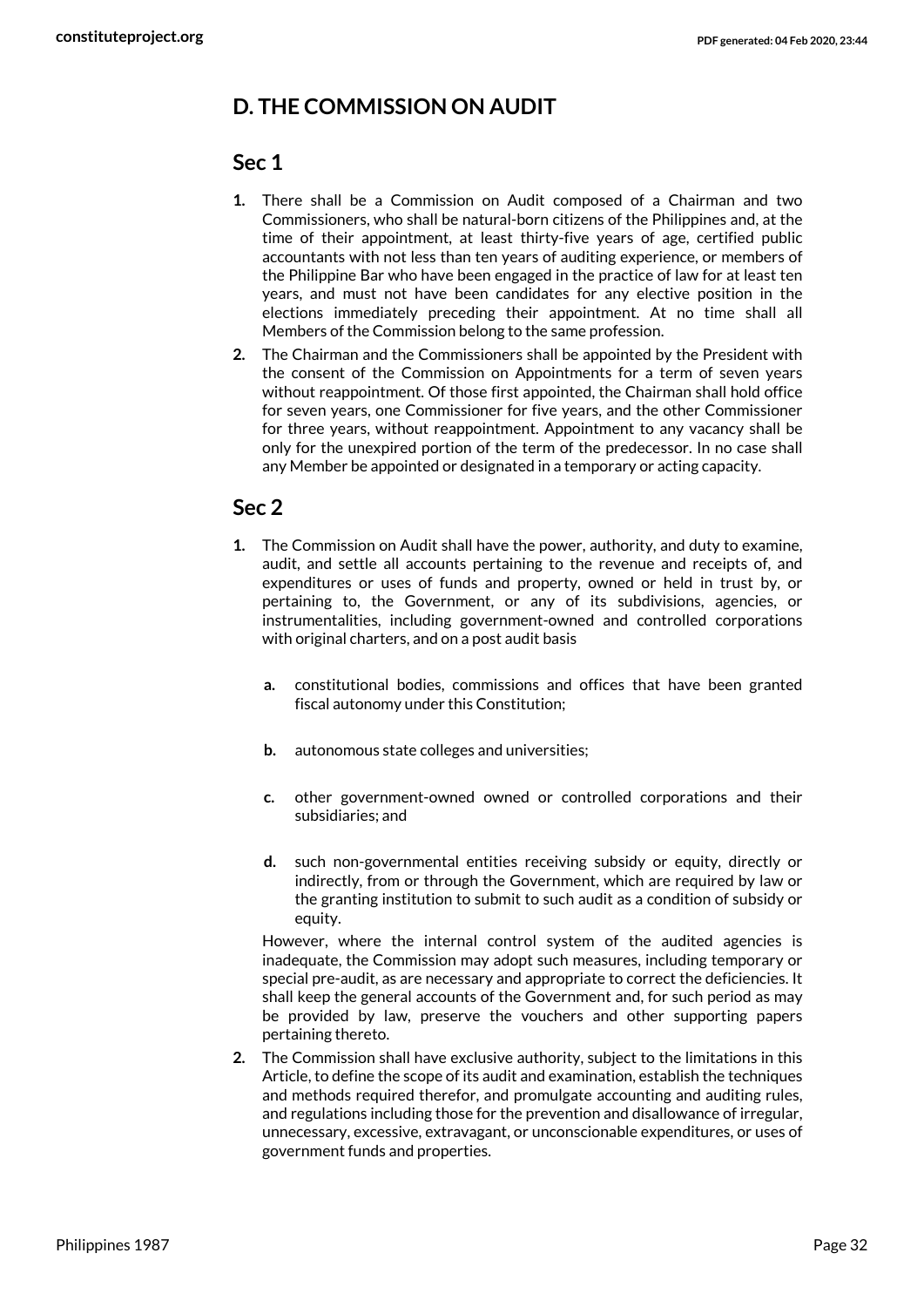### <span id="page-31-0"></span>**D. THE COMMISSION ON AUDIT**

#### **Sec 1**

- **1.** There shall be a Commission on Audit composed of a Chairman and two Commissioners, who shall be natural-born citizens of the Philippines and, at the time of their appointment, at least thirty-five years of age, certified public accountants with not less than ten years of auditing experience, or members of the Philippine Bar who have been engaged in the practice of law for at least ten years, and must not have been candidates for any elective position in the elections immediately preceding their appointment. At no time shall all Members of the Commission belong to the same profession.
- **2.** The Chairman and the Commissioners shall be appointed by the President with the consent of the Commission on Appointments for a term of seven years without reappointment. Of those first appointed, the Chairman shall hold office for seven years, one Commissioner for five years, and the other Commissioner for three years, without reappointment. Appointment to any vacancy shall be only for the unexpired portion of the term of the predecessor. In no case shall any Member be appointed or designated in a temporary or acting capacity.

#### **Sec 2**

- **1.** The Commission on Audit shall have the power, authority, and duty to examine, audit, and settle all accounts pertaining to the revenue and receipts of, and expenditures or uses of funds and property, owned or held in trust by, or pertaining to, the Government, or any of its subdivisions, agencies, or instrumentalities, including government-owned and controlled corporations with original charters, and on a post audit basis
	- **a.** constitutional bodies, commissions and offices that have been granted fiscal autonomy under this Constitution;
	- **b.** autonomous state colleges and universities;
	- **c.** other government-owned owned or controlled corporations and their subsidiaries; and
	- **d.** such non-governmental entities receiving subsidy or equity, directly or indirectly, from or through the Government, which are required by law or the granting institution to submit to such audit as a condition of subsidy or equity.

However, where the internal control system of the audited agencies is inadequate, the Commission may adopt such measures, including temporary or special pre-audit, as are necessary and appropriate to correct the deficiencies. It shall keep the general accounts of the Government and, for such period as may be provided by law, preserve the vouchers and other supporting papers pertaining thereto.

**2.** The Commission shall have exclusive authority, subject to the limitations in this Article, to define the scope of its audit and examination, establish the techniques and methods required therefor, and promulgate accounting and auditing rules, and regulations including those for the prevention and disallowance of irregular, unnecessary, excessive, extravagant, or unconscionable expenditures, or uses of government funds and properties.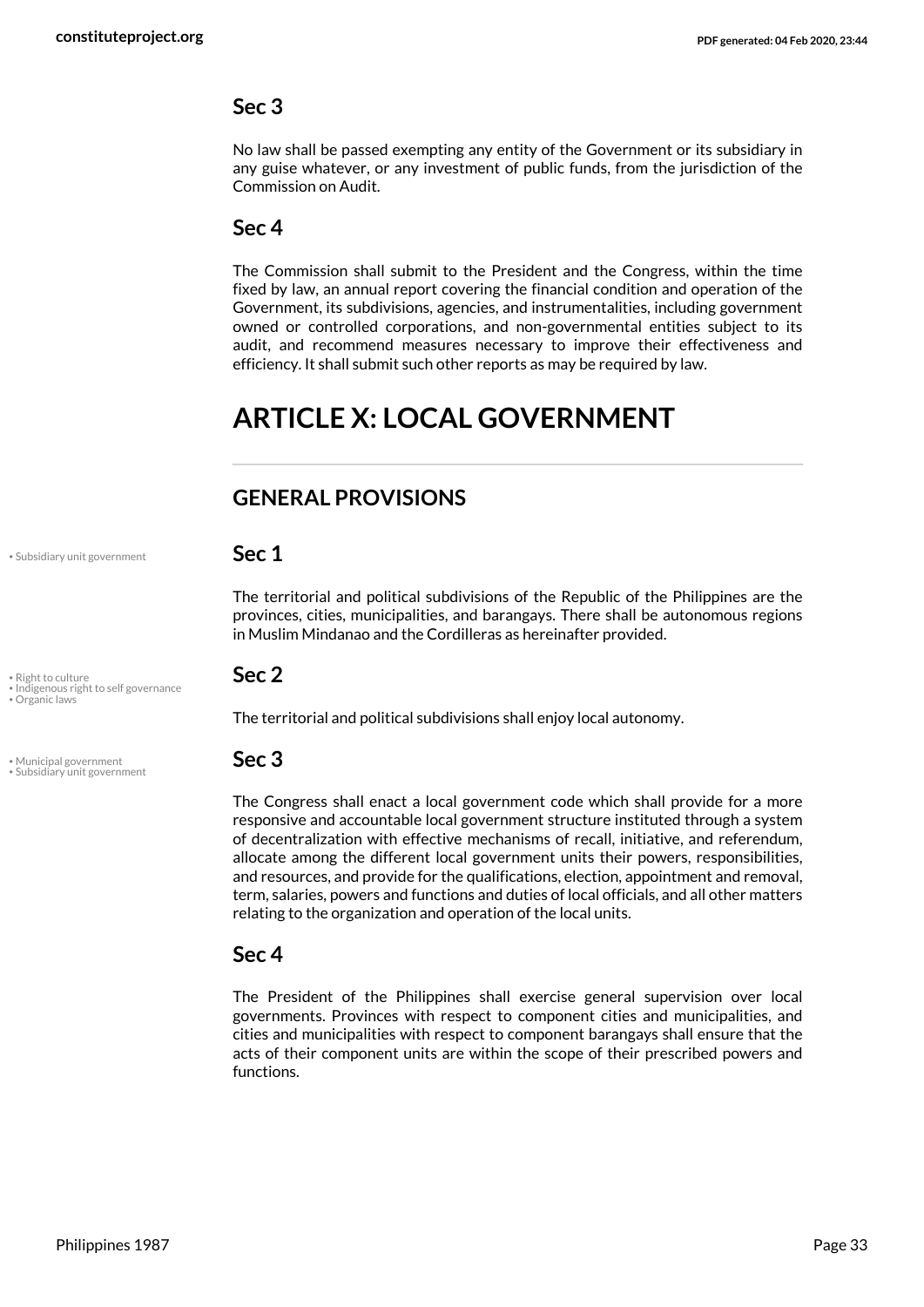No law shall be passed exempting any entity of the Government or its subsidiary in any guise whatever, or any investment of public funds, from the jurisdiction of the Commission on Audit.

### **Sec 4**

The Commission shall submit to the President and the Congress, within the time fixed by law, an annual report covering the financial condition and operation of the Government, its subdivisions, agencies, and instrumentalities, including government owned or controlled corporations, and non-governmental entities subject to its audit, and recommend measures necessary to improve their effectiveness and efficiency. It shall submit such other reports as may be required by law.

## <span id="page-32-0"></span>**ARTICLE X: LOCAL GOVERNMENT**

### **GENERAL PROVISIONS**

The territorial and political subdivisions of the Republic of the Philippines are the provinces, cities, municipalities, and barangays. There shall be autonomous regions in Muslim Mindanao and the Cordilleras as hereinafter provided.

<span id="page-32-1"></span>The territorial and political subdivisions shall enjoy local autonomy.

<span id="page-32-5"></span>The Congress shall enact a local government code which shall provide for a more responsive and accountable local government structure instituted through a system of decentralization with effective mechanisms of recall, initiative, and referendum, allocate among the different local government units their powers, responsibilities, and resources, and provide for the qualifications, election, appointment and removal, term, salaries, powers and functions and duties of local officials, and all other matters relating to the organization and operation of the local units.

### **Sec 4**

The President of the Philippines shall exercise general supervision over local governments. Provinces with respect to component cities and municipalities, and cities and municipalities with respect to component barangays shall ensure that the acts of their component units are within the scope of their prescribed powers and functions.

• Subsidiary unit government **Sec 1**

<span id="page-32-4"></span> $\bullet$  Right to culture **Sec 2** • Indigenous right to self governance **Sec 2** 

<span id="page-32-3"></span>• Organic laws

<span id="page-32-2"></span>• Municipal government **Sec 3** • Subsidiary unit government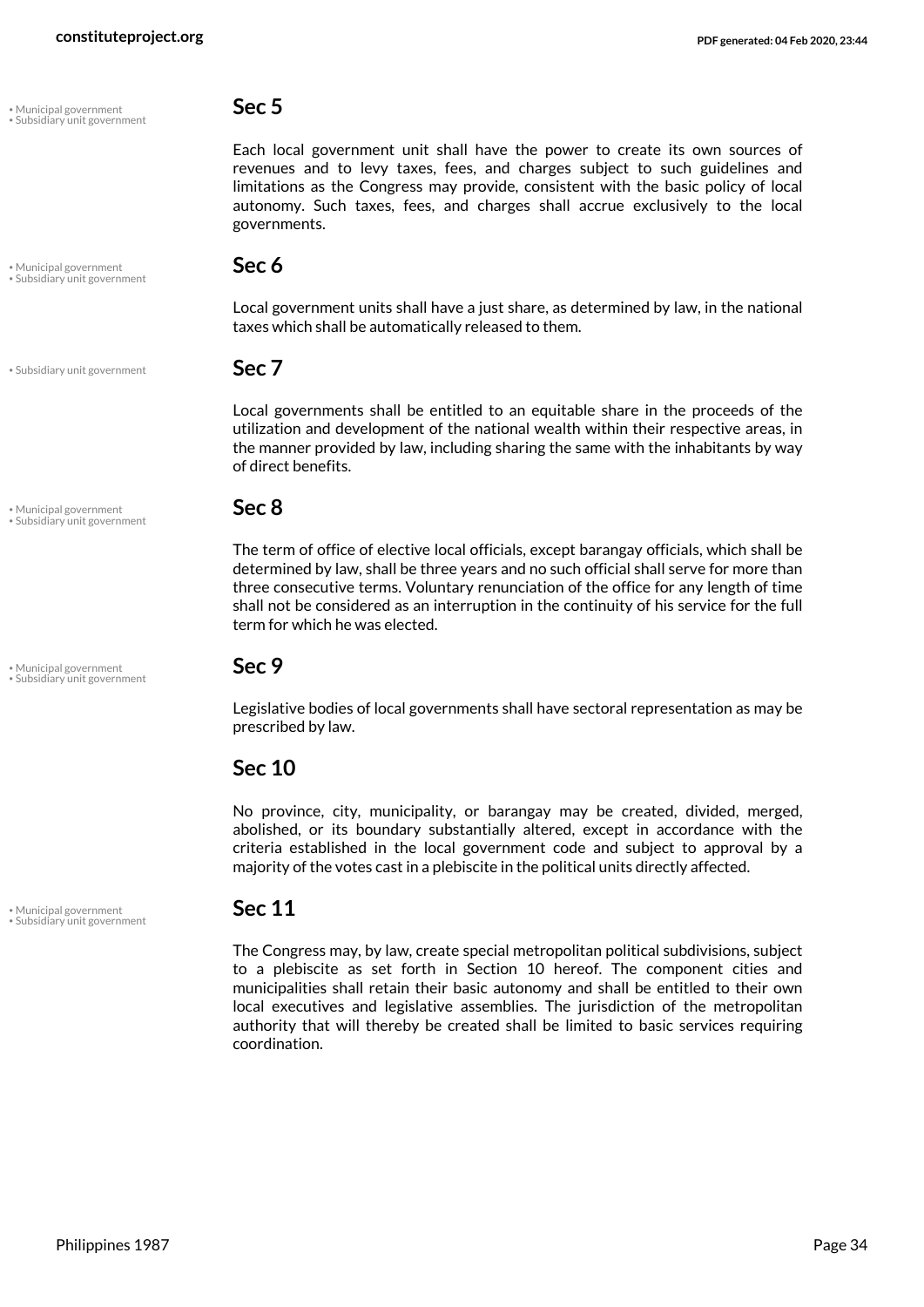• Municipal government **Sec 5** • Subsidiary unit government

• Municipal government **Sec 6** • Subsidiary unit government

• Subsidiary unit government **Sec 7**

## • Municipal government **Sec 8** • Subsidiary unit government

• Municipal government **Sec 9** • Subsidiary unit government

<span id="page-33-0"></span>• Municipal government **Sec 11** • Subsidiary unit government

**Sec 10**

prescribed by law.

<span id="page-33-1"></span>The Congress may, by law, create special metropolitan political subdivisions, subject to a plebiscite as set forth in Section 10 hereof. The component cities and municipalities shall retain their basic autonomy and shall be entitled to their own local executives and legislative assemblies. The jurisdiction of the metropolitan authority that will thereby be created shall be limited to basic services requiring coordination.

Each local government unit shall have the power to create its own sources of revenues and to levy taxes, fees, and charges subject to such guidelines and limitations as the Congress may provide, consistent with the basic policy of local autonomy. Such taxes, fees, and charges shall accrue exclusively to the local governments.

Local government units shall have a just share, as determined by law, in the national taxes which shall be automatically released to them.

Local governments shall be entitled to an equitable share in the proceeds of the utilization and development of the national wealth within their respective areas, in the manner provided by law, including sharing the same with the inhabitants by way of direct benefits.

The term of office of elective local officials, except barangay officials, which shall be determined by law, shall be three years and no such official shall serve for more than three consecutive terms. Voluntary renunciation of the office for any length of time shall not be considered as an interruption in the continuity of his service for the full term for which he was elected.

Legislative bodies of local governments shall have sectoral representation as may be

No province, city, municipality, or barangay may be created, divided, merged, abolished, or its boundary substantially altered, except in accordance with the criteria established in the local government code and subject to approval by a

majority of the votes cast in a plebiscite in the political units directly affected.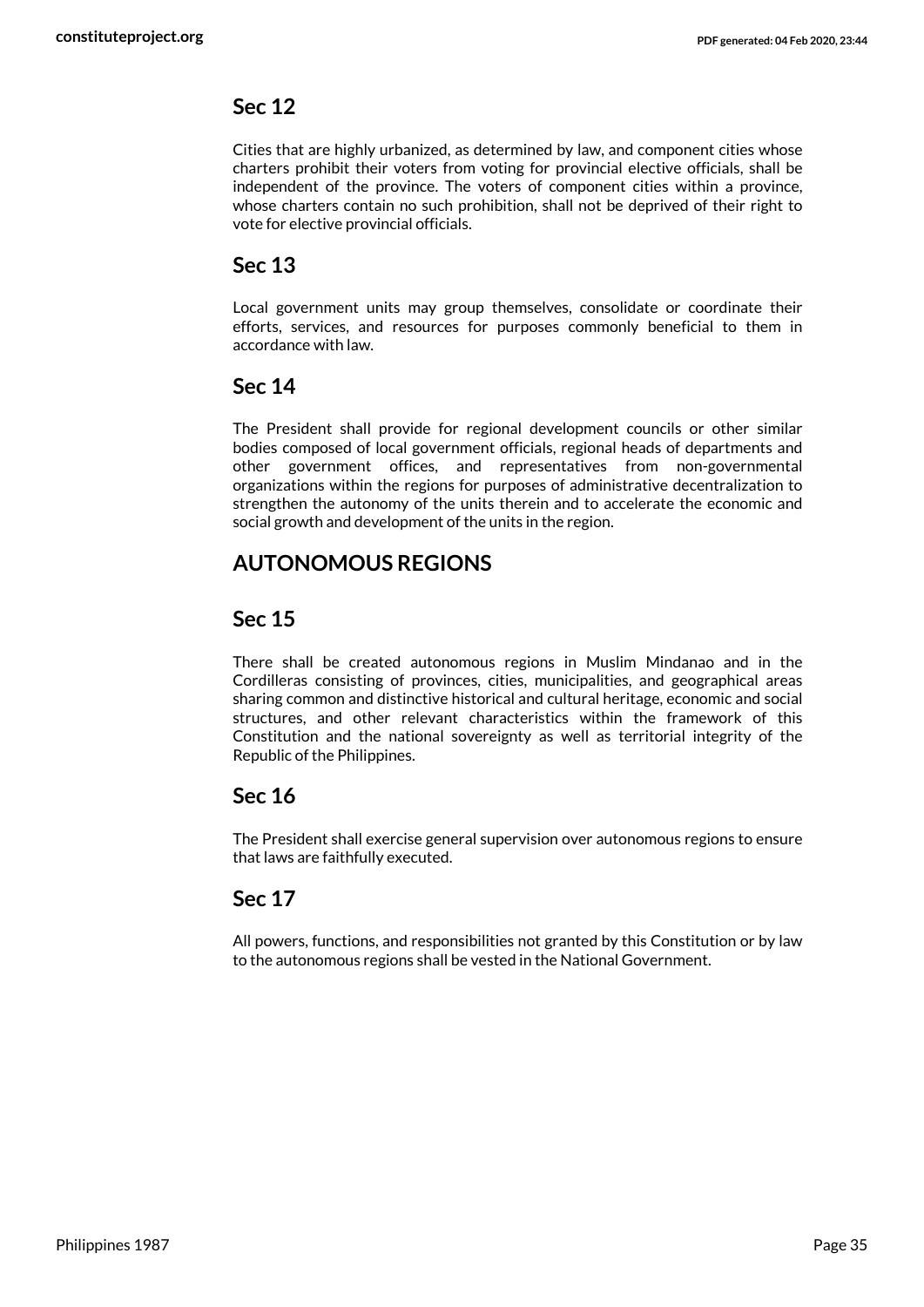Cities that are highly urbanized, as determined by law, and component cities whose charters prohibit their voters from voting for provincial elective officials, shall be independent of the province. The voters of component cities within a province, whose charters contain no such prohibition, shall not be deprived of their right to vote for elective provincial officials.

#### **Sec 13**

Local government units may group themselves, consolidate or coordinate their efforts, services, and resources for purposes commonly beneficial to them in accordance with law.

#### **Sec 14**

The President shall provide for regional development councils or other similar bodies composed of local government officials, regional heads of departments and other government offices, and representatives from non-governmental organizations within the regions for purposes of administrative decentralization to strengthen the autonomy of the units therein and to accelerate the economic and social growth and development of the units in the region.

### **AUTONOMOUS REGIONS**

#### **Sec 15**

There shall be created autonomous regions in Muslim Mindanao and in the Cordilleras consisting of provinces, cities, municipalities, and geographical areas sharing common and distinctive historical and cultural heritage, economic and social structures, and other relevant characteristics within the framework of this Constitution and the national sovereignty as well as territorial integrity of the Republic of the Philippines.

### **Sec 16**

The President shall exercise general supervision over autonomous regions to ensure that laws are faithfully executed.

### **Sec 17**

All powers, functions, and responsibilities not granted by this Constitution or by law to the autonomous regions shall be vested in the National Government.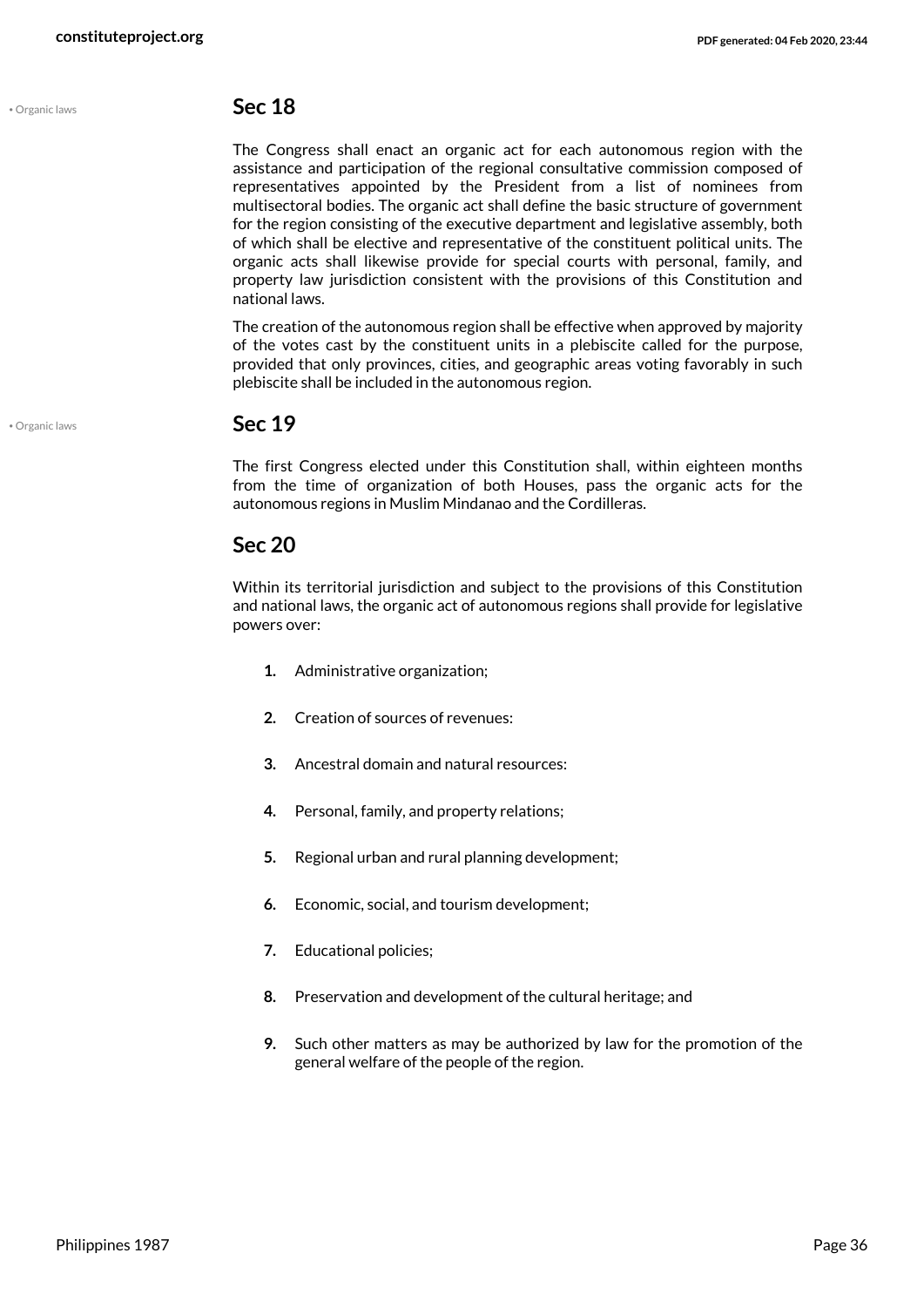#### • Organic laws **Sec 18**

The Congress shall enact an organic act for each autonomous region with the assistance and participation of the regional consultative commission composed of representatives appointed by the President from a list of nominees from multisectoral bodies. The organic act shall define the basic structure of government for the region consisting of the executive department and legislative assembly, both of which shall be elective and representative of the constituent political units. The organic acts shall likewise provide for special courts with personal, family, and property law jurisdiction consistent with the provisions of this Constitution and national laws.

The creation of the autonomous region shall be effective when approved by majority of the votes cast by the constituent units in a plebiscite called for the purpose, provided that only provinces, cities, and geographic areas voting favorably in such plebiscite shall be included in the autonomous region.

<span id="page-35-0"></span>

#### • Organic laws **Sec 19**

The first Congress elected under this Constitution shall, within eighteen months from the time of organization of both Houses, pass the organic acts for the autonomous regions in Muslim Mindanao and the Cordilleras.

#### **Sec 20**

Within its territorial jurisdiction and subject to the provisions of this Constitution and national laws, the organic act of autonomous regions shall provide for legislative powers over:

- **1.** Administrative organization;
- **2.** Creation of sources of revenues:
- **3.** Ancestral domain and natural resources:
- **4.** Personal, family, and property relations;
- **5.** Regional urban and rural planning development;
- **6.** Economic, social, and tourism development;
- **7.** Educational policies;
- **8.** Preservation and development of the cultural heritage; and
- **9.** Such other matters as may be authorized by law for the promotion of the general welfare of the people of the region.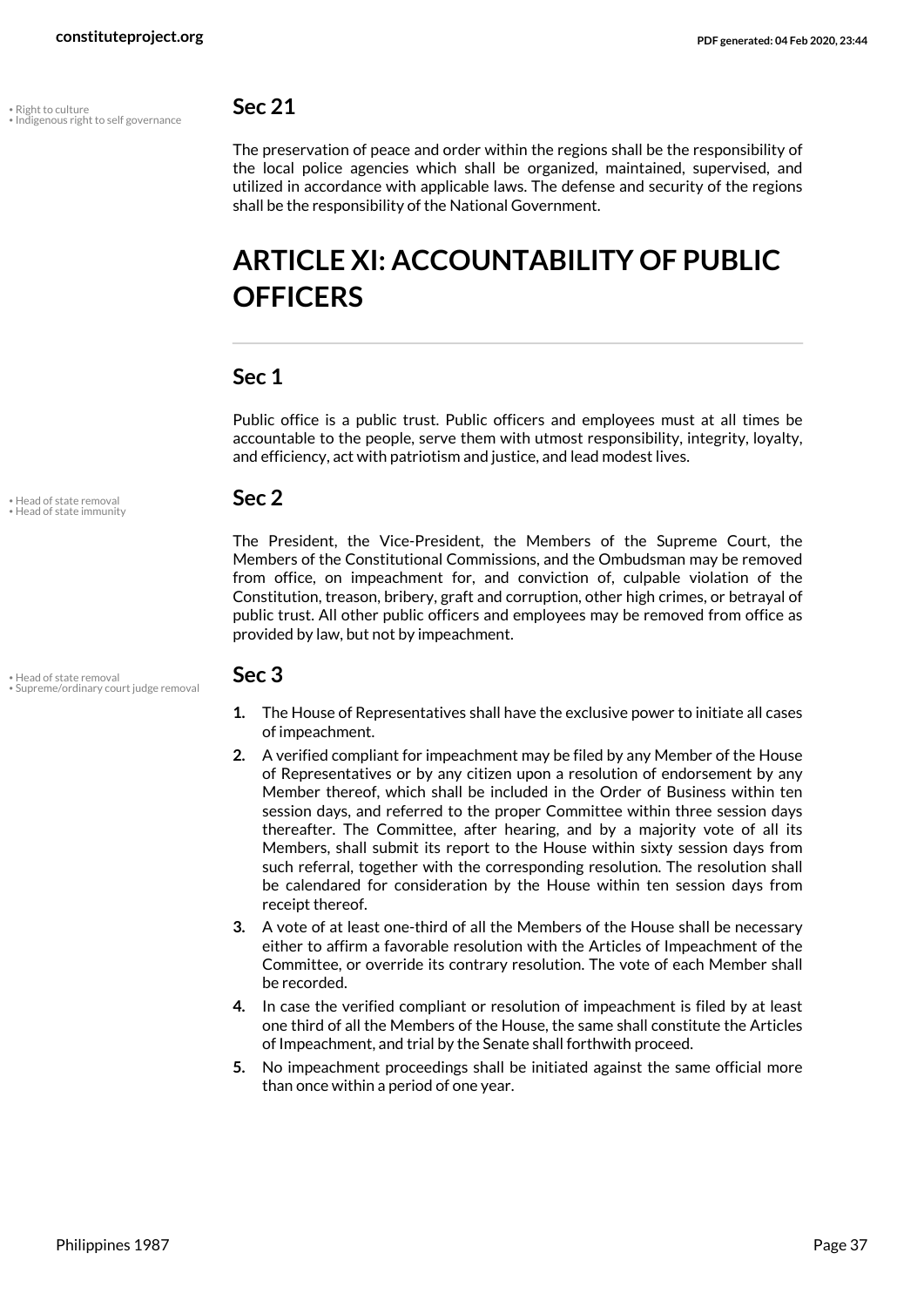<span id="page-36-4"></span>• Right to culture **Sec 21** • Indigenous right to self governance

<span id="page-36-3"></span>The preservation of peace and order within the regions shall be the responsibility of the local police agencies which shall be organized, maintained, supervised, and utilized in accordance with applicable laws. The defense and security of the regions shall be the responsibility of the National Government.

## <span id="page-36-0"></span>**ARTICLE XI: ACCOUNTABILITY OF PUBLIC OFFICERS**

#### **Sec 1**

Public office is a public trust. Public officers and employees must at all times be accountable to the people, serve them with utmost responsibility, integrity, loyalty, and efficiency, act with patriotism and justice, and lead modest lives.

<span id="page-36-1"></span>The President, the Vice-President, the Members of the Supreme Court, the Members of the Constitutional Commissions, and the Ombudsman may be removed from office, on impeachment for, and conviction of, culpable violation of the Constitution, treason, bribery, graft and corruption, other high crimes, or betrayal of public trust. All other public officers and employees may be removed from office as provided by law, but not by impeachment.

- <span id="page-36-5"></span>**1.** The House of Representatives shall have the exclusive power to initiate all cases of impeachment.
- **2.** A verified compliant for impeachment may be filed by any Member of the House of Representatives or by any citizen upon a resolution of endorsement by any Member thereof, which shall be included in the Order of Business within ten session days, and referred to the proper Committee within three session days thereafter. The Committee, after hearing, and by a majority vote of all its Members, shall submit its report to the House within sixty session days from such referral, together with the corresponding resolution. The resolution shall be calendared for consideration by the House within ten session days from receipt thereof.
- **3.** A vote of at least one-third of all the Members of the House shall be necessary either to affirm a favorable resolution with the Articles of Impeachment of the Committee, or override its contrary resolution. The vote of each Member shall be recorded.
- **4.** In case the verified compliant or resolution of impeachment is filed by at least one third of all the Members of the House, the same shall constitute the Articles of Impeachment, and trial by the Senate shall forthwith proceed.
- **5.** No impeachment proceedings shall be initiated against the same official more than once within a period of one year.

• Head of state removal **Sec 2** • Head of state immunity

<span id="page-36-2"></span> $\bullet$  Head of state removal **Sec 3**<br> $\bullet$  Supreme/ordinary court judge removal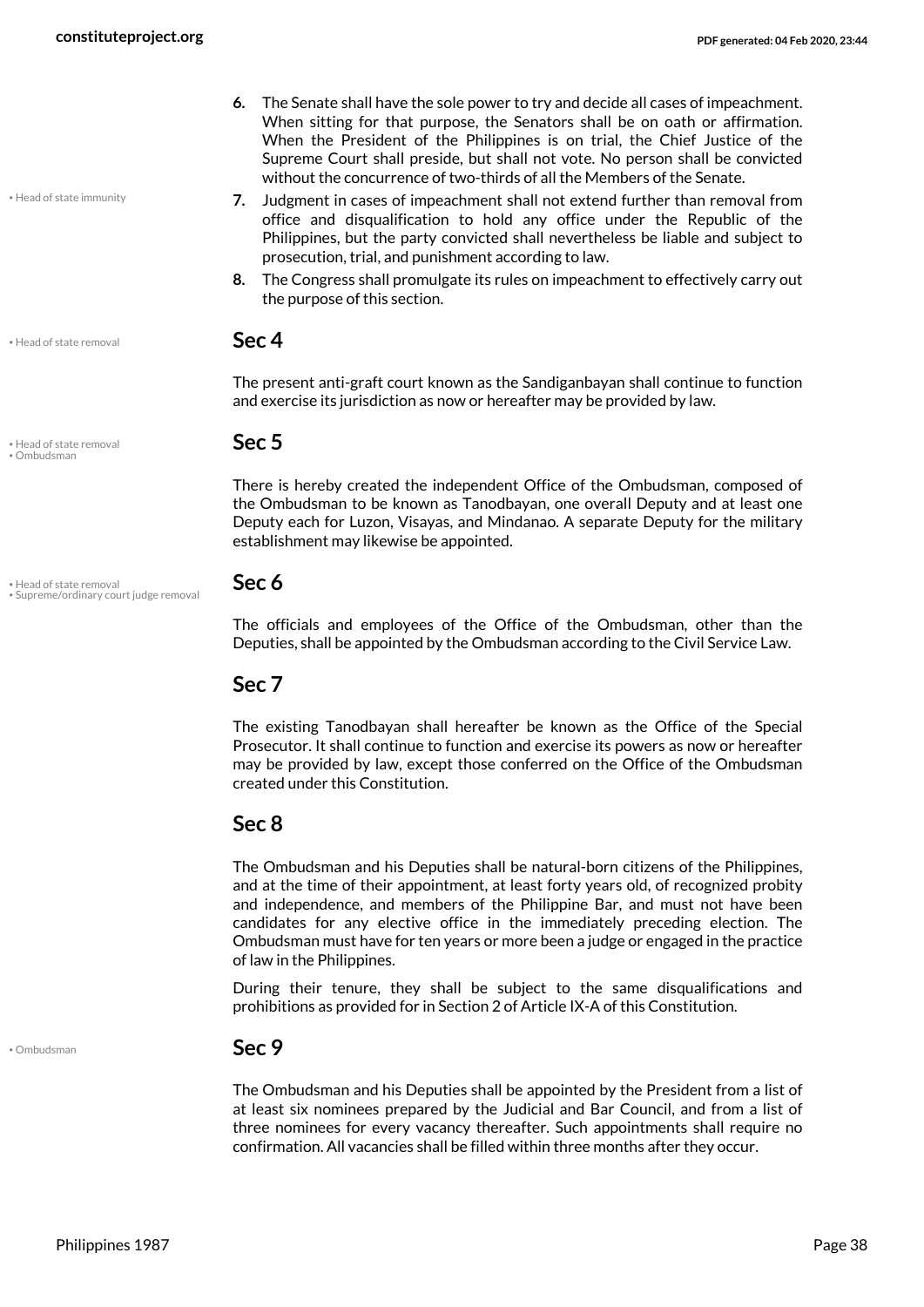• Head of state immunity

- **6.** The Senate shall have the sole power to try and decide all cases of impeachment. When sitting for that purpose, the Senators shall be on oath or affirmation. When the President of the Philippines is on trial, the Chief Justice of the Supreme Court shall preside, but shall not vote. No person shall be convicted without the concurrence of two-thirds of all the Members of the Senate.
- <span id="page-37-0"></span>**7.** Judgment in cases of impeachment shall not extend further than removal from office and disqualification to hold any office under the Republic of the Philippines, but the party convicted shall nevertheless be liable and subject to prosecution, trial, and punishment according to law.
- **8.** The Congress shall promulgate its rules on impeachment to effectively carry out the purpose of this section.

#### • Head of state removal **Sec 4**

The present anti-graft court known as the Sandiganbayan shall continue to function and exercise its jurisdiction as now or hereafter may be provided by law.

## • Head of state removal **Sec 5** • Ombudsman

There is hereby created the independent Office of the Ombudsman, composed of the Ombudsman to be known as Tanodbayan, one overall Deputy and at least one Deputy each for Luzon, Visayas, and Mindanao. A separate Deputy for the military establishment may likewise be appointed.

<span id="page-37-3"></span>The officials and employees of the Office of the Ombudsman, other than the Deputies, shall be appointed by the Ombudsman according to the Civil Service Law.

### **Sec 7**

The existing Tanodbayan shall hereafter be known as the Office of the Special Prosecutor. It shall continue to function and exercise its powers as now or hereafter may be provided by law, except those conferred on the Office of the Ombudsman created under this Constitution.

### **Sec 8**

The Ombudsman and his Deputies shall be natural-born citizens of the Philippines, and at the time of their appointment, at least forty years old, of recognized probity and independence, and members of the Philippine Bar, and must not have been candidates for any elective office in the immediately preceding election. The Ombudsman must have for ten years or more been a judge or engaged in the practice of law in the Philippines.

During their tenure, they shall be subject to the same disqualifications and prohibitions as provided for in Section 2 of Article IX-A of this Constitution.

#### • Ombudsman **Sec 9**

The Ombudsman and his Deputies shall be appointed by the President from a list of at least six nominees prepared by the Judicial and Bar Council, and from a list of three nominees for every vacancy thereafter. Such appointments shall require no confirmation. All vacancies shall be filled within three months after they occur.

<span id="page-37-1"></span>• Head of state removal **Sec 6** • Supreme/ordinary court judge removal

<span id="page-37-2"></span>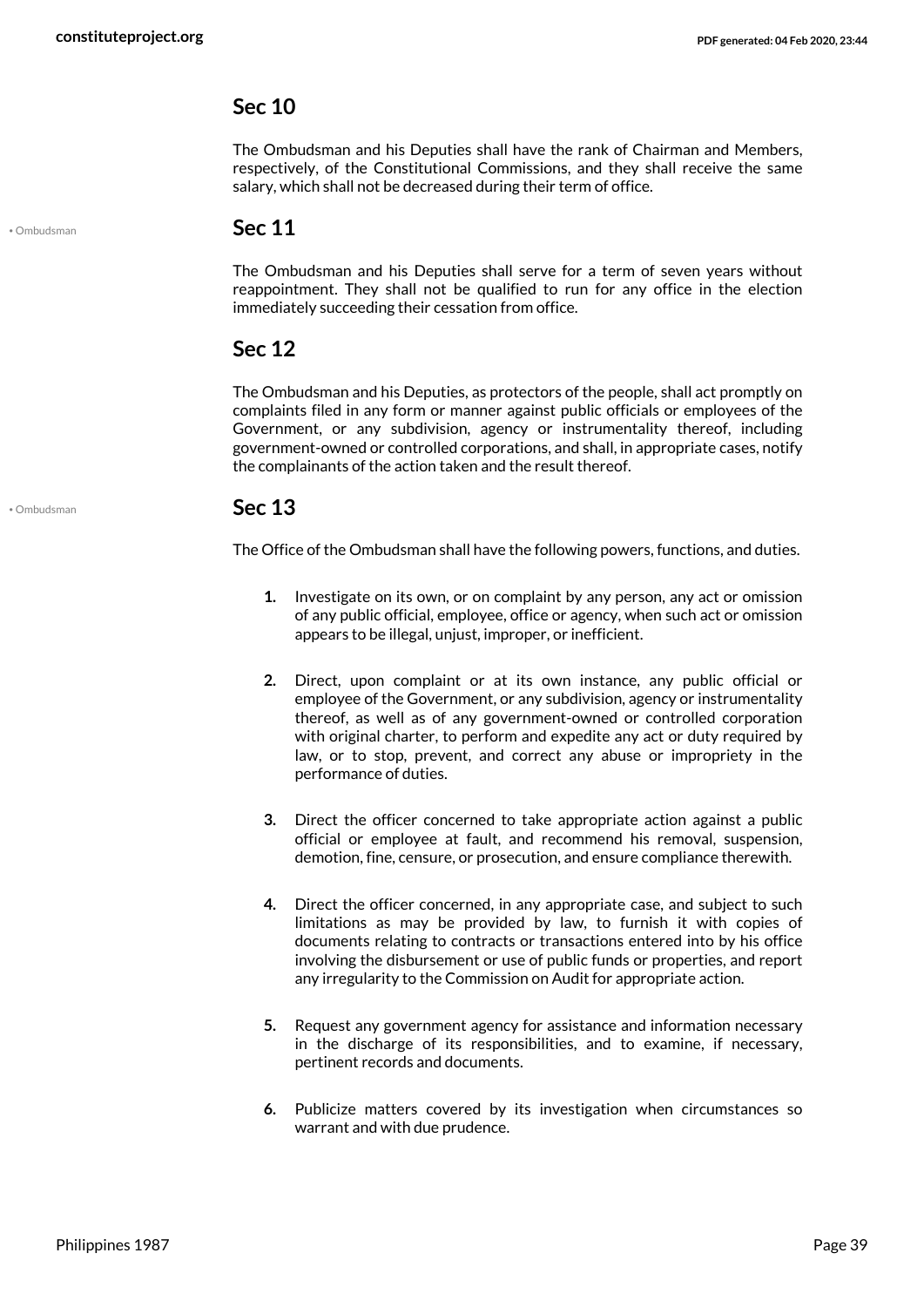The Ombudsman and his Deputies shall have the rank of Chairman and Members, respectively, of the Constitutional Commissions, and they shall receive the same salary, which shall not be decreased during their term of office.

#### • Ombudsman **Sec 11**

The Ombudsman and his Deputies shall serve for a term of seven years without reappointment. They shall not be qualified to run for any office in the election immediately succeeding their cessation from office.

#### **Sec 12**

The Ombudsman and his Deputies, as protectors of the people, shall act promptly on complaints filed in any form or manner against public officials or employees of the Government, or any subdivision, agency or instrumentality thereof, including government-owned or controlled corporations, and shall, in appropriate cases, notify the complainants of the action taken and the result thereof.

#### <span id="page-38-0"></span>• Ombudsman **Sec 13**

The Office of the Ombudsman shall have the following powers, functions, and duties.

- **1.** Investigate on its own, or on complaint by any person, any act or omission of any public official, employee, office or agency, when such act or omission appears to be illegal, unjust, improper, or inefficient.
- **2.** Direct, upon complaint or at its own instance, any public official or employee of the Government, or any subdivision, agency or instrumentality thereof, as well as of any government-owned or controlled corporation with original charter, to perform and expedite any act or duty required by law, or to stop, prevent, and correct any abuse or impropriety in the performance of duties.
- **3.** Direct the officer concerned to take appropriate action against a public official or employee at fault, and recommend his removal, suspension, demotion, fine, censure, or prosecution, and ensure compliance therewith.
- **4.** Direct the officer concerned, in any appropriate case, and subject to such limitations as may be provided by law, to furnish it with copies of documents relating to contracts or transactions entered into by his office involving the disbursement or use of public funds or properties, and report any irregularity to the Commission on Audit for appropriate action.
- **5.** Request any government agency for assistance and information necessary in the discharge of its responsibilities, and to examine, if necessary, pertinent records and documents.
- **6.** Publicize matters covered by its investigation when circumstances so warrant and with due prudence.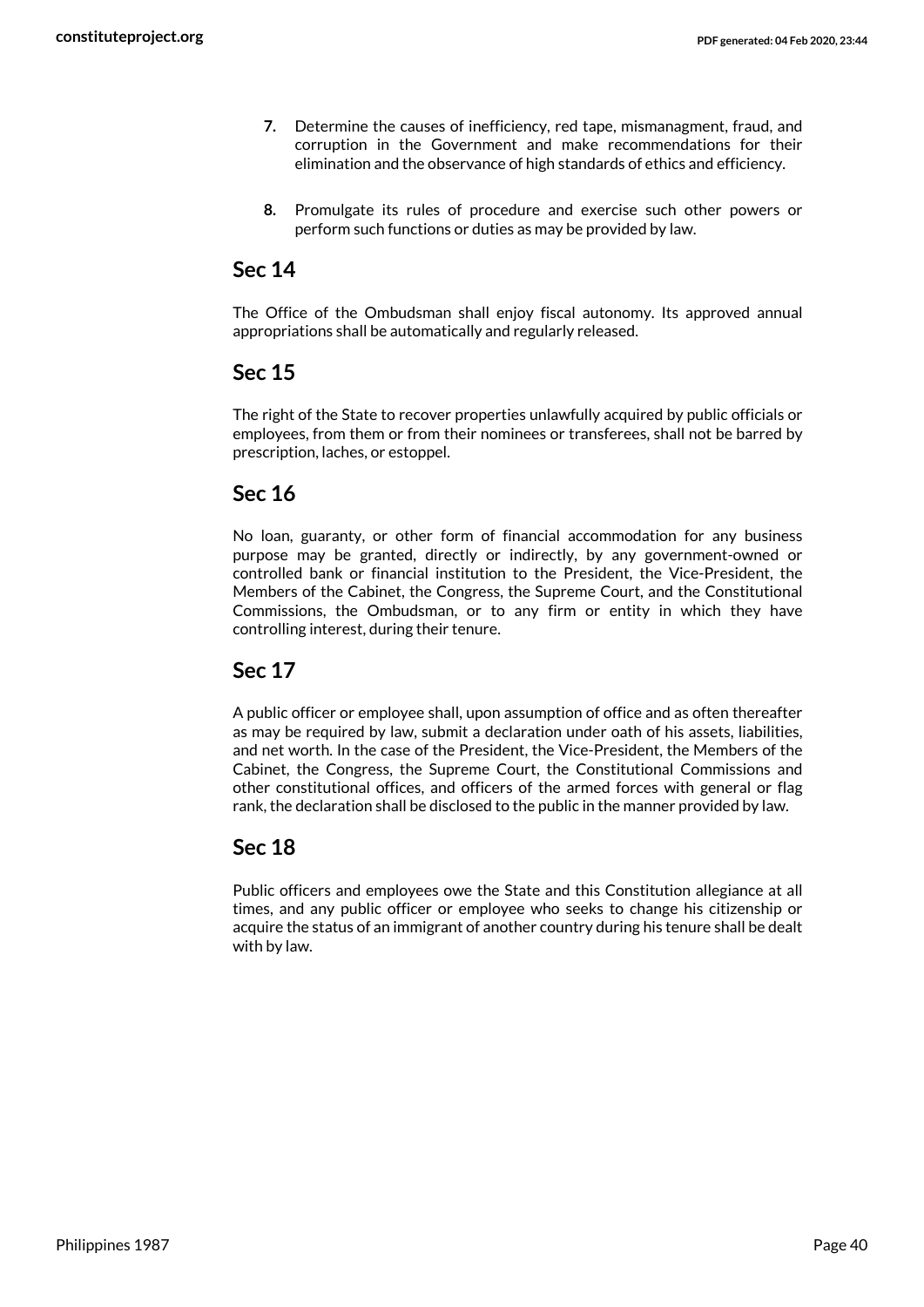- **7.** Determine the causes of inefficiency, red tape, mismanagment, fraud, and corruption in the Government and make recommendations for their elimination and the observance of high standards of ethics and efficiency.
- **8.** Promulgate its rules of procedure and exercise such other powers or perform such functions or duties as may be provided by law.

The Office of the Ombudsman shall enjoy fiscal autonomy. Its approved annual appropriations shall be automatically and regularly released.

#### **Sec 15**

The right of the State to recover properties unlawfully acquired by public officials or employees, from them or from their nominees or transferees, shall not be barred by prescription, laches, or estoppel.

### **Sec 16**

No loan, guaranty, or other form of financial accommodation for any business purpose may be granted, directly or indirectly, by any government-owned or controlled bank or financial institution to the President, the Vice-President, the Members of the Cabinet, the Congress, the Supreme Court, and the Constitutional Commissions, the Ombudsman, or to any firm or entity in which they have controlling interest, during their tenure.

### **Sec 17**

A public officer or employee shall, upon assumption of office and as often thereafter as may be required by law, submit a declaration under oath of his assets, liabilities, and net worth. In the case of the President, the Vice-President, the Members of the Cabinet, the Congress, the Supreme Court, the Constitutional Commissions and other constitutional offices, and officers of the armed forces with general or flag rank, the declaration shall be disclosed to the public in the manner provided by law.

### **Sec 18**

Public officers and employees owe the State and this Constitution allegiance at all times, and any public officer or employee who seeks to change his citizenship or acquire the status of an immigrant of another country during his tenure shall be dealt with by law.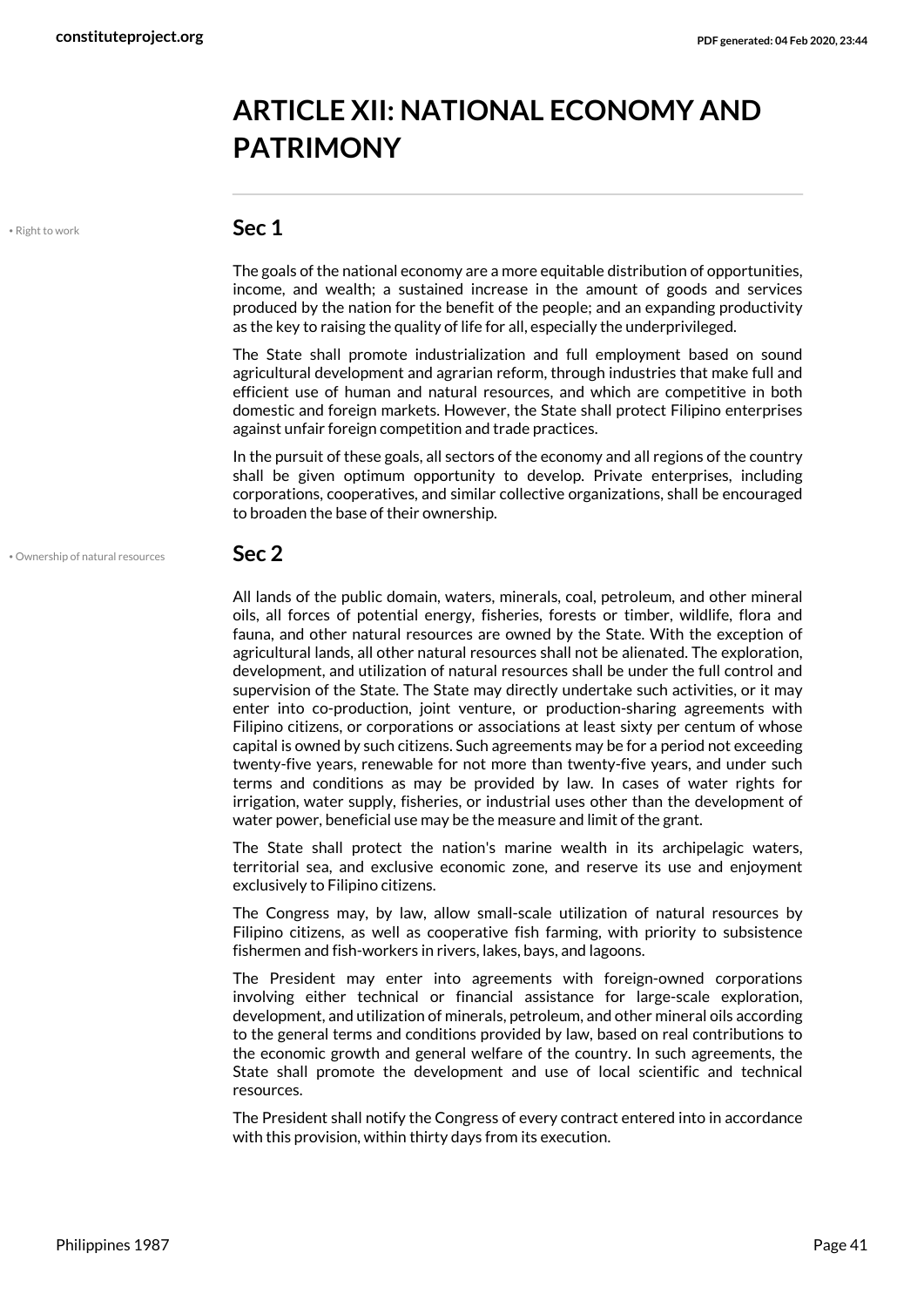## <span id="page-40-0"></span>**ARTICLE XII: NATIONAL ECONOMY AND PATRIMONY**

<span id="page-40-2"></span>

#### • Right to work **Sec 1**

The goals of the national economy are a more equitable distribution of opportunities, income, and wealth; a sustained increase in the amount of goods and services produced by the nation for the benefit of the people; and an expanding productivity as the key to raising the quality of life for all, especially the underprivileged.

The State shall promote industrialization and full employment based on sound agricultural development and agrarian reform, through industries that make full and efficient use of human and natural resources, and which are competitive in both domestic and foreign markets. However, the State shall protect Filipino enterprises against unfair foreign competition and trade practices.

In the pursuit of these goals, all sectors of the economy and all regions of the country shall be given optimum opportunity to develop. Private enterprises, including corporations, cooperatives, and similar collective organizations, shall be encouraged to broaden the base of their ownership.

• Ownership of natural resources **Sec 2**

<span id="page-40-1"></span>All lands of the public domain, waters, minerals, coal, petroleum, and other mineral oils, all forces of potential energy, fisheries, forests or timber, wildlife, flora and fauna, and other natural resources are owned by the State. With the exception of agricultural lands, all other natural resources shall not be alienated. The exploration, development, and utilization of natural resources shall be under the full control and supervision of the State. The State may directly undertake such activities, or it may enter into co-production, joint venture, or production-sharing agreements with Filipino citizens, or corporations or associations at least sixty per centum of whose capital is owned by such citizens. Such agreements may be for a period not exceeding twenty-five years, renewable for not more than twenty-five years, and under such terms and conditions as may be provided by law. In cases of water rights for irrigation, water supply, fisheries, or industrial uses other than the development of water power, beneficial use may be the measure and limit of the grant.

The State shall protect the nation's marine wealth in its archipelagic waters, territorial sea, and exclusive economic zone, and reserve its use and enjoyment exclusively to Filipino citizens.

The Congress may, by law, allow small-scale utilization of natural resources by Filipino citizens, as well as cooperative fish farming, with priority to subsistence fishermen and fish-workers in rivers, lakes, bays, and lagoons.

The President may enter into agreements with foreign-owned corporations involving either technical or financial assistance for large-scale exploration, development, and utilization of minerals, petroleum, and other mineral oils according to the general terms and conditions provided by law, based on real contributions to the economic growth and general welfare of the country. In such agreements, the State shall promote the development and use of local scientific and technical resources.

The President shall notify the Congress of every contract entered into in accordance with this provision, within thirty days from its execution.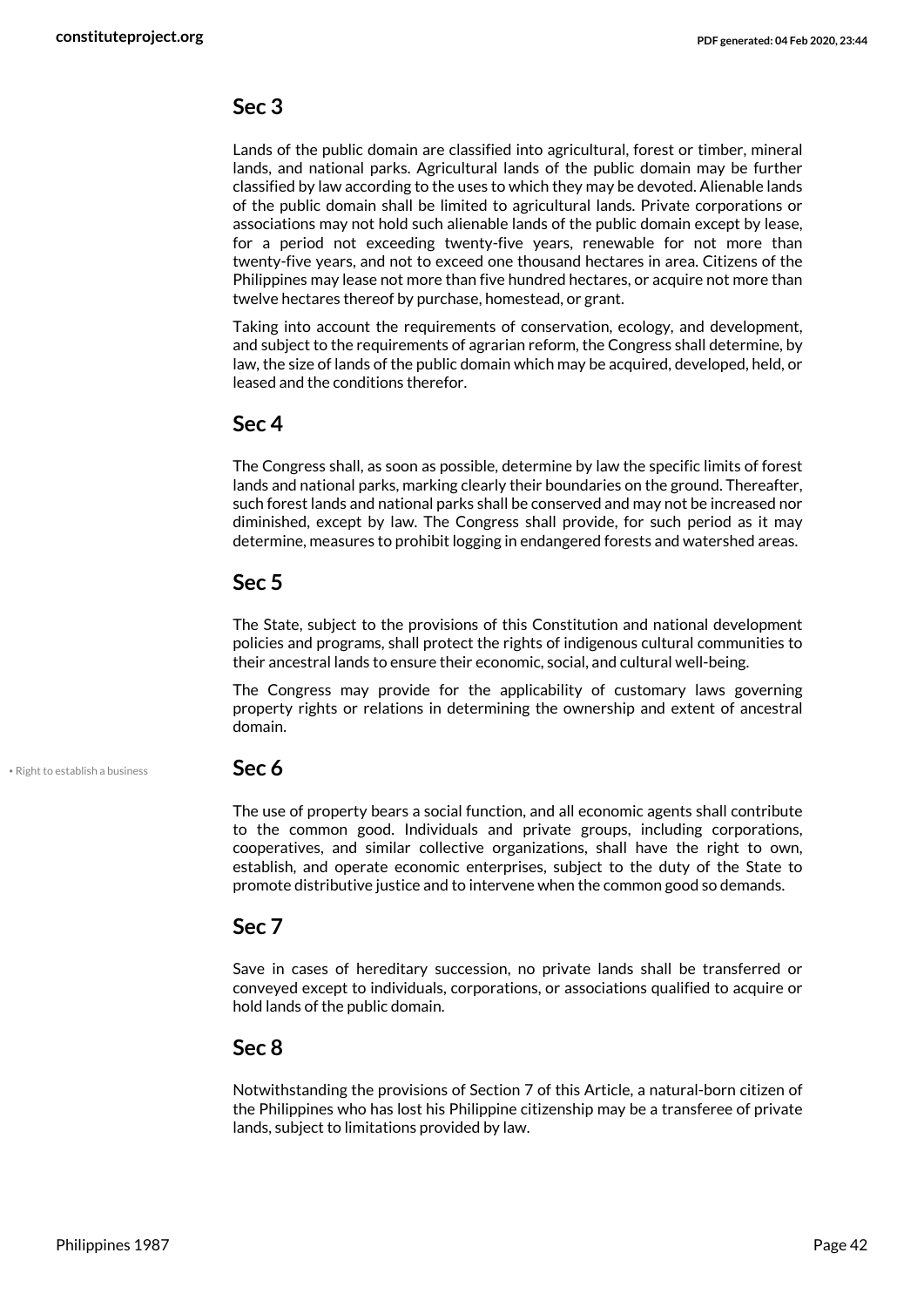Lands of the public domain are classified into agricultural, forest or timber, mineral lands, and national parks. Agricultural lands of the public domain may be further classified by law according to the uses to which they may be devoted. Alienable lands of the public domain shall be limited to agricultural lands. Private corporations or associations may not hold such alienable lands of the public domain except by lease, for a period not exceeding twenty-five years, renewable for not more than twenty-five years, and not to exceed one thousand hectares in area. Citizens of the Philippines may lease not more than five hundred hectares, or acquire not more than twelve hectares thereof by purchase, homestead, or grant.

Taking into account the requirements of conservation, ecology, and development, and subject to the requirements of agrarian reform, the Congress shall determine, by law, the size of lands of the public domain which may be acquired, developed, held, or leased and the conditions therefor.

#### **Sec 4**

The Congress shall, as soon as possible, determine by law the specific limits of forest lands and national parks, marking clearly their boundaries on the ground. Thereafter, such forest lands and national parks shall be conserved and may not be increased nor diminished, except by law. The Congress shall provide, for such period as it may determine, measures to prohibit logging in endangered forests and watershed areas.

### **Sec 5**

The State, subject to the provisions of this Constitution and national development policies and programs, shall protect the rights of indigenous cultural communities to their ancestral lands to ensure their economic, social, and cultural well-being.

The Congress may provide for the applicability of customary laws governing property rights or relations in determining the ownership and extent of ancestral domain.

#### • Right to establish a business **Sec 6**

<span id="page-41-0"></span>The use of property bears a social function, and all economic agents shall contribute to the common good. Individuals and private groups, including corporations, cooperatives, and similar collective organizations, shall have the right to own, establish, and operate economic enterprises, subject to the duty of the State to promote distributive justice and to intervene when the common good so demands.

#### **Sec 7**

Save in cases of hereditary succession, no private lands shall be transferred or conveyed except to individuals, corporations, or associations qualified to acquire or hold lands of the public domain.

#### **Sec 8**

Notwithstanding the provisions of Section 7 of this Article, a natural-born citizen of the Philippines who has lost his Philippine citizenship may be a transferee of private lands, subject to limitations provided by law.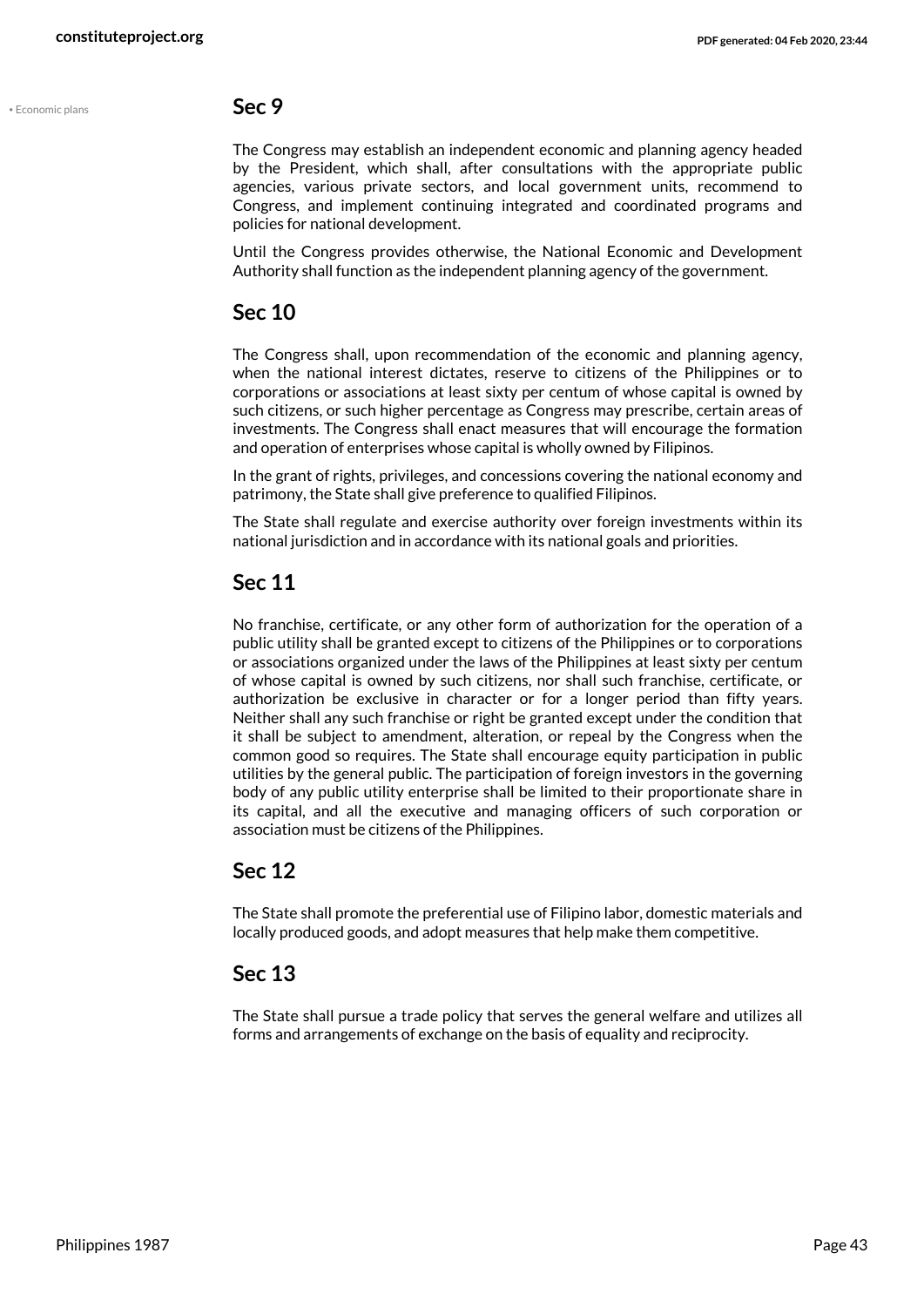<span id="page-42-0"></span>• Economic plans **Sec 9**

The Congress may establish an independent economic and planning agency headed by the President, which shall, after consultations with the appropriate public agencies, various private sectors, and local government units, recommend to Congress, and implement continuing integrated and coordinated programs and policies for national development.

Until the Congress provides otherwise, the National Economic and Development Authority shall function as the independent planning agency of the government.

### **Sec 10**

The Congress shall, upon recommendation of the economic and planning agency, when the national interest dictates, reserve to citizens of the Philippines or to corporations or associations at least sixty per centum of whose capital is owned by such citizens, or such higher percentage as Congress may prescribe, certain areas of investments. The Congress shall enact measures that will encourage the formation and operation of enterprises whose capital is wholly owned by Filipinos.

In the grant of rights, privileges, and concessions covering the national economy and patrimony, the State shall give preference to qualified Filipinos.

The State shall regulate and exercise authority over foreign investments within its national jurisdiction and in accordance with its national goals and priorities.

### **Sec 11**

No franchise, certificate, or any other form of authorization for the operation of a public utility shall be granted except to citizens of the Philippines or to corporations or associations organized under the laws of the Philippines at least sixty per centum of whose capital is owned by such citizens, nor shall such franchise, certificate, or authorization be exclusive in character or for a longer period than fifty years. Neither shall any such franchise or right be granted except under the condition that it shall be subject to amendment, alteration, or repeal by the Congress when the common good so requires. The State shall encourage equity participation in public utilities by the general public. The participation of foreign investors in the governing body of any public utility enterprise shall be limited to their proportionate share in its capital, and all the executive and managing officers of such corporation or association must be citizens of the Philippines.

### **Sec 12**

The State shall promote the preferential use of Filipino labor, domestic materials and locally produced goods, and adopt measures that help make them competitive.

#### **Sec 13**

The State shall pursue a trade policy that serves the general welfare and utilizes all forms and arrangements of exchange on the basis of equality and reciprocity.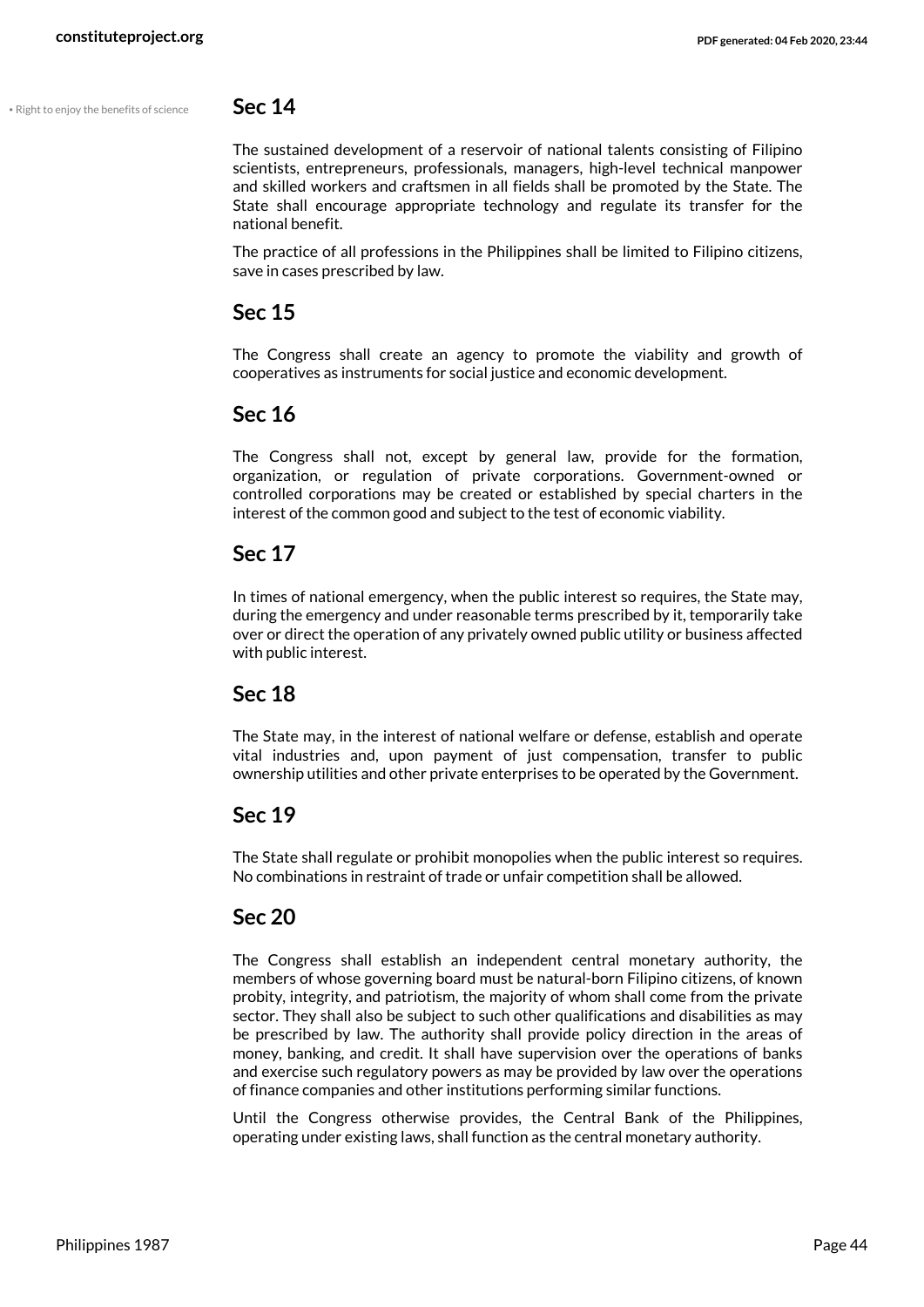$\bullet$  Right to enjoy the benefits of science  $\quad \quad$  **Sec 14** 

<span id="page-43-0"></span>The sustained development of a reservoir of national talents consisting of Filipino scientists, entrepreneurs, professionals, managers, high-level technical manpower and skilled workers and craftsmen in all fields shall be promoted by the State. The State shall encourage appropriate technology and regulate its transfer for the national benefit.

The practice of all professions in the Philippines shall be limited to Filipino citizens, save in cases prescribed by law.

#### **Sec 15**

The Congress shall create an agency to promote the viability and growth of cooperatives as instruments for social justice and economic development.

#### **Sec 16**

The Congress shall not, except by general law, provide for the formation, organization, or regulation of private corporations. Government-owned or controlled corporations may be created or established by special charters in the interest of the common good and subject to the test of economic viability.

#### **Sec 17**

In times of national emergency, when the public interest so requires, the State may, during the emergency and under reasonable terms prescribed by it, temporarily take over or direct the operation of any privately owned public utility or business affected with public interest.

### **Sec 18**

The State may, in the interest of national welfare or defense, establish and operate vital industries and, upon payment of just compensation, transfer to public ownership utilities and other private enterprises to be operated by the Government.

### **Sec 19**

The State shall regulate or prohibit monopolies when the public interest so requires. No combinations in restraint of trade or unfair competition shall be allowed.

### **Sec 20**

The Congress shall establish an independent central monetary authority, the members of whose governing board must be natural-born Filipino citizens, of known probity, integrity, and patriotism, the majority of whom shall come from the private sector. They shall also be subject to such other qualifications and disabilities as may be prescribed by law. The authority shall provide policy direction in the areas of money, banking, and credit. It shall have supervision over the operations of banks and exercise such regulatory powers as may be provided by law over the operations of finance companies and other institutions performing similar functions.

Until the Congress otherwise provides, the Central Bank of the Philippines, operating under existing laws, shall function as the central monetary authority.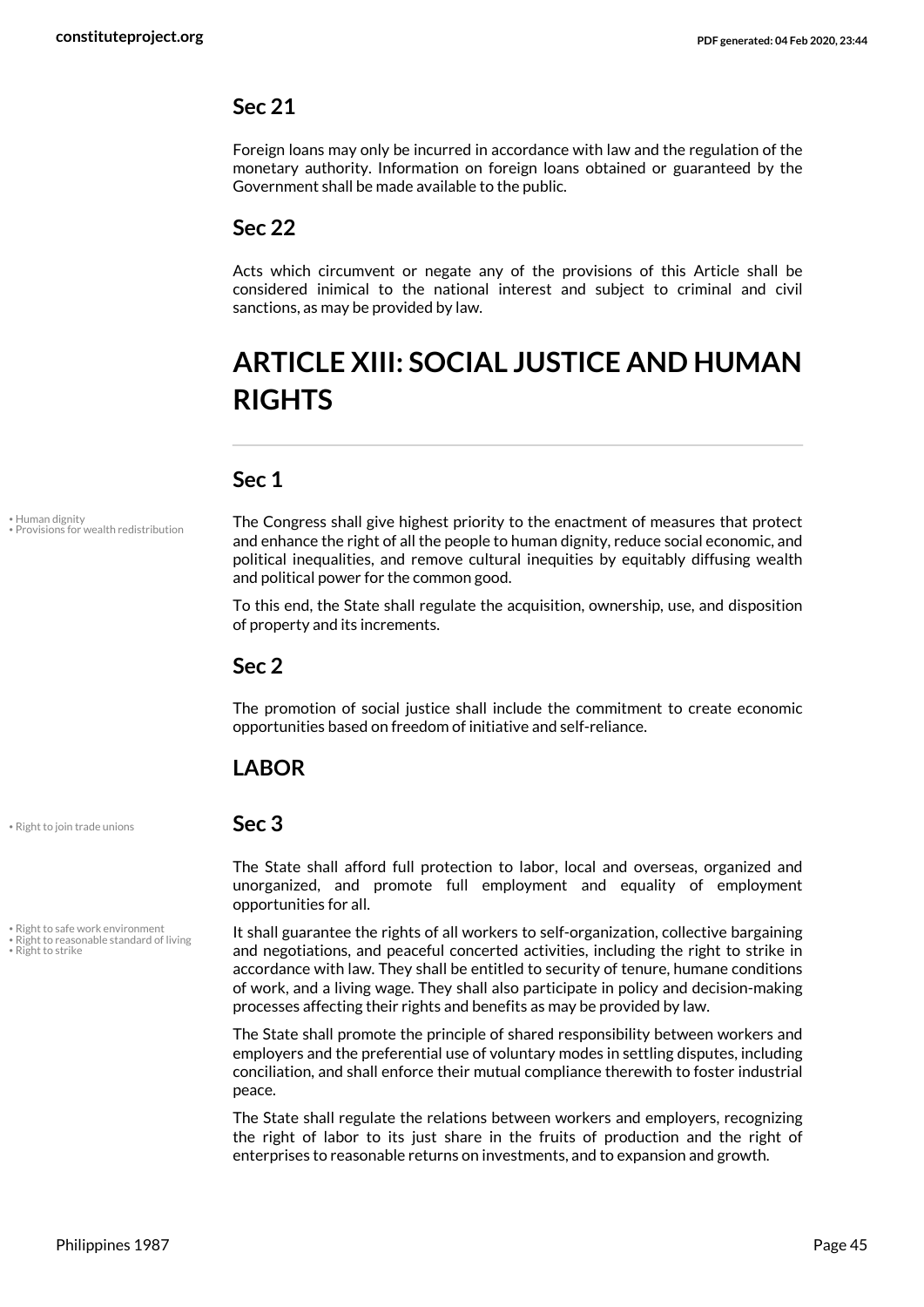Foreign loans may only be incurred in accordance with law and the regulation of the monetary authority. Information on foreign loans obtained or guaranteed by the Government shall be made available to the public.

### **Sec 22**

Acts which circumvent or negate any of the provisions of this Article shall be considered inimical to the national interest and subject to criminal and civil sanctions, as may be provided by law.

## <span id="page-44-0"></span>**ARTICLE XIII: SOCIAL JUSTICE AND HUMAN RIGHTS**

#### **Sec 1**

<span id="page-44-1"></span>• Human dignity • Provisions for wealth redistribution <span id="page-44-2"></span>The Congress shall give highest priority to the enactment of measures that protect and enhance the right of all the people to human dignity, reduce social economic, and political inequalities, and remove cultural inequities by equitably diffusing wealth and political power for the common good.

To this end, the State shall regulate the acquisition, ownership, use, and disposition of property and its increments.

### **Sec 2**

The promotion of social justice shall include the commitment to create economic opportunities based on freedom of initiative and self-reliance.

### **LABOR**

<span id="page-44-3"></span>

The State shall afford full protection to labor, local and overseas, organized and unorganized, and promote full employment and equality of employment opportunities for all.

<span id="page-44-5"></span><span id="page-44-4"></span>It shall guarantee the rights of all workers to self-organization, collective bargaining and negotiations, and peaceful concerted activities, including the right to strike in accordance with law. They shall be entitled to security of tenure, humane conditions of work, and a living wage. They shall also participate in policy and decision-making processes affecting their rights and benefits as may be provided by law.

The State shall promote the principle of shared responsibility between workers and employers and the preferential use of voluntary modes in settling disputes, including conciliation, and shall enforce their mutual compliance therewith to foster industrial peace.

The State shall regulate the relations between workers and employers, recognizing the right of labor to its just share in the fruits of production and the right of enterprises to reasonable returns on investments, and to expansion and growth.

• Right to join trade unions **Sec 3**

• Right to safe work environment

<span id="page-44-6"></span>• Right to reasonable standard of living • Right to strike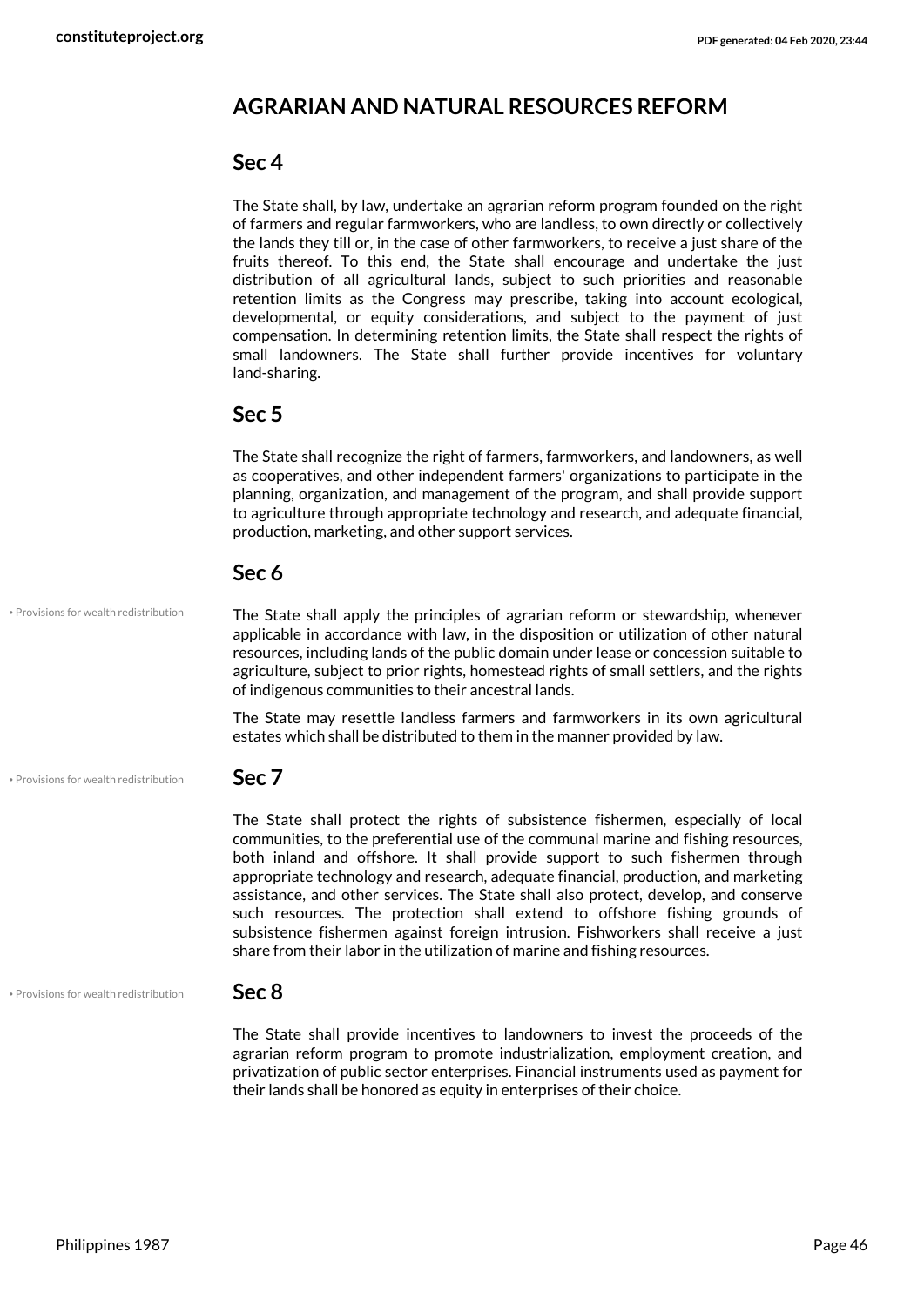### **AGRARIAN AND NATURAL RESOURCES REFORM**

#### **Sec 4**

The State shall, by law, undertake an agrarian reform program founded on the right of farmers and regular farmworkers, who are landless, to own directly or collectively the lands they till or, in the case of other farmworkers, to receive a just share of the fruits thereof. To this end, the State shall encourage and undertake the just distribution of all agricultural lands, subject to such priorities and reasonable retention limits as the Congress may prescribe, taking into account ecological, developmental, or equity considerations, and subject to the payment of just compensation. In determining retention limits, the State shall respect the rights of small landowners. The State shall further provide incentives for voluntary land-sharing.

#### **Sec 5**

The State shall recognize the right of farmers, farmworkers, and landowners, as well as cooperatives, and other independent farmers' organizations to participate in the planning, organization, and management of the program, and shall provide support to agriculture through appropriate technology and research, and adequate financial, production, marketing, and other support services.

#### **Sec 6**

• Provisions for wealth redistribution

The State shall apply the principles of agrarian reform or stewardship, whenever applicable in accordance with law, in the disposition or utilization of other natural resources, including lands of the public domain under lease or concession suitable to agriculture, subject to prior rights, homestead rights of small settlers, and the rights of indigenous communities to their ancestral lands.

The State may resettle landless farmers and farmworkers in its own agricultural estates which shall be distributed to them in the manner provided by law.

• Provisions for wealth redistribution **Sec 7**

The State shall protect the rights of subsistence fishermen, especially of local communities, to the preferential use of the communal marine and fishing resources, both inland and offshore. It shall provide support to such fishermen through appropriate technology and research, adequate financial, production, and marketing assistance, and other services. The State shall also protect, develop, and conserve such resources. The protection shall extend to offshore fishing grounds of subsistence fishermen against foreign intrusion. Fishworkers shall receive a just share from their labor in the utilization of marine and fishing resources.

• Provisions for wealth redistribution **Sec 8**

<span id="page-45-0"></span>The State shall provide incentives to landowners to invest the proceeds of the agrarian reform program to promote industrialization, employment creation, and privatization of public sector enterprises. Financial instruments used as payment for their lands shall be honored as equity in enterprises of their choice.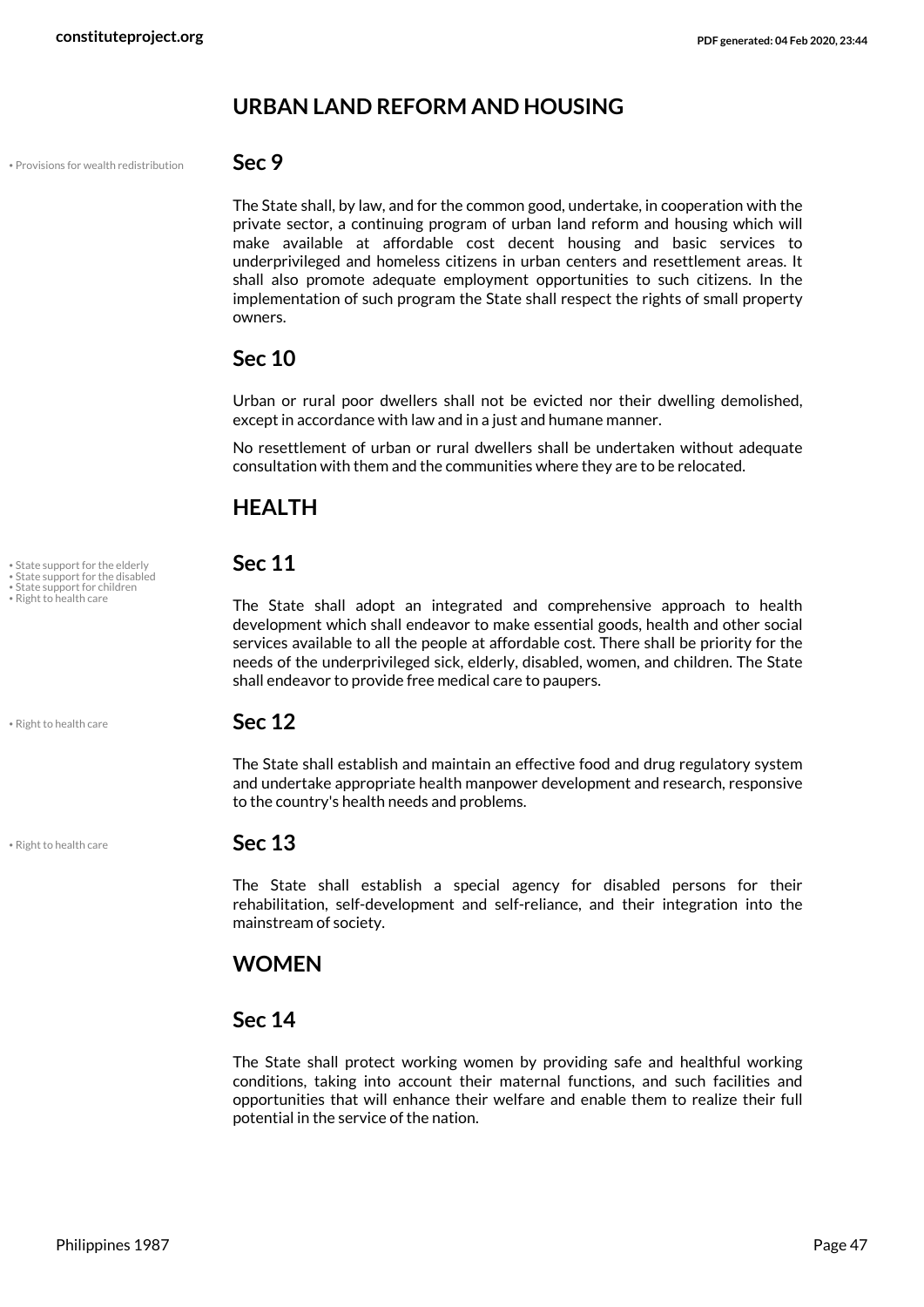### **URBAN LAND REFORM AND HOUSING**

• Provisions for wealth redistribution **Sec 9**

<span id="page-46-0"></span>

The State shall, by law, and for the common good, undertake, in cooperation with the private sector, a continuing program of urban land reform and housing which will make available at affordable cost decent housing and basic services to underprivileged and homeless citizens in urban centers and resettlement areas. It shall also promote adequate employment opportunities to such citizens. In the implementation of such program the State shall respect the rights of small property owners.

#### **Sec 10**

Urban or rural poor dwellers shall not be evicted nor their dwelling demolished, except in accordance with law and in a just and humane manner.

No resettlement of urban or rural dwellers shall be undertaken without adequate consultation with them and the communities where they are to be relocated.

### <span id="page-46-4"></span><span id="page-46-3"></span>**HEALTH**

• Right to health care The State shall adopt an integrated and comprehensive approach to health development which shall endeavor to make essential goods, health and other social services available to all the people at affordable cost. There shall be priority for the needs of the underprivileged sick, elderly, disabled, women, and children. The State shall endeavor to provide free medical care to paupers.

#### • Right to health care **Sec 12**

The State shall establish and maintain an effective food and drug regulatory system and undertake appropriate health manpower development and research, responsive to the country's health needs and problems.

#### <span id="page-46-1"></span>• Right to health care **Sec 13**

The State shall establish a special agency for disabled persons for their rehabilitation, self-development and self-reliance, and their integration into the mainstream of society.

### **WOMEN**

### **Sec 14**

The State shall protect working women by providing safe and healthful working conditions, taking into account their maternal functions, and such facilities and opportunities that will enhance their welfare and enable them to realize their full potential in the service of the nation.

<span id="page-46-2"></span>

 $\bullet$  State support for the elderly **Sec 11**<br> $\bullet$  State support for the disabled<br> $\bullet$  State support for children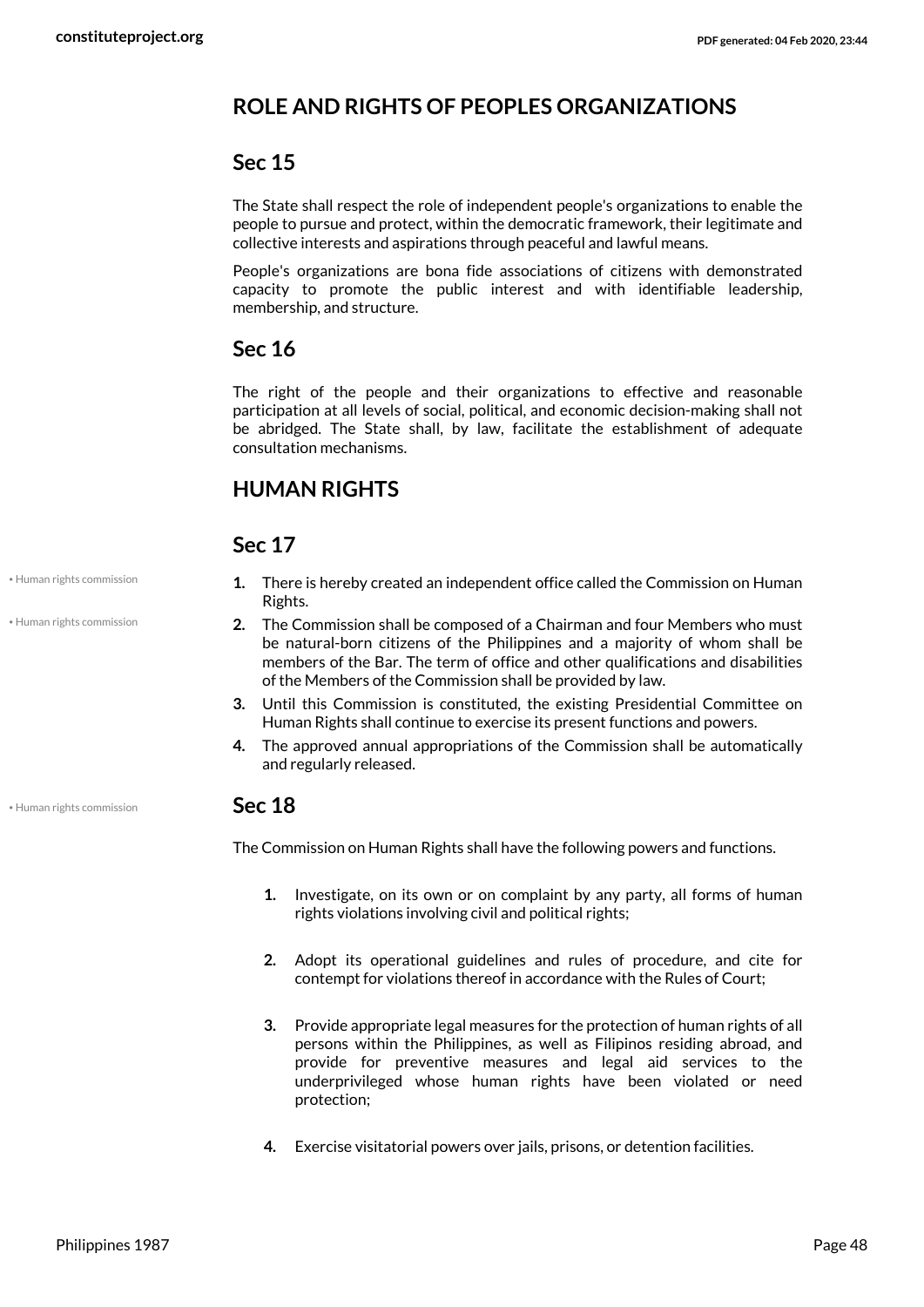### **ROLE AND RIGHTS OF PEOPLES ORGANIZATIONS**

#### **Sec 15**

The State shall respect the role of independent people's organizations to enable the people to pursue and protect, within the democratic framework, their legitimate and collective interests and aspirations through peaceful and lawful means.

People's organizations are bona fide associations of citizens with demonstrated capacity to promote the public interest and with identifiable leadership, membership, and structure.

### **Sec 16**

The right of the people and their organizations to effective and reasonable participation at all levels of social, political, and economic decision-making shall not be abridged. The State shall, by law, facilitate the establishment of adequate consultation mechanisms.

### **HUMAN RIGHTS**

### **Sec 17**

• Human rights commission

• Human rights commission

- **1.** There is hereby created an independent office called the Commission on Human Rights.
- **2.** The Commission shall be composed of a Chairman and four Members who must be natural-born citizens of the Philippines and a majority of whom shall be members of the Bar. The term of office and other qualifications and disabilities of the Members of the Commission shall be provided by law.
- **3.** Until this Commission is constituted, the existing Presidential Committee on Human Rights shall continue to exercise its present functions and powers.
- **4.** The approved annual appropriations of the Commission shall be automatically and regularly released.

#### • Human rights commission **Sec 18**

<span id="page-47-0"></span>The Commission on Human Rights shall have the following powers and functions.

- **1.** Investigate, on its own or on complaint by any party, all forms of human rights violations involving civil and political rights;
- **2.** Adopt its operational guidelines and rules of procedure, and cite for contempt for violations thereof in accordance with the Rules of Court;
- **3.** Provide appropriate legal measures for the protection of human rights of all persons within the Philippines, as well as Filipinos residing abroad, and provide for preventive measures and legal aid services to the underprivileged whose human rights have been violated or need protection;
- **4.** Exercise visitatorial powers over jails, prisons, or detention facilities.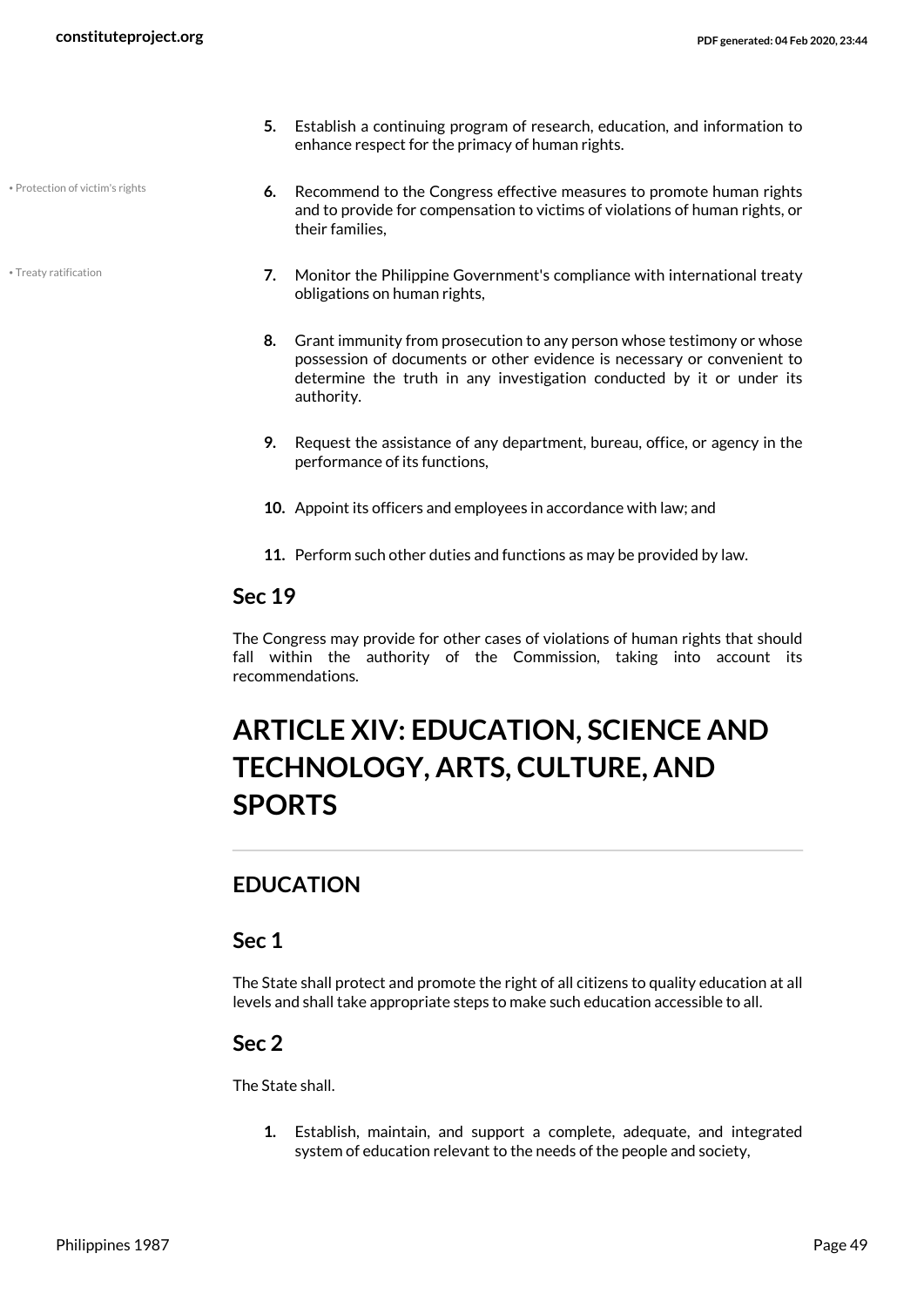- Protection of victim's rights
- <span id="page-48-2"></span>• Treaty ratification
- **5.** Establish a continuing program of research, education, and information to enhance respect for the primacy of human rights.
- <span id="page-48-1"></span>**6.** Recommend to the Congress effective measures to promote human rights and to provide for compensation to victims of violations of human rights, or their families,
- **7.** Monitor the Philippine Government's compliance with international treaty obligations on human rights,
- **8.** Grant immunity from prosecution to any person whose testimony or whose possession of documents or other evidence is necessary or convenient to determine the truth in any investigation conducted by it or under its authority.
- **9.** Request the assistance of any department, bureau, office, or agency in the performance of its functions,
- **10.** Appoint its officers and employees in accordance with law; and
- **11.** Perform such other duties and functions as may be provided by law.

The Congress may provide for other cases of violations of human rights that should fall within the authority of the Commission, taking into account its recommendations.

## <span id="page-48-0"></span>**ARTICLE XIV: EDUCATION, SCIENCE AND TECHNOLOGY, ARTS, CULTURE, AND SPORTS**

### **EDUCATION**

#### **Sec 1**

The State shall protect and promote the right of all citizens to quality education at all levels and shall take appropriate steps to make such education accessible to all.

#### **Sec 2**

The State shall.

**1.** Establish, maintain, and support a complete, adequate, and integrated system of education relevant to the needs of the people and society,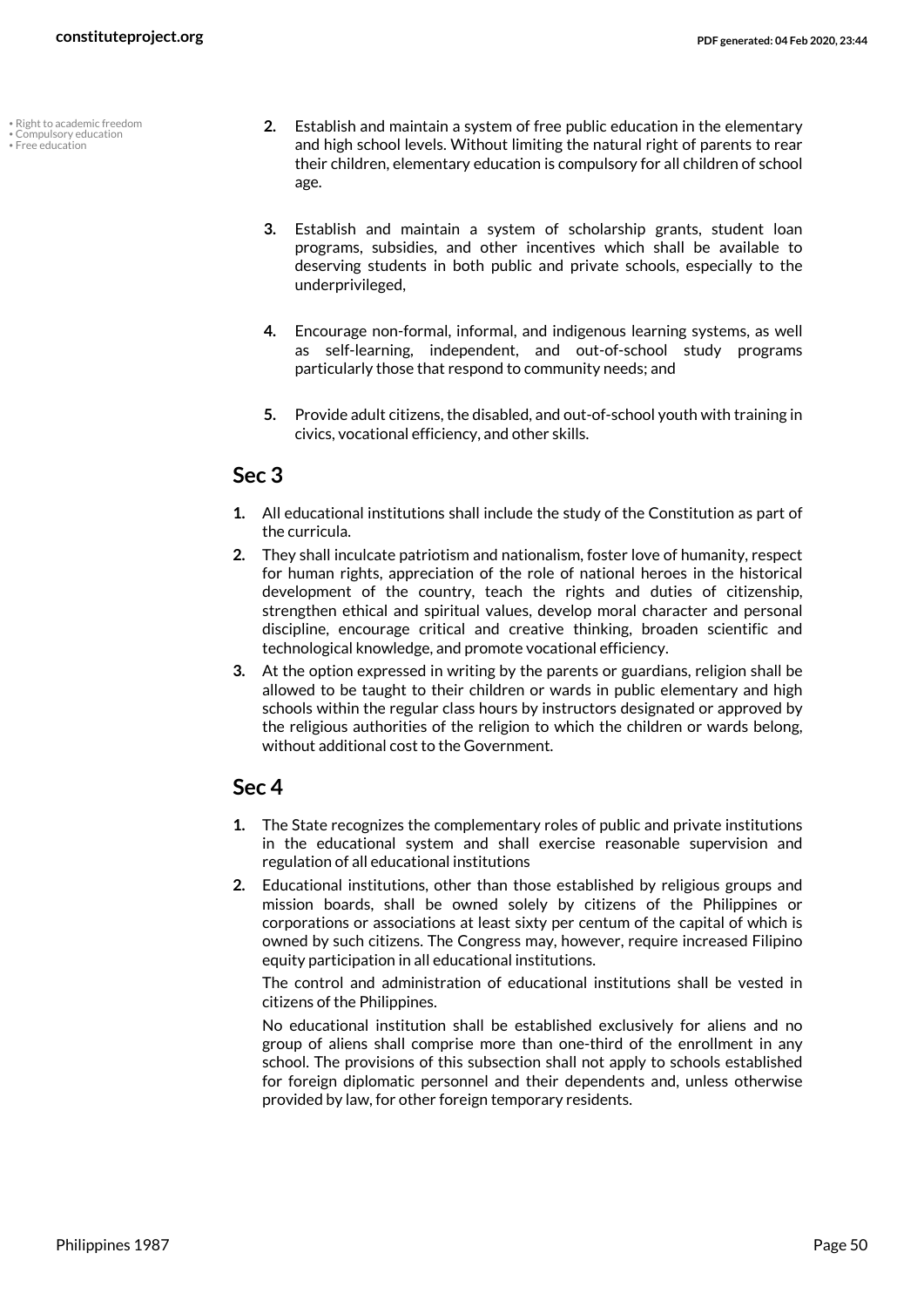- Right to academic freedom
- <span id="page-49-1"></span><span id="page-49-0"></span>• Compulsory education • Free education
- <span id="page-49-2"></span>**2.** Establish and maintain a system of free public education in the elementary and high school levels. Without limiting the natural right of parents to rear their children, elementary education is compulsory for all children of school age.
- **3.** Establish and maintain a system of scholarship grants, student loan programs, subsidies, and other incentives which shall be available to deserving students in both public and private schools, especially to the underprivileged,
- **4.** Encourage non-formal, informal, and indigenous learning systems, as well as self-learning, independent, and out-of-school study programs particularly those that respond to community needs; and
- **5.** Provide adult citizens, the disabled, and out-of-school youth with training in civics, vocational efficiency, and other skills.

- **1.** All educational institutions shall include the study of the Constitution as part of the curricula.
- **2.** They shall inculcate patriotism and nationalism, foster love of humanity, respect for human rights, appreciation of the role of national heroes in the historical development of the country, teach the rights and duties of citizenship, strengthen ethical and spiritual values, develop moral character and personal discipline, encourage critical and creative thinking, broaden scientific and technological knowledge, and promote vocational efficiency.
- **3.** At the option expressed in writing by the parents or guardians, religion shall be allowed to be taught to their children or wards in public elementary and high schools within the regular class hours by instructors designated or approved by the religious authorities of the religion to which the children or wards belong, without additional cost to the Government.

### **Sec 4**

- **1.** The State recognizes the complementary roles of public and private institutions in the educational system and shall exercise reasonable supervision and regulation of all educational institutions
- **2.** Educational institutions, other than those established by religious groups and mission boards, shall be owned solely by citizens of the Philippines or corporations or associations at least sixty per centum of the capital of which is owned by such citizens. The Congress may, however, require increased Filipino equity participation in all educational institutions.

The control and administration of educational institutions shall be vested in citizens of the Philippines.

No educational institution shall be established exclusively for aliens and no group of aliens shall comprise more than one-third of the enrollment in any school. The provisions of this subsection shall not apply to schools established for foreign diplomatic personnel and their dependents and, unless otherwise provided by law, for other foreign temporary residents.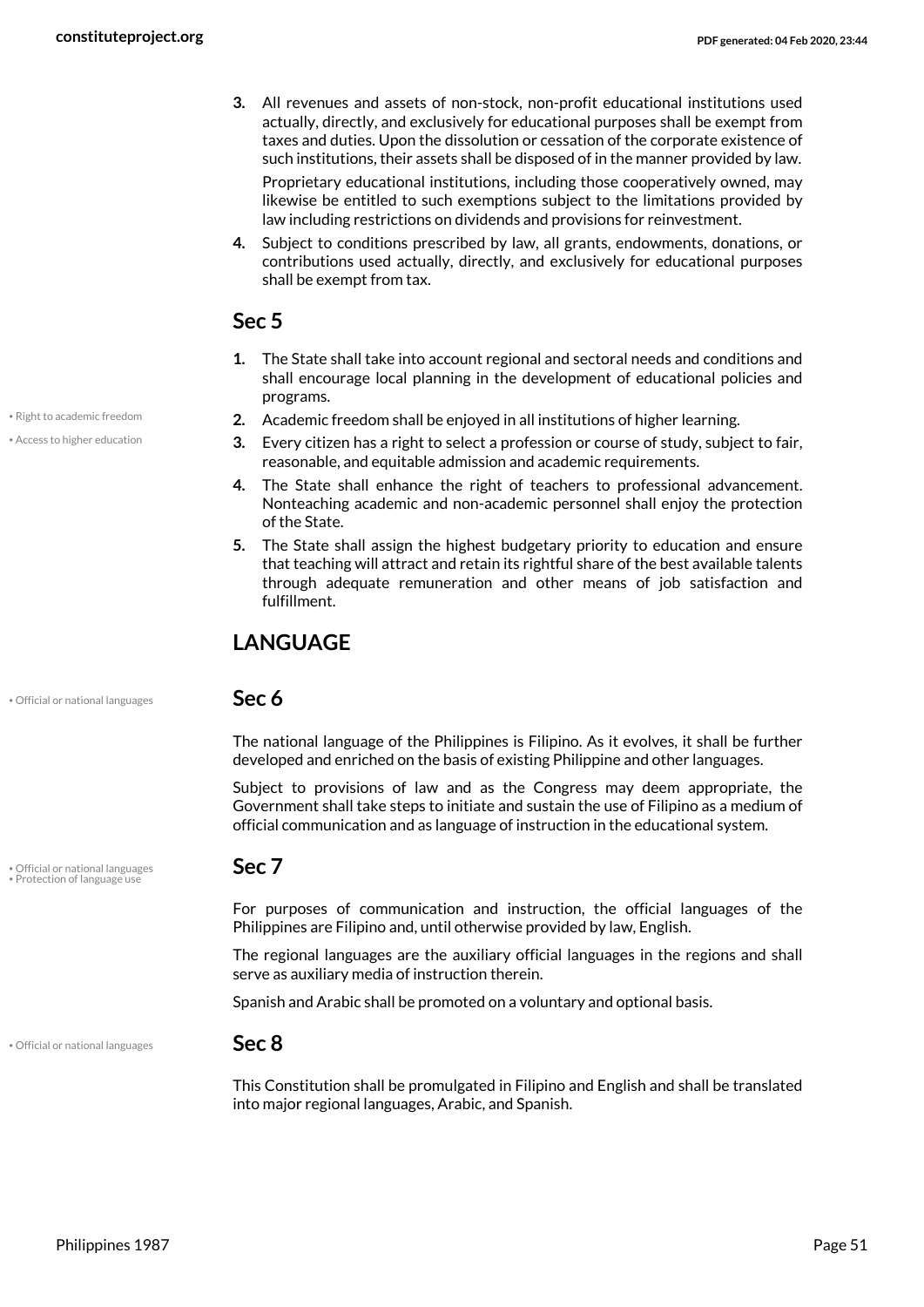- **3.** All revenues and assets of non-stock, non-profit educational institutions used actually, directly, and exclusively for educational purposes shall be exempt from taxes and duties. Upon the dissolution or cessation of the corporate existence of such institutions, their assets shall be disposed of in the manner provided by law. Proprietary educational institutions, including those cooperatively owned, may likewise be entitled to such exemptions subject to the limitations provided by law including restrictions on dividends and provisions for reinvestment.
- **4.** Subject to conditions prescribed by law, all grants, endowments, donations, or contributions used actually, directly, and exclusively for educational purposes shall be exempt from tax.

- <span id="page-50-3"></span><span id="page-50-0"></span>**1.** The State shall take into account regional and sectoral needs and conditions and shall encourage local planning in the development of educational policies and programs.
- . Right to academic freedom **2.** Academic freedom shall be enjoyed in all institutions of higher learning.
	- **3.** Every citizen has a right to select a profession or course of study, subject to fair, reasonable, and equitable admission and academic requirements.
	- **4.** The State shall enhance the right of teachers to professional advancement. Nonteaching academic and non-academic personnel shall enjoy the protection of the State.
	- **5.** The State shall assign the highest budgetary priority to education and ensure that teaching will attract and retain its rightful share of the best available talents through adequate remuneration and other means of job satisfaction and fulfillment.

The national language of the Philippines is Filipino. As it evolves, it shall be further developed and enriched on the basis of existing Philippine and other languages.

Subject to provisions of law and as the Congress may deem appropriate, the Government shall take steps to initiate and sustain the use of Filipino as a medium of official communication and as language of instruction in the educational system.

### **LANGUAGE**

### • Official or national languages **Sec 7** • Protection of language use

<span id="page-50-2"></span>For purposes of communication and instruction, the official languages of the Philippines are Filipino and, until otherwise provided by law, English.

The regional languages are the auxiliary official languages in the regions and shall serve as auxiliary media of instruction therein.

Spanish and Arabic shall be promoted on a voluntary and optional basis.

#### • Official or national languages **Sec 8**

<span id="page-50-1"></span>This Constitution shall be promulgated in Filipino and English and shall be translated into major regional languages, Arabic, and Spanish.

• Access to higher education

• Official or national languages **Sec 6**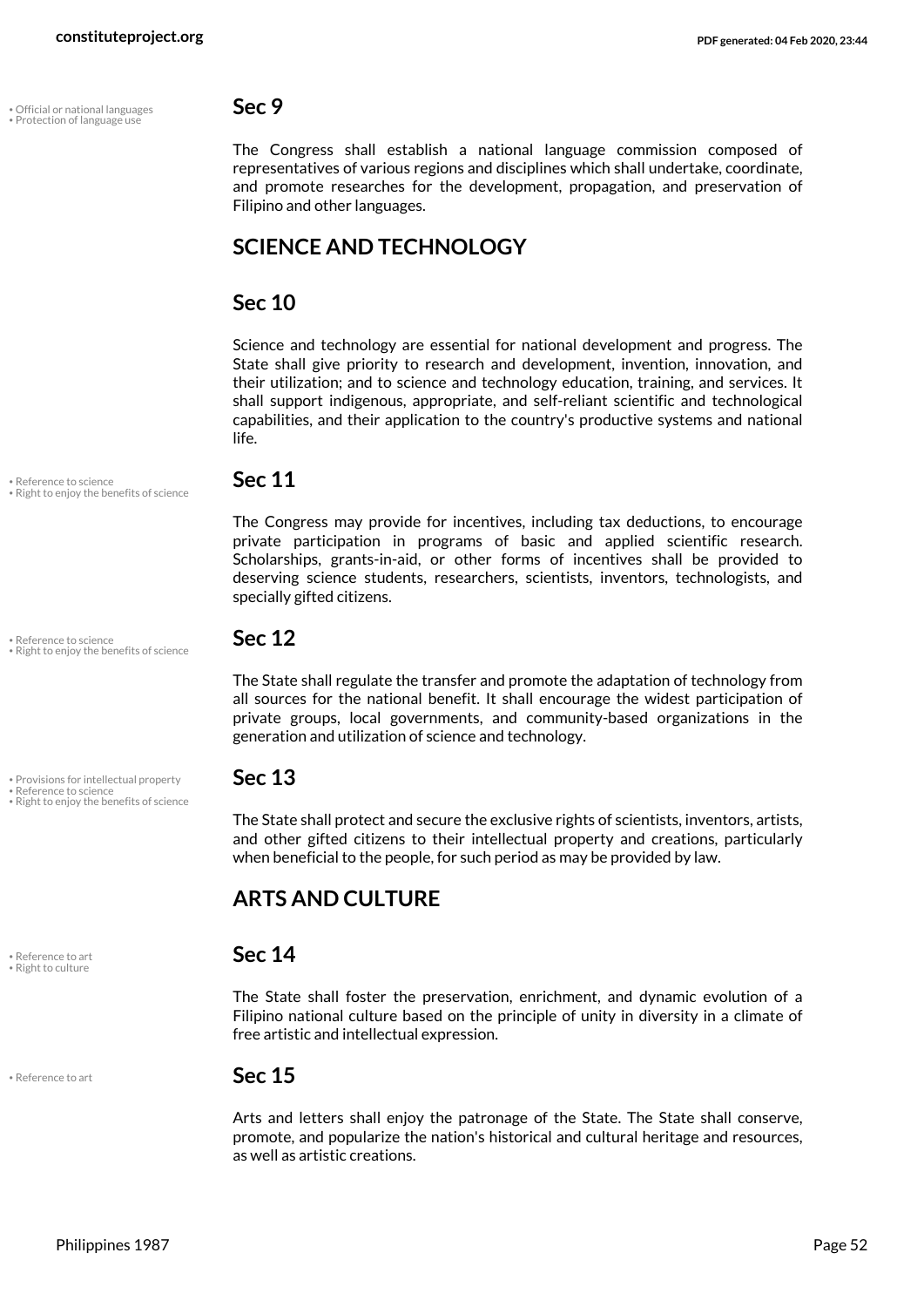<span id="page-51-1"></span><span id="page-51-0"></span>The Congress shall establish a national language commission composed of representatives of various regions and disciplines which shall undertake, coordinate, and promote researches for the development, propagation, and preservation of Filipino and other languages.

### **SCIENCE AND TECHNOLOGY**

#### **Sec 10**

Science and technology are essential for national development and progress. The State shall give priority to research and development, invention, innovation, and their utilization; and to science and technology education, training, and services. It shall support indigenous, appropriate, and self-reliant scientific and technological capabilities, and their application to the country's productive systems and national life.

The Congress may provide for incentives, including tax deductions, to encourage private participation in programs of basic and applied scientific research. Scholarships, grants-in-aid, or other forms of incentives shall be provided to deserving science students, researchers, scientists, inventors, technologists, and

The State shall regulate the transfer and promote the adaptation of technology from

 $\bullet$  Reference to science **Sec 11** • Right to enjoy the benefits of science

## • Reference to science **Sec 12** • Right to enjoy the benefits of science

<span id="page-51-4"></span>

• Provisions for intellectual property **Sec 13** • Reference to science

• Right to enjoy the benefits of science

<span id="page-51-5"></span>• Reference to art **Sec 14** • Right to culture

#### all sources for the national benefit. It shall encourage the widest participation of private groups, local governments, and community-based organizations in the

specially gifted citizens.

<span id="page-51-6"></span><span id="page-51-2"></span>The State shall protect and secure the exclusive rights of scientists, inventors, artists, and other gifted citizens to their intellectual property and creations, particularly when beneficial to the people, for such period as may be provided by law.

### **ARTS AND CULTURE**

generation and utilization of science and technology.

The State shall foster the preservation, enrichment, and dynamic evolution of a Filipino national culture based on the principle of unity in diversity in a climate of free artistic and intellectual expression.

#### • Reference to art **Sec 15**

Arts and letters shall enjoy the patronage of the State. The State shall conserve, promote, and popularize the nation's historical and cultural heritage and resources, as well as artistic creations.

<span id="page-51-3"></span>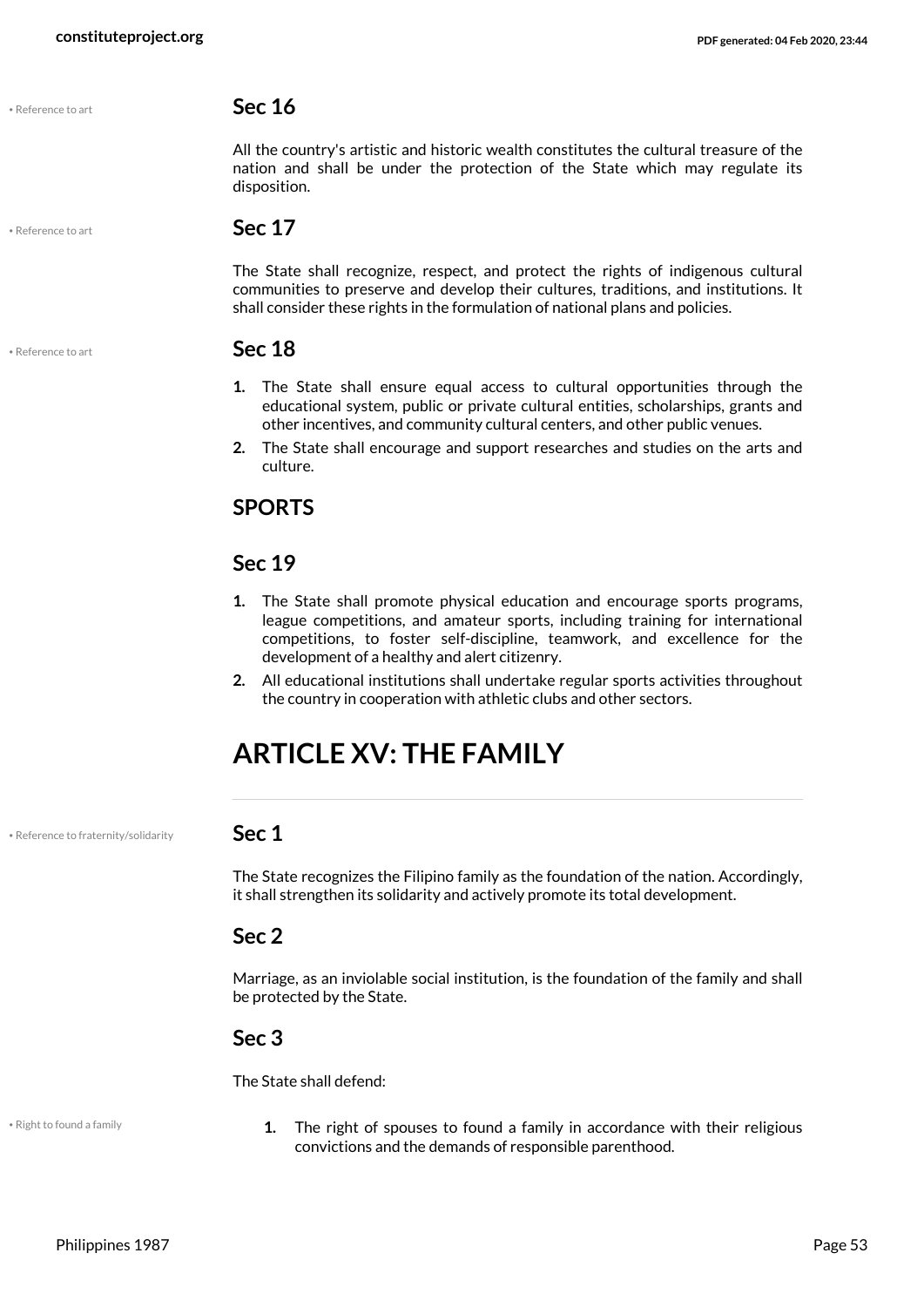• Reference to art **Sec 16** 

All the country's artistic and historic wealth constitutes the cultural treasure of the nation and shall be under the protection of the State which may regulate its disposition.

• Reference to art **Sec 17**

The State shall recognize, respect, and protect the rights of indigenous cultural communities to preserve and develop their cultures, traditions, and institutions. It shall consider these rights in the formulation of national plans and policies.

<span id="page-52-1"></span>• Reference to art **Sec 18**

- **1.** The State shall ensure equal access to cultural opportunities through the educational system, public or private cultural entities, scholarships, grants and other incentives, and community cultural centers, and other public venues.
- **2.** The State shall encourage and support researches and studies on the arts and culture.

#### **SPORTS**

#### **Sec 19**

- **1.** The State shall promote physical education and encourage sports programs, league competitions, and amateur sports, including training for international competitions, to foster self-discipline, teamwork, and excellence for the development of a healthy and alert citizenry.
- **2.** All educational institutions shall undertake regular sports activities throughout the country in cooperation with athletic clubs and other sectors.

## <span id="page-52-0"></span>**ARTICLE XV: THE FAMILY**

 $\bullet$  Reference to fraternity/solidarity **Sec 1** 

<span id="page-52-2"></span>The State recognizes the Filipino family as the foundation of the nation. Accordingly, it shall strengthen its solidarity and actively promote its total development.

### **Sec 2**

Marriage, as an inviolable social institution, is the foundation of the family and shall be protected by the State.

#### **Sec 3**

The State shall defend:

<span id="page-52-3"></span>• Right to found a family

**1.** The right of spouses to found a family in accordance with their religious convictions and the demands of responsible parenthood.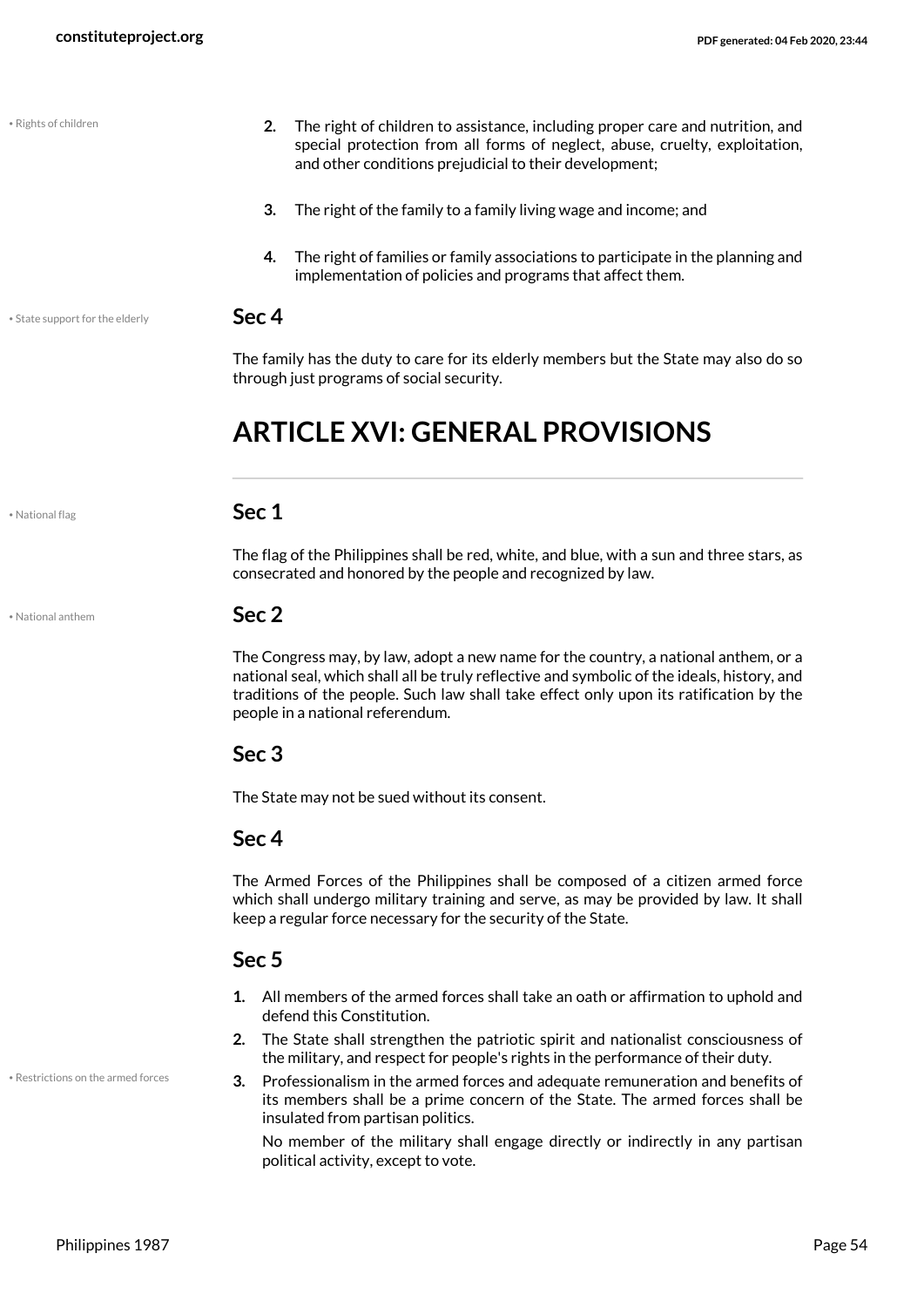<span id="page-53-4"></span>• Rights of children

- **2.** The right of children to assistance, including proper care and nutrition, and special protection from all forms of neglect, abuse, cruelty, exploitation, and other conditions prejudicial to their development;
- **3.** The right of the family to a family living wage and income; and
- <span id="page-53-0"></span>**4.** The right of families or family associations to participate in the planning and implementation of policies and programs that affect them.

#### • State support for the elderly **Sec 4**

<span id="page-53-5"></span>The family has the duty to care for its elderly members but the State may also do so through just programs of social security.

## **ARTICLE XVI: GENERAL PROVISIONS**

#### <span id="page-53-2"></span>• National flag **Sec 1**

The flag of the Philippines shall be red, white, and blue, with a sun and three stars, as consecrated and honored by the people and recognized by law.

#### <span id="page-53-1"></span>• National anthem **Sec 2**

The Congress may, by law, adopt a new name for the country, a national anthem, or a national seal, which shall all be truly reflective and symbolic of the ideals, history, and traditions of the people. Such law shall take effect only upon its ratification by the people in a national referendum.

#### **Sec 3**

The State may not be sued without its consent.

#### **Sec 4**

The Armed Forces of the Philippines shall be composed of a citizen armed force which shall undergo military training and serve, as may be provided by law. It shall keep a regular force necessary for the security of the State.

#### **Sec 5**

- **1.** All members of the armed forces shall take an oath or affirmation to uphold and defend this Constitution.
- **2.** The State shall strengthen the patriotic spirit and nationalist consciousness of the military, and respect for people's rights in the performance of their duty.
- <span id="page-53-3"></span>**3.** Professionalism in the armed forces and adequate remuneration and benefits of its members shall be a prime concern of the State. The armed forces shall be insulated from partisan politics.

No member of the military shall engage directly or indirectly in any partisan political activity, except to vote.

• Restrictions on the armed forces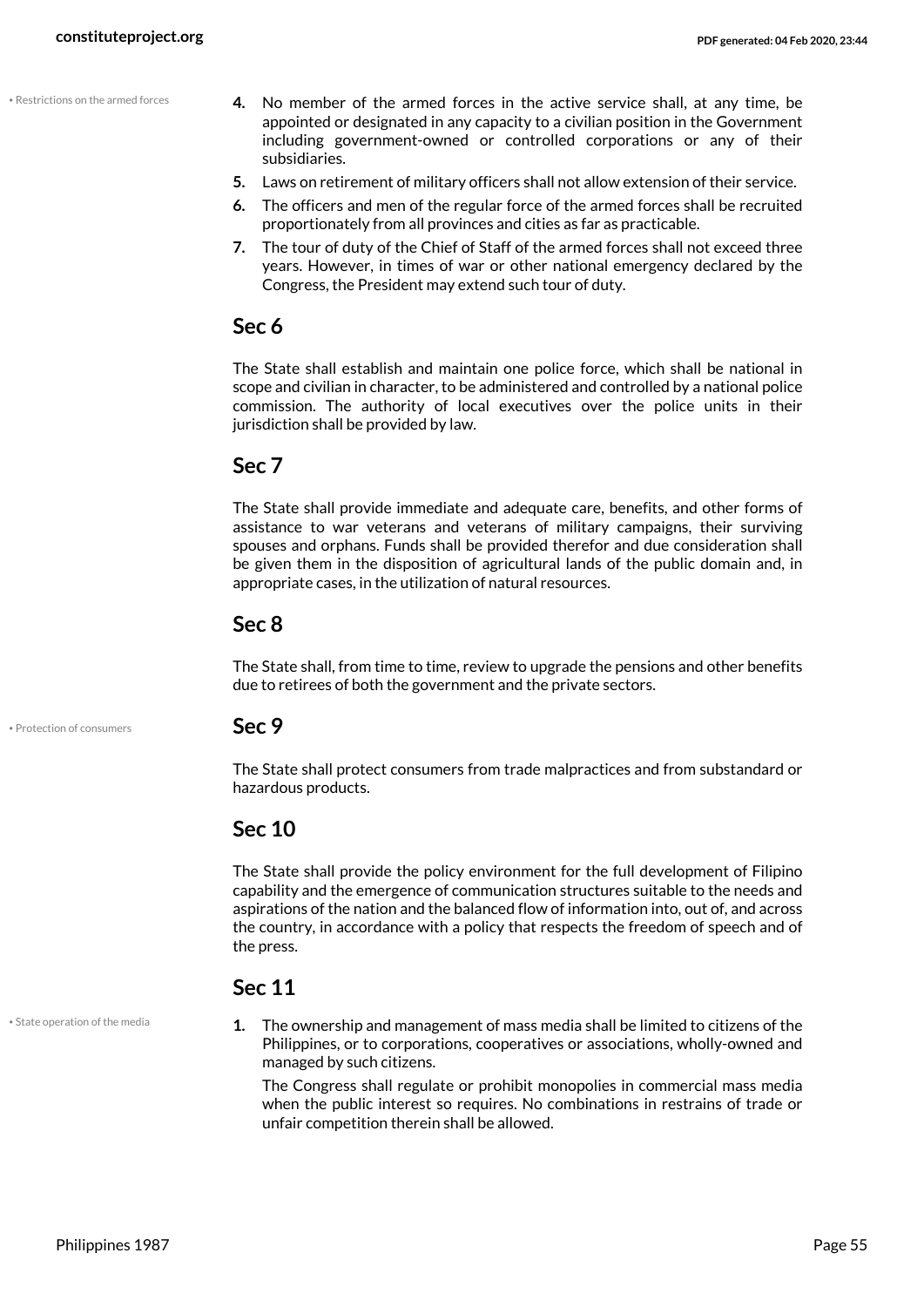• Restrictions on the armed forces

- <span id="page-54-1"></span>**4.** No member of the armed forces in the active service shall, at any time, be appointed or designated in any capacity to a civilian position in the Government including government-owned or controlled corporations or any of their subsidiaries.
- **5.** Laws on retirement of military officers shall not allow extension of their service.
- **6.** The officers and men of the regular force of the armed forces shall be recruited proportionately from all provinces and cities as far as practicable.
- **7.** The tour of duty of the Chief of Staff of the armed forces shall not exceed three years. However, in times of war or other national emergency declared by the Congress, the President may extend such tour of duty.

#### **Sec 6**

The State shall establish and maintain one police force, which shall be national in scope and civilian in character, to be administered and controlled by a national police commission. The authority of local executives over the police units in their jurisdiction shall be provided by law.

#### **Sec 7**

The State shall provide immediate and adequate care, benefits, and other forms of assistance to war veterans and veterans of military campaigns, their surviving spouses and orphans. Funds shall be provided therefor and due consideration shall be given them in the disposition of agricultural lands of the public domain and, in appropriate cases, in the utilization of natural resources.

#### **Sec 8**

The State shall, from time to time, review to upgrade the pensions and other benefits due to retirees of both the government and the private sectors.

#### • Protection of consumers **Sec 9**

<span id="page-54-0"></span>The State shall protect consumers from trade malpractices and from substandard or hazardous products.

### **Sec 10**

The State shall provide the policy environment for the full development of Filipino capability and the emergence of communication structures suitable to the needs and aspirations of the nation and the balanced flow of information into, out of, and across the country, in accordance with a policy that respects the freedom of speech and of the press.

#### **Sec 11**

• State operation of the media

<span id="page-54-2"></span>**1.** The ownership and management of mass media shall be limited to citizens of the Philippines, or to corporations, cooperatives or associations, wholly-owned and managed by such citizens.

The Congress shall regulate or prohibit monopolies in commercial mass media when the public interest so requires. No combinations in restrains of trade or unfair competition therein shall be allowed.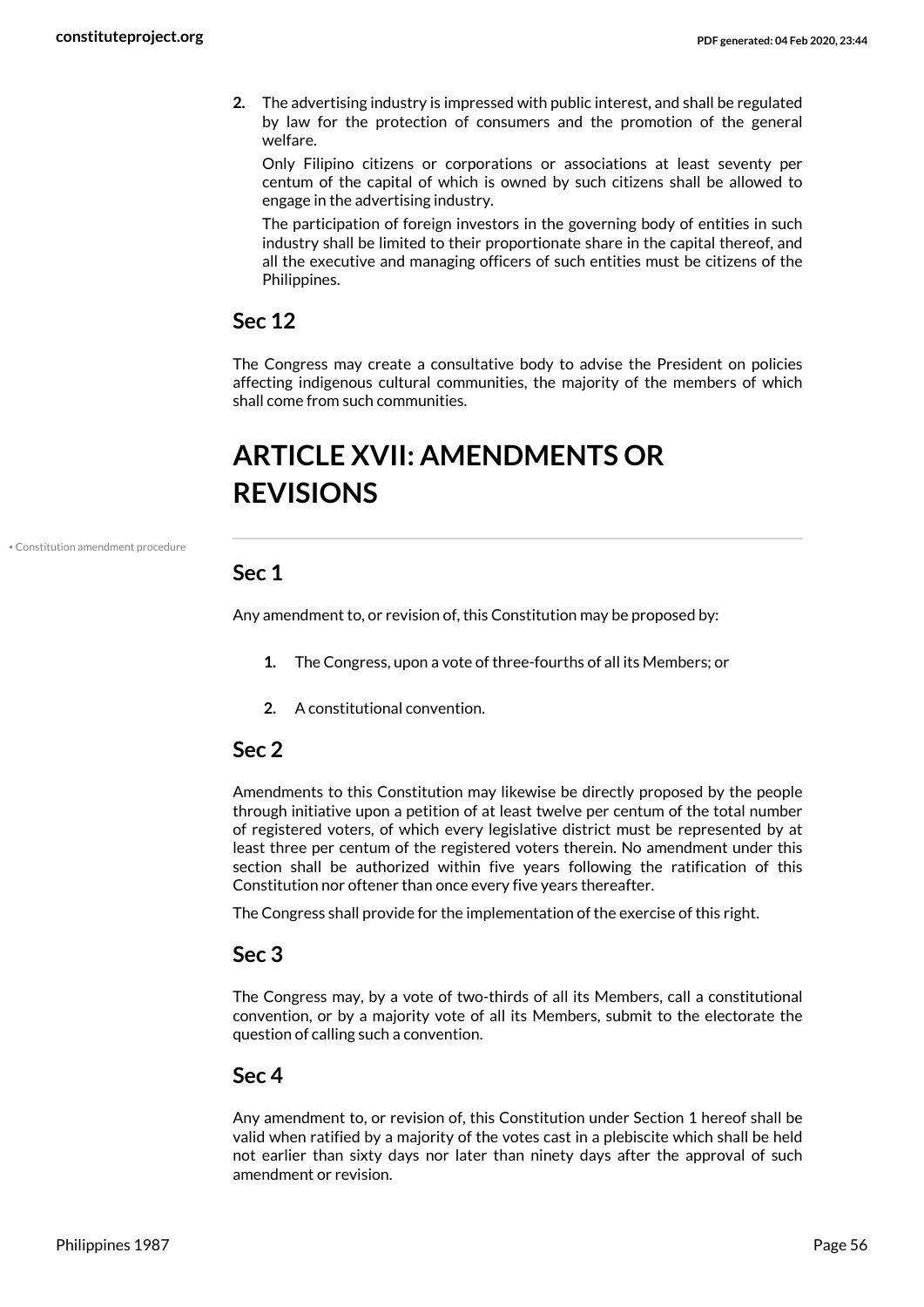**2.** The advertising industry is impressed with public interest, and shall be regulated by law for the protection of consumers and the promotion of the general welfare.

Only Filipino citizens or corporations or associations at least seventy per centum of the capital of which is owned by such citizens shall be allowed to engage in the advertising industry.

The participation of foreign investors in the governing body of entities in such industry shall be limited to their proportionate share in the capital thereof, and all the executive and managing officers of such entities must be citizens of the Philippines.

#### **Sec 12**

The Congress may create a consultative body to advise the President on policies affecting indigenous cultural communities, the majority of the members of which shall come from such communities.

## <span id="page-55-0"></span>**ARTICLE XVII: AMENDMENTS OR REVISIONS**

• Constitution amendment procedure

### <span id="page-55-1"></span>**Sec 1**

Any amendment to, or revision of, this Constitution may be proposed by:

- **1.** The Congress, upon a vote of three-fourths of all its Members; or
- **2.** A constitutional convention.

### **Sec 2**

Amendments to this Constitution may likewise be directly proposed by the people through initiative upon a petition of at least twelve per centum of the total number of registered voters, of which every legislative district must be represented by at least three per centum of the registered voters therein. No amendment under this section shall be authorized within five years following the ratification of this Constitution nor oftener than once every five years thereafter.

The Congress shall provide for the implementation of the exercise of this right.

### **Sec 3**

The Congress may, by a vote of two-thirds of all its Members, call a constitutional convention, or by a majority vote of all its Members, submit to the electorate the question of calling such a convention.

### **Sec 4**

Any amendment to, or revision of, this Constitution under Section 1 hereof shall be valid when ratified by a majority of the votes cast in a plebiscite which shall be held not earlier than sixty days nor later than ninety days after the approval of such amendment or revision.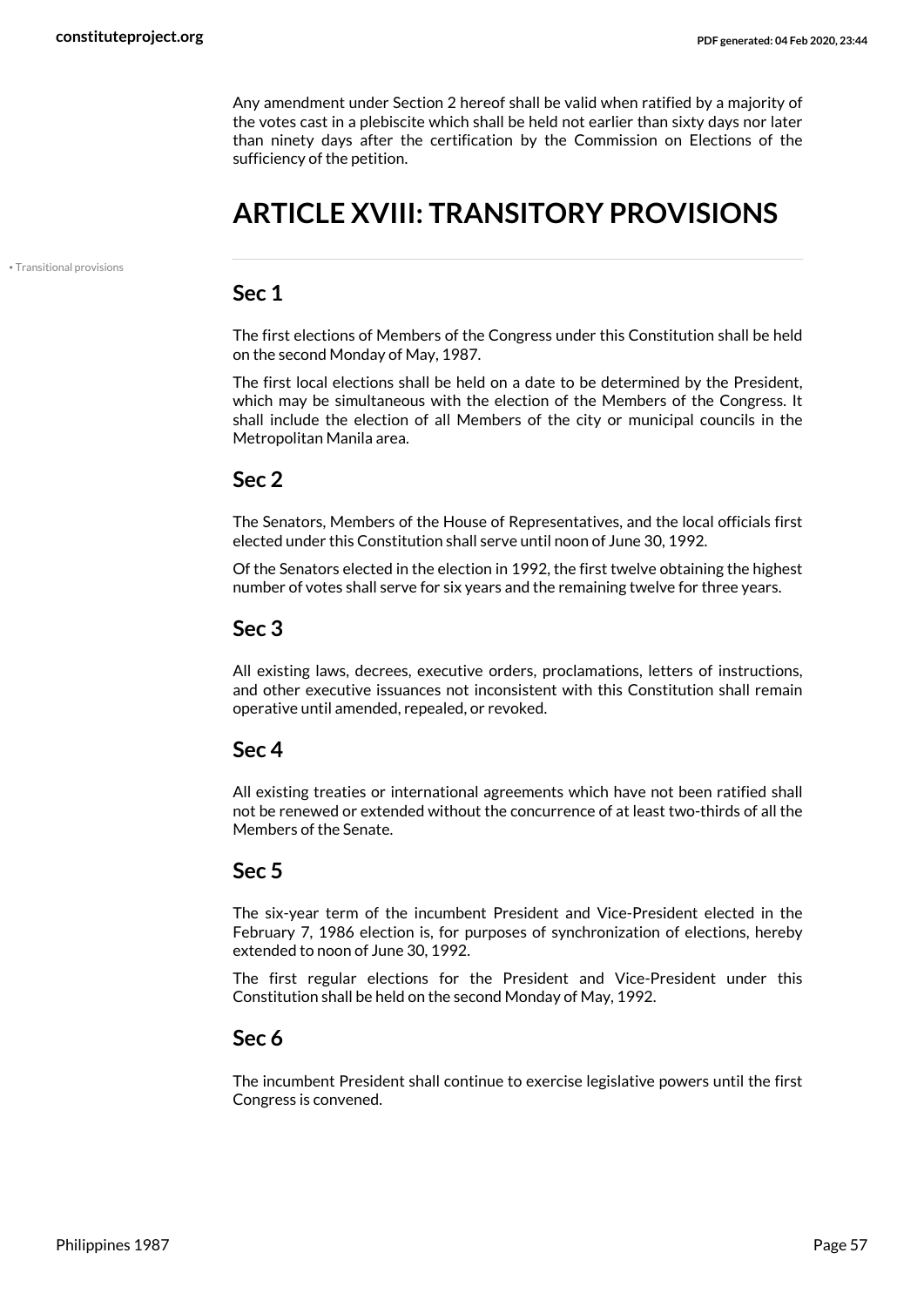Any amendment under Section 2 hereof shall be valid when ratified by a majority of the votes cast in a plebiscite which shall be held not earlier than sixty days nor later than ninety days after the certification by the Commission on Elections of the sufficiency of the petition.

## <span id="page-56-0"></span>**ARTICLE XVIII: TRANSITORY PROVISIONS**

• Transitional provisions

#### <span id="page-56-1"></span>**Sec 1**

The first elections of Members of the Congress under this Constitution shall be held on the second Monday of May, 1987.

The first local elections shall be held on a date to be determined by the President, which may be simultaneous with the election of the Members of the Congress. It shall include the election of all Members of the city or municipal councils in the Metropolitan Manila area.

#### **Sec 2**

The Senators, Members of the House of Representatives, and the local officials first elected under this Constitution shall serve until noon of June 30, 1992.

Of the Senators elected in the election in 1992, the first twelve obtaining the highest number of votes shall serve for six years and the remaining twelve for three years.

#### **Sec 3**

All existing laws, decrees, executive orders, proclamations, letters of instructions, and other executive issuances not inconsistent with this Constitution shall remain operative until amended, repealed, or revoked.

#### **Sec 4**

All existing treaties or international agreements which have not been ratified shall not be renewed or extended without the concurrence of at least two-thirds of all the Members of the Senate.

#### **Sec 5**

The six-year term of the incumbent President and Vice-President elected in the February 7, 1986 election is, for purposes of synchronization of elections, hereby extended to noon of June 30, 1992.

The first regular elections for the President and Vice-President under this Constitution shall be held on the second Monday of May, 1992.

#### **Sec 6**

The incumbent President shall continue to exercise legislative powers until the first Congress is convened.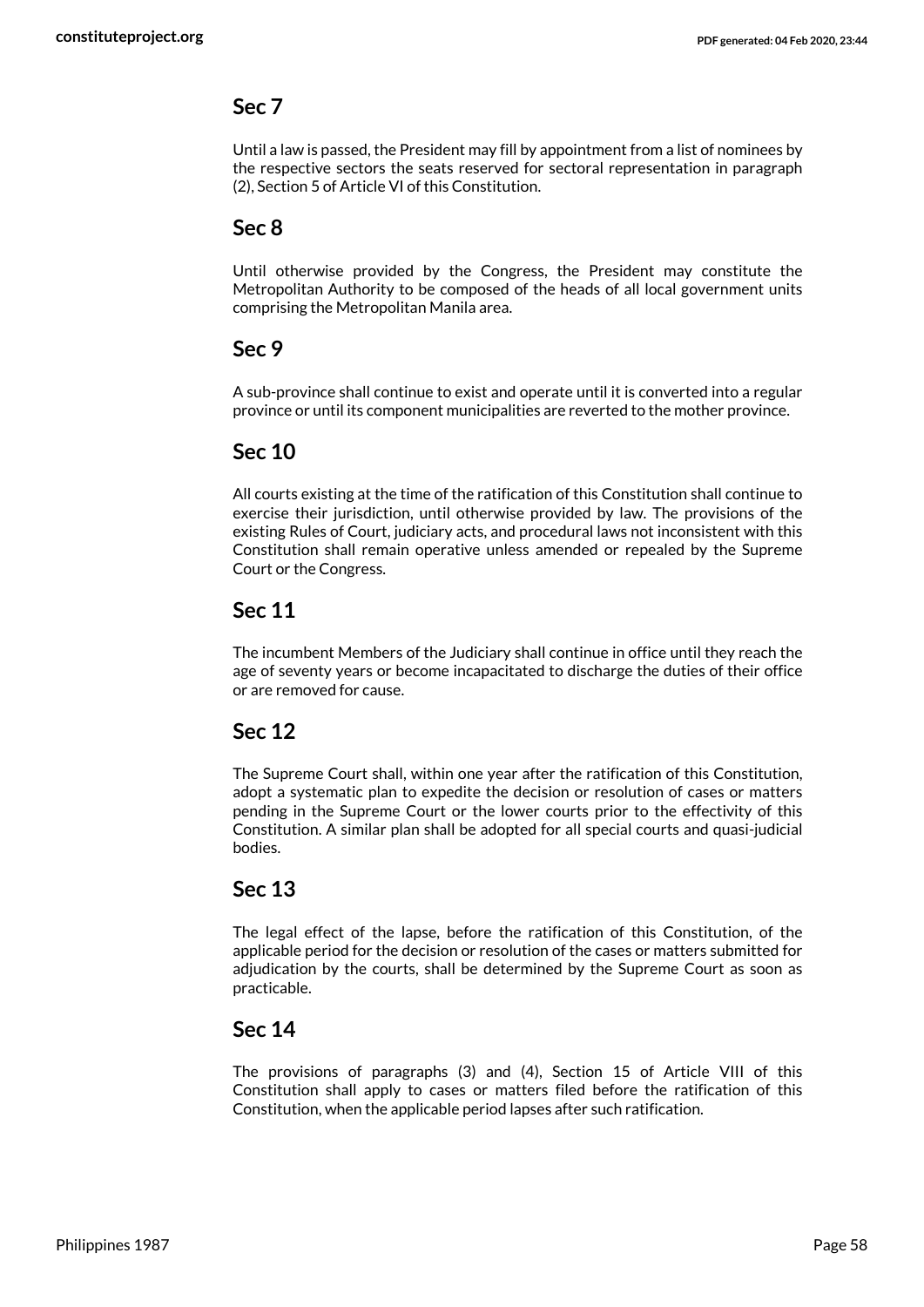Until a law is passed, the President may fill by appointment from a list of nominees by the respective sectors the seats reserved for sectoral representation in paragraph (2), Section 5 of Article VI of this Constitution.

### **Sec 8**

Until otherwise provided by the Congress, the President may constitute the Metropolitan Authority to be composed of the heads of all local government units comprising the Metropolitan Manila area.

#### **Sec 9**

A sub-province shall continue to exist and operate until it is converted into a regular province or until its component municipalities are reverted to the mother province.

#### **Sec 10**

All courts existing at the time of the ratification of this Constitution shall continue to exercise their jurisdiction, until otherwise provided by law. The provisions of the existing Rules of Court, judiciary acts, and procedural laws not inconsistent with this Constitution shall remain operative unless amended or repealed by the Supreme Court or the Congress.

#### **Sec 11**

The incumbent Members of the Judiciary shall continue in office until they reach the age of seventy years or become incapacitated to discharge the duties of their office or are removed for cause.

#### **Sec 12**

The Supreme Court shall, within one year after the ratification of this Constitution, adopt a systematic plan to expedite the decision or resolution of cases or matters pending in the Supreme Court or the lower courts prior to the effectivity of this Constitution. A similar plan shall be adopted for all special courts and quasi-judicial bodies.

#### **Sec 13**

The legal effect of the lapse, before the ratification of this Constitution, of the applicable period for the decision or resolution of the cases or matters submitted for adjudication by the courts, shall be determined by the Supreme Court as soon as practicable.

#### **Sec 14**

The provisions of paragraphs (3) and (4), Section 15 of Article VIII of this Constitution shall apply to cases or matters filed before the ratification of this Constitution, when the applicable period lapses after such ratification.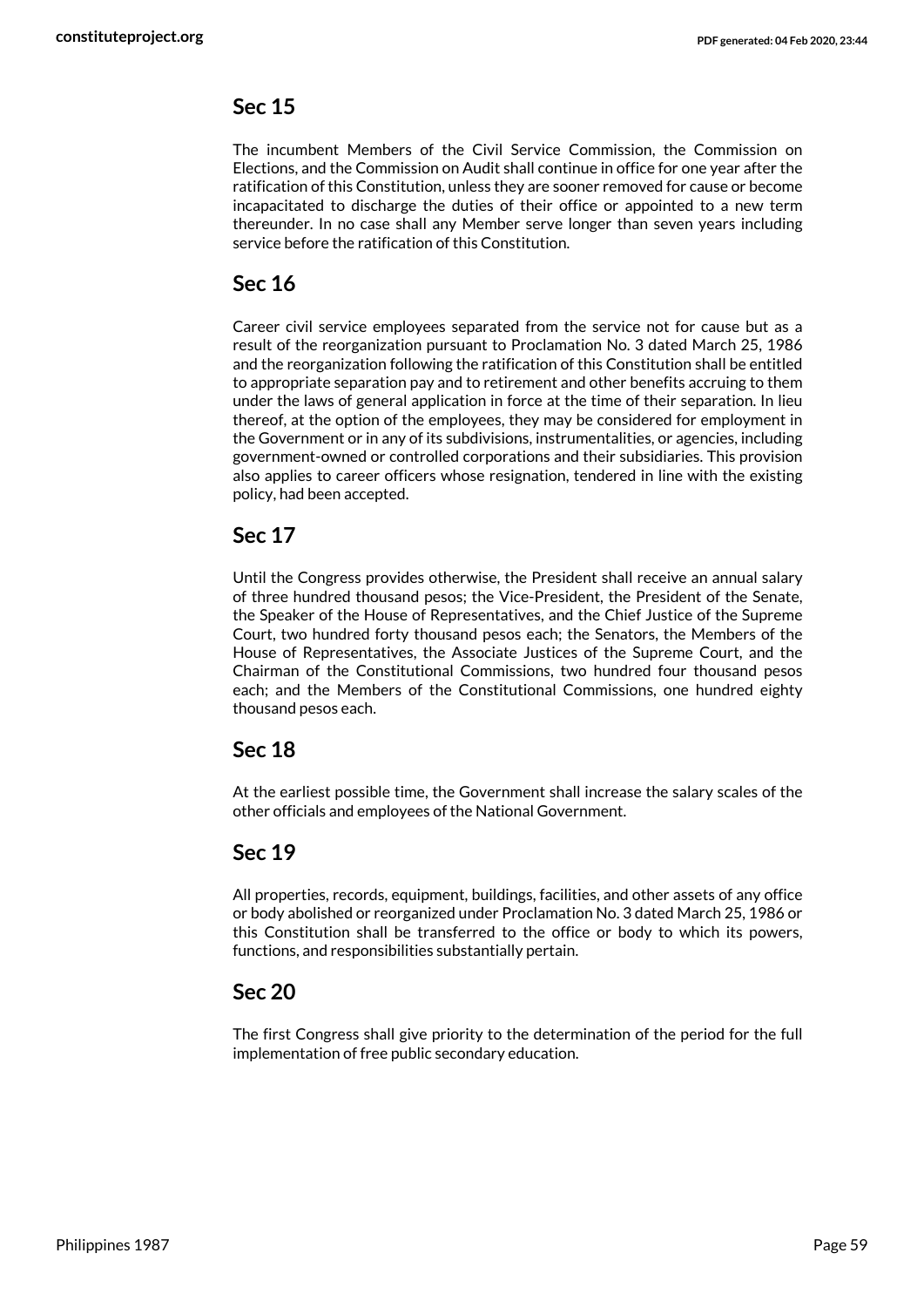The incumbent Members of the Civil Service Commission, the Commission on Elections, and the Commission on Audit shall continue in office for one year after the ratification of this Constitution, unless they are sooner removed for cause or become incapacitated to discharge the duties of their office or appointed to a new term thereunder. In no case shall any Member serve longer than seven years including service before the ratification of this Constitution.

### **Sec 16**

Career civil service employees separated from the service not for cause but as a result of the reorganization pursuant to Proclamation No. 3 dated March 25, 1986 and the reorganization following the ratification of this Constitution shall be entitled to appropriate separation pay and to retirement and other benefits accruing to them under the laws of general application in force at the time of their separation. In lieu thereof, at the option of the employees, they may be considered for employment in the Government or in any of its subdivisions, instrumentalities, or agencies, including government-owned or controlled corporations and their subsidiaries. This provision also applies to career officers whose resignation, tendered in line with the existing policy, had been accepted.

### **Sec 17**

Until the Congress provides otherwise, the President shall receive an annual salary of three hundred thousand pesos; the Vice-President, the President of the Senate, the Speaker of the House of Representatives, and the Chief Justice of the Supreme Court, two hundred forty thousand pesos each; the Senators, the Members of the House of Representatives, the Associate Justices of the Supreme Court, and the Chairman of the Constitutional Commissions, two hundred four thousand pesos each; and the Members of the Constitutional Commissions, one hundred eighty thousand pesos each.

### **Sec 18**

At the earliest possible time, the Government shall increase the salary scales of the other officials and employees of the National Government.

### **Sec 19**

All properties, records, equipment, buildings, facilities, and other assets of any office or body abolished or reorganized under Proclamation No. 3 dated March 25, 1986 or this Constitution shall be transferred to the office or body to which its powers, functions, and responsibilities substantially pertain.

### **Sec 20**

The first Congress shall give priority to the determination of the period for the full implementation of free public secondary education.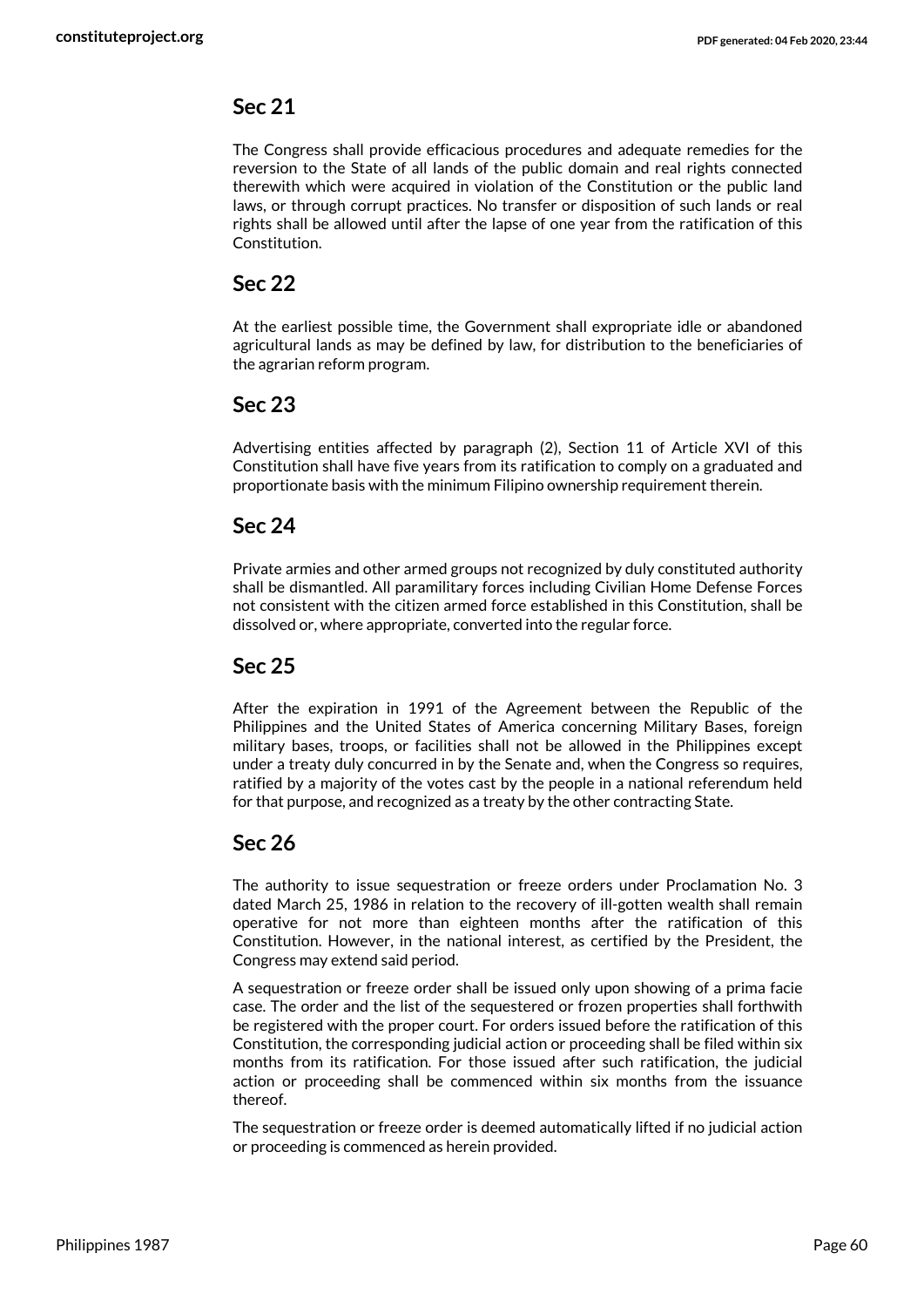The Congress shall provide efficacious procedures and adequate remedies for the reversion to the State of all lands of the public domain and real rights connected therewith which were acquired in violation of the Constitution or the public land laws, or through corrupt practices. No transfer or disposition of such lands or real rights shall be allowed until after the lapse of one year from the ratification of this Constitution.

### **Sec 22**

At the earliest possible time, the Government shall expropriate idle or abandoned agricultural lands as may be defined by law, for distribution to the beneficiaries of the agrarian reform program.

### **Sec 23**

Advertising entities affected by paragraph (2), Section 11 of Article XVI of this Constitution shall have five years from its ratification to comply on a graduated and proportionate basis with the minimum Filipino ownership requirement therein.

### **Sec 24**

Private armies and other armed groups not recognized by duly constituted authority shall be dismantled. All paramilitary forces including Civilian Home Defense Forces not consistent with the citizen armed force established in this Constitution, shall be dissolved or, where appropriate, converted into the regular force.

### **Sec 25**

After the expiration in 1991 of the Agreement between the Republic of the Philippines and the United States of America concerning Military Bases, foreign military bases, troops, or facilities shall not be allowed in the Philippines except under a treaty duly concurred in by the Senate and, when the Congress so requires, ratified by a majority of the votes cast by the people in a national referendum held for that purpose, and recognized as a treaty by the other contracting State.

### **Sec 26**

The authority to issue sequestration or freeze orders under Proclamation No. 3 dated March 25, 1986 in relation to the recovery of ill-gotten wealth shall remain operative for not more than eighteen months after the ratification of this Constitution. However, in the national interest, as certified by the President, the Congress may extend said period.

A sequestration or freeze order shall be issued only upon showing of a prima facie case. The order and the list of the sequestered or frozen properties shall forthwith be registered with the proper court. For orders issued before the ratification of this Constitution, the corresponding judicial action or proceeding shall be filed within six months from its ratification. For those issued after such ratification, the judicial action or proceeding shall be commenced within six months from the issuance thereof.

The sequestration or freeze order is deemed automatically lifted if no judicial action or proceeding is commenced as herein provided.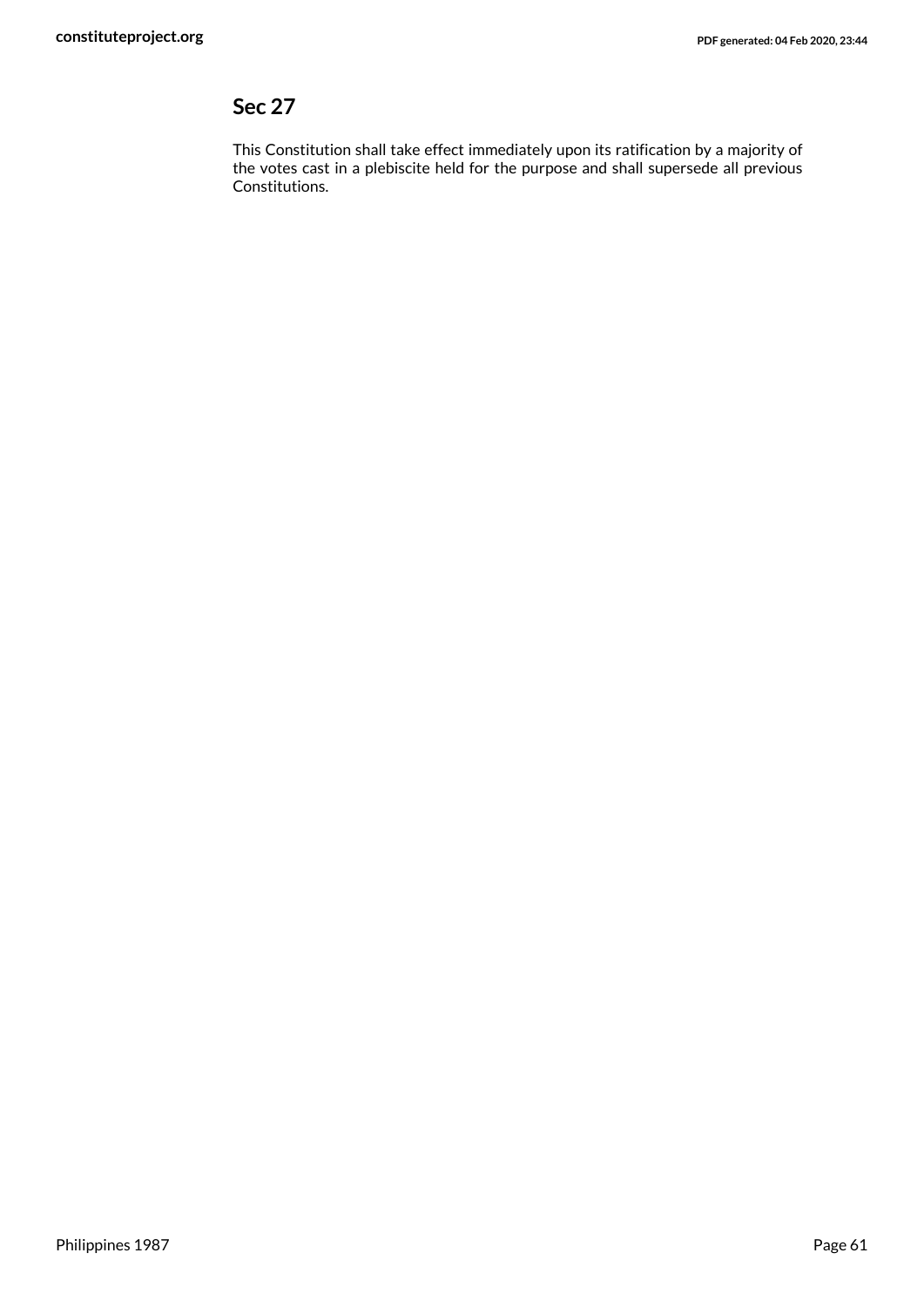This Constitution shall take effect immediately upon its ratification by a majority of the votes cast in a plebiscite held for the purpose and shall supersede all previous Constitutions.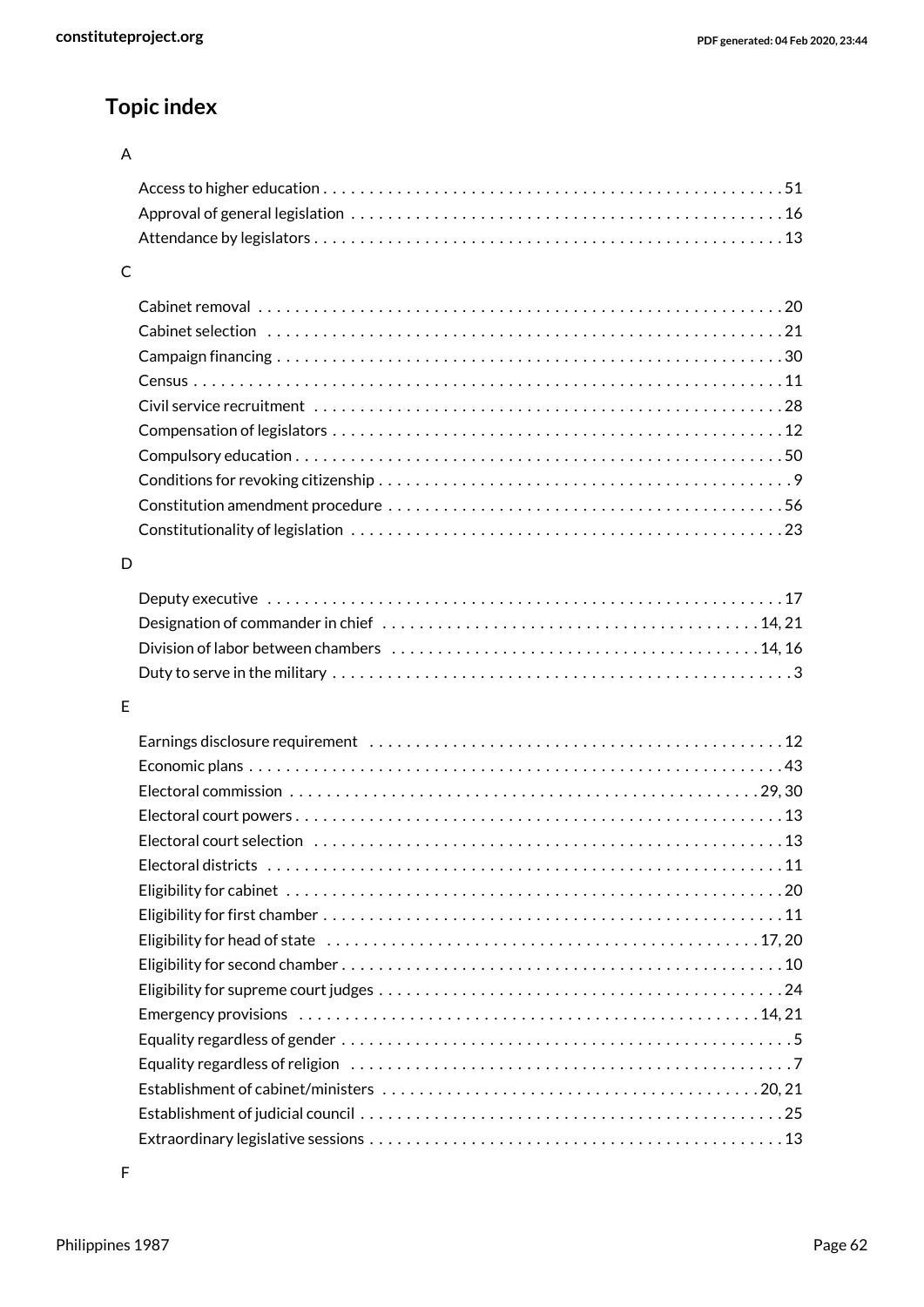## **Topic index**

#### A

#### C

#### D

#### E

| Equality regardless of religion (and contained according contained a set of $7$ |
|---------------------------------------------------------------------------------|
|                                                                                 |
|                                                                                 |
|                                                                                 |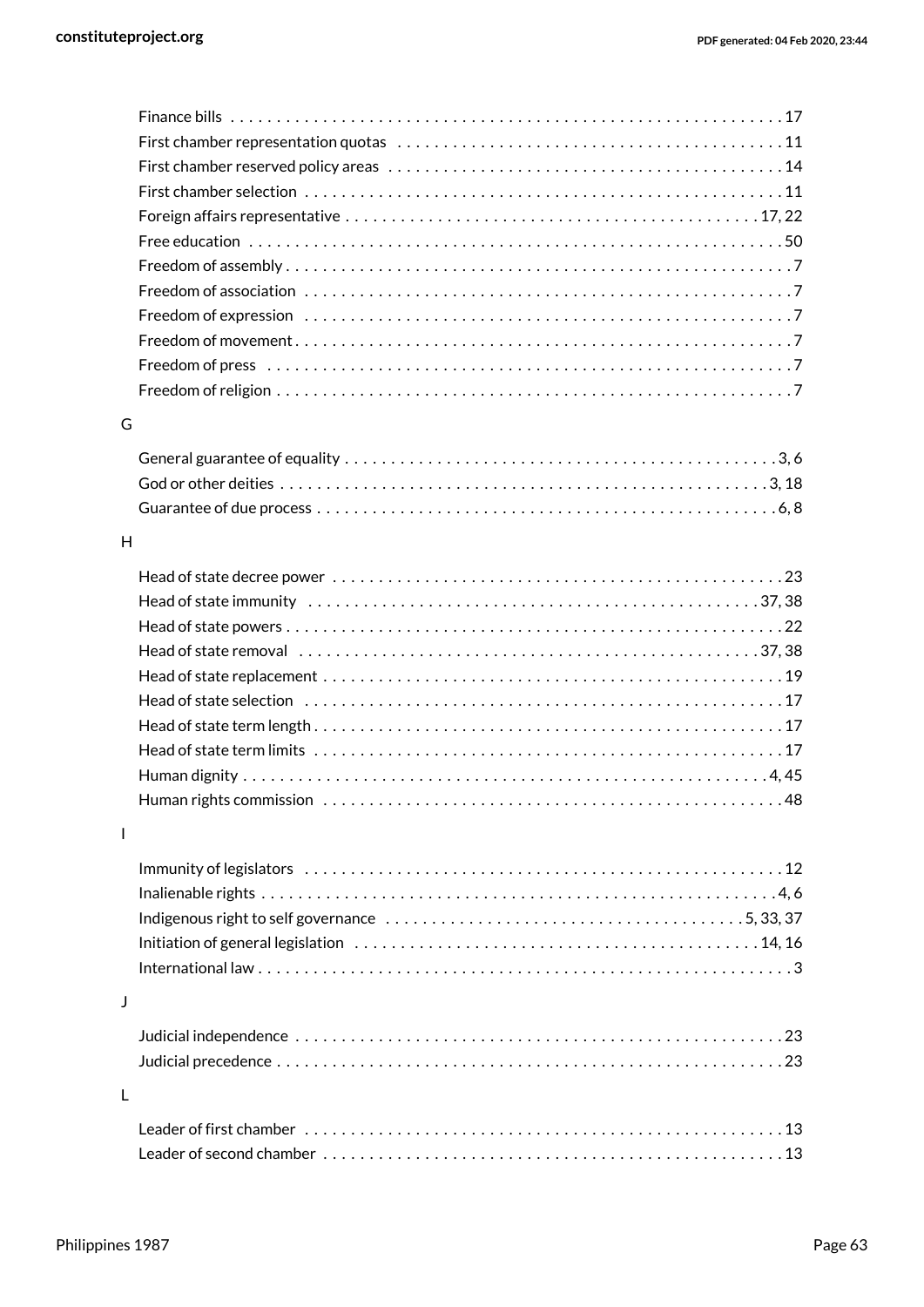| G            |  |
|--------------|--|
|              |  |
|              |  |
|              |  |
| H            |  |
|              |  |
|              |  |
|              |  |
|              |  |
|              |  |
|              |  |
|              |  |
|              |  |
|              |  |
|              |  |
|              |  |
| $\mathbf{I}$ |  |
|              |  |
|              |  |
|              |  |
|              |  |
|              |  |
| J            |  |
|              |  |
|              |  |
| $\mathsf{L}$ |  |
|              |  |
|              |  |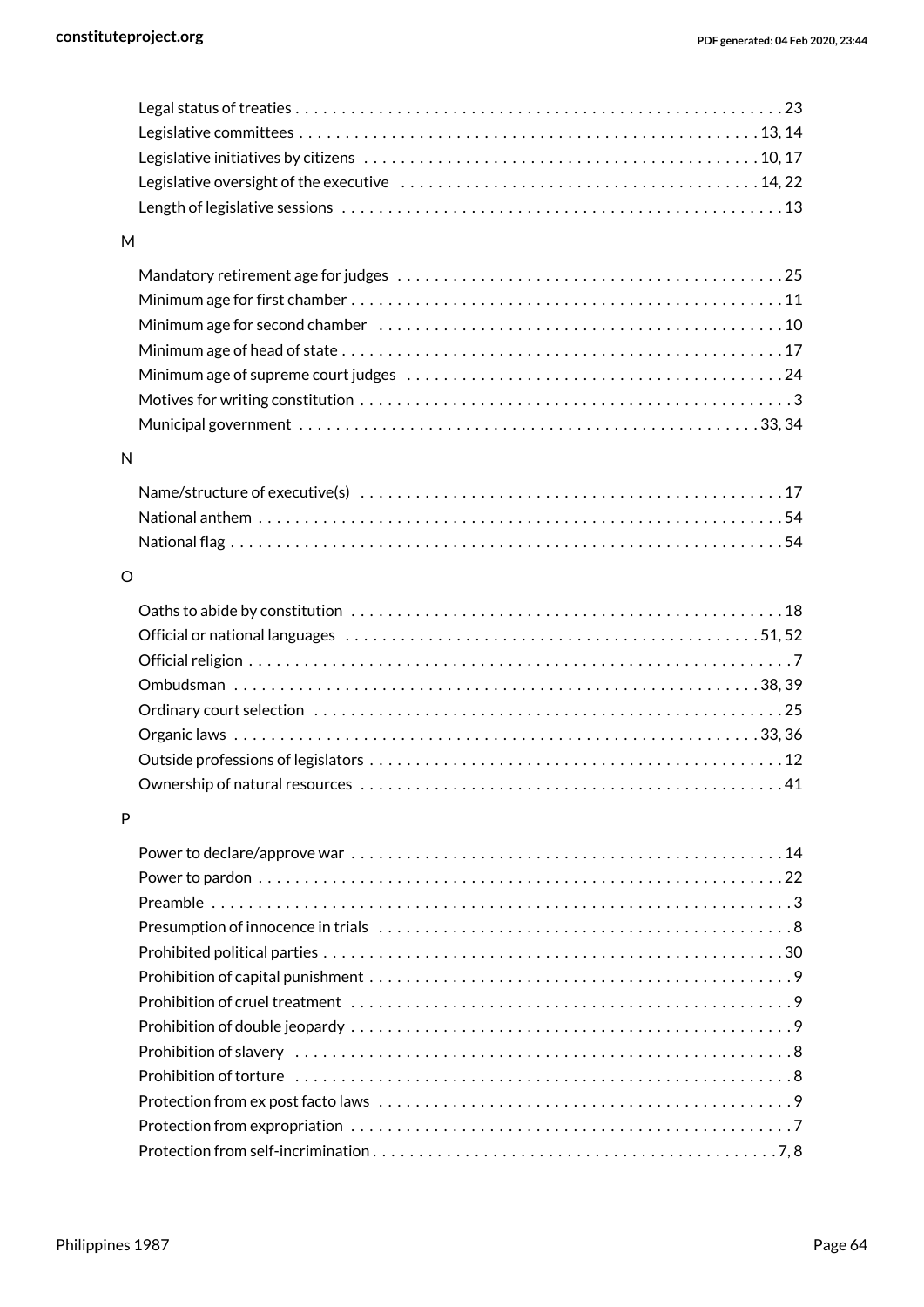| M |  |
|---|--|
|   |  |
|   |  |
|   |  |
|   |  |
|   |  |
|   |  |
|   |  |
| N |  |
|   |  |
|   |  |
|   |  |
| O |  |
|   |  |
|   |  |
|   |  |
|   |  |
|   |  |
|   |  |
|   |  |
|   |  |
| P |  |
|   |  |
|   |  |
|   |  |
|   |  |
|   |  |
|   |  |
|   |  |
|   |  |
|   |  |
|   |  |
|   |  |
|   |  |
|   |  |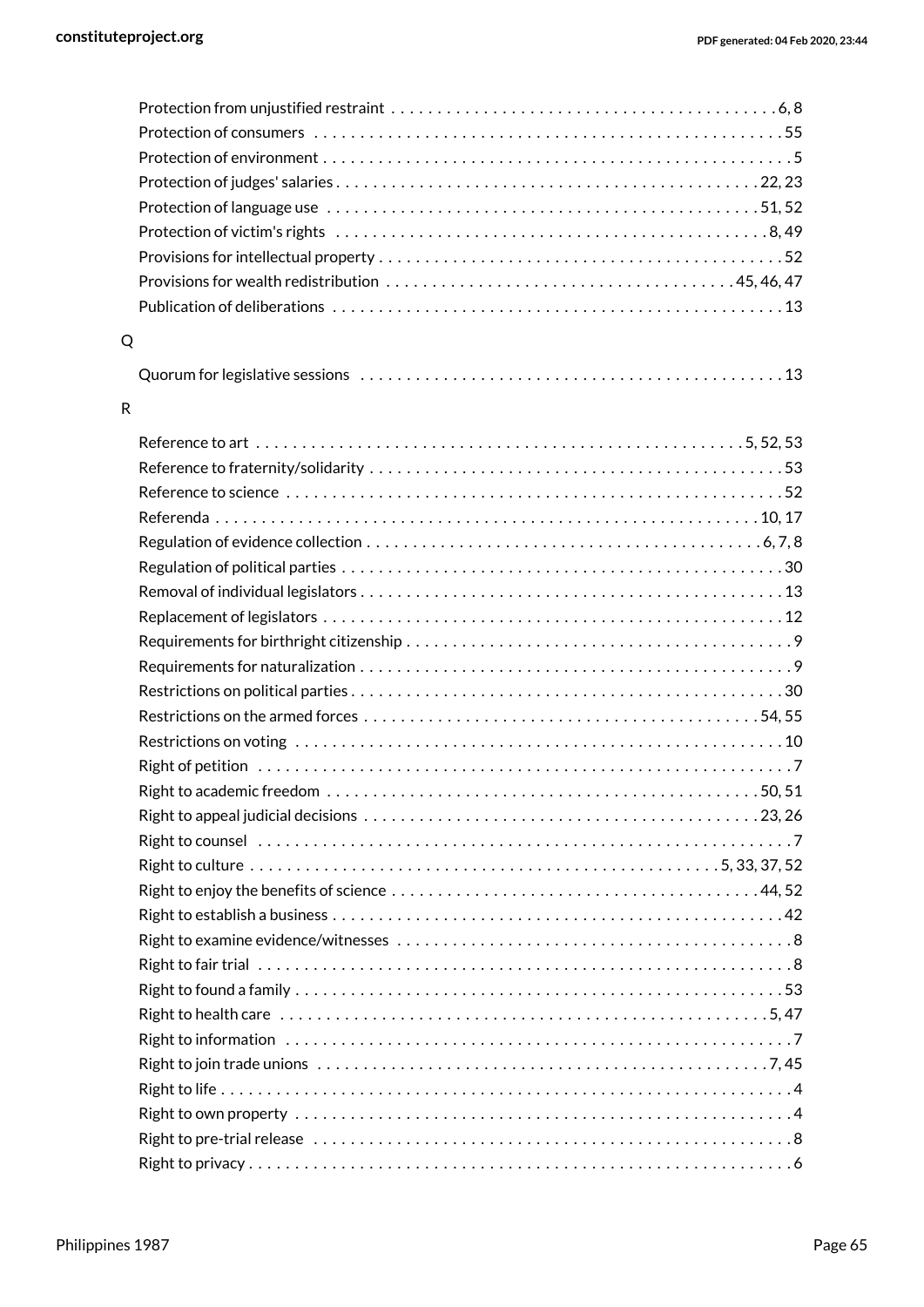| Q |                                                                                                              |
|---|--------------------------------------------------------------------------------------------------------------|
|   |                                                                                                              |
|   |                                                                                                              |
| R |                                                                                                              |
|   |                                                                                                              |
|   |                                                                                                              |
|   |                                                                                                              |
|   |                                                                                                              |
|   |                                                                                                              |
|   |                                                                                                              |
|   |                                                                                                              |
|   |                                                                                                              |
|   |                                                                                                              |
|   |                                                                                                              |
|   |                                                                                                              |
|   |                                                                                                              |
|   |                                                                                                              |
|   |                                                                                                              |
|   | Right to academic freedom $\dots\dots\dots\dots\dots\dots\dots\dots\dots\dots\dots\dots\dots\dots\dots\dots$ |
|   |                                                                                                              |
|   |                                                                                                              |
|   |                                                                                                              |
|   |                                                                                                              |
|   |                                                                                                              |
|   |                                                                                                              |
|   |                                                                                                              |
|   |                                                                                                              |
|   | Right to health care $\dots\dots\dots\dots\dots\dots\dots\dots\dots\dots\dots\dots\dots\dots\dots\dots\dots$ |
|   |                                                                                                              |
|   |                                                                                                              |
|   |                                                                                                              |
|   |                                                                                                              |
|   |                                                                                                              |
|   |                                                                                                              |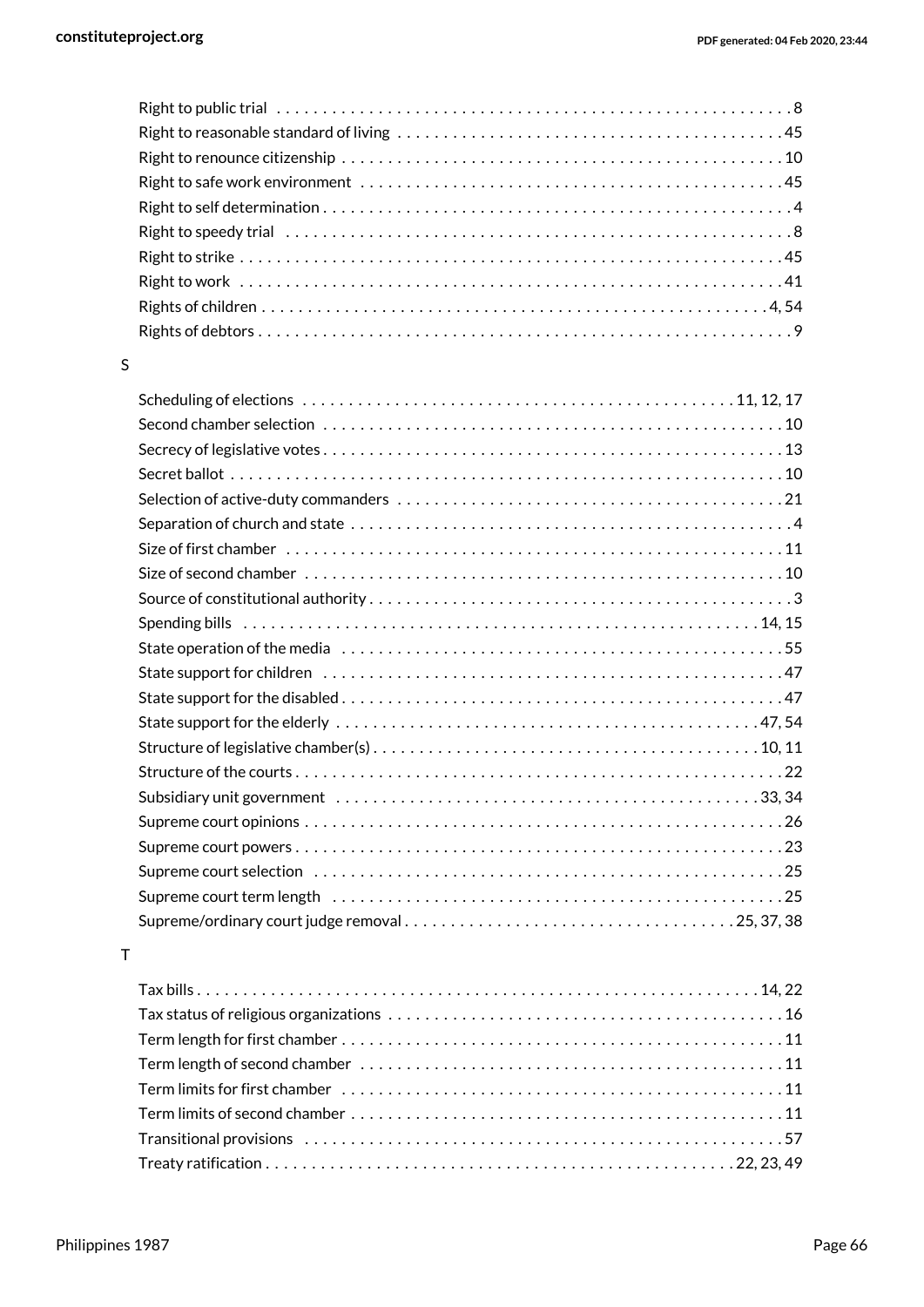| S |  |
|---|--|
|   |  |
|   |  |
|   |  |
|   |  |
|   |  |
|   |  |
|   |  |
|   |  |
|   |  |
|   |  |
|   |  |
|   |  |
|   |  |
|   |  |
|   |  |
|   |  |
|   |  |
|   |  |
|   |  |
|   |  |
|   |  |

#### T

| Transitional provisions in the content of the content of the content of the content of the content of the content of the content of the content of the content of the content of the content of the content of the content of |  |
|-------------------------------------------------------------------------------------------------------------------------------------------------------------------------------------------------------------------------------|--|
|                                                                                                                                                                                                                               |  |

Supreme court term length . . . . . . . . . . . . . . . . . . . . . . . . . . . . . . . . . . . . . . . . . . . . . . . . . [25](#page-24-4) Supreme/ordinary court judge removal . . . . . . . . . . . . . . . . . . . . . . . . . . . . . . . . . . . . [25,](#page-24-5) [37,](#page-36-5) [38](#page-37-3)